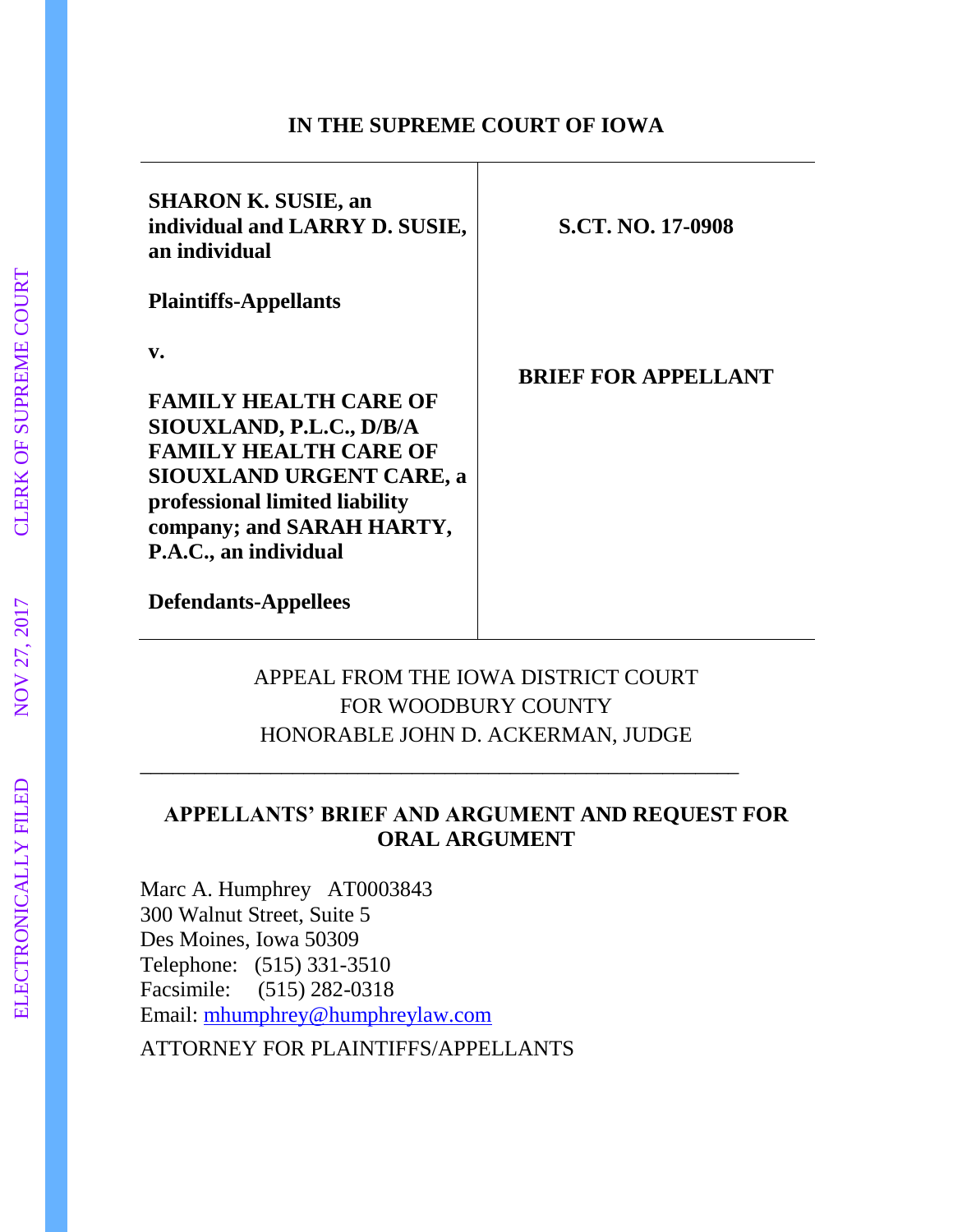#### **IN THE SUPREME COURT OF IOWA**

| <b>SHARON K. SUSIE, an</b><br>individual and LARRY D. SUSIE,<br>an individual                                                                                                                                                         | <b>S.CT. NO. 17-0908</b>   |
|---------------------------------------------------------------------------------------------------------------------------------------------------------------------------------------------------------------------------------------|----------------------------|
| <b>Plaintiffs-Appellants</b>                                                                                                                                                                                                          |                            |
| $\mathbf{v}$ .<br><b>FAMILY HEALTH CARE OF</b><br>SIOUXLAND, P.L.C., D/B/A<br><b>FAMILY HEALTH CARE OF</b><br><b>SIOUXLAND URGENT CARE, a</b><br>professional limited liability<br>company; and SARAH HARTY,<br>P.A.C., an individual | <b>BRIEF FOR APPELLANT</b> |
| <b>Defendants-Appellees</b>                                                                                                                                                                                                           |                            |

### APPEAL FROM THE IOWA DISTRICT COURT FOR WOODBURY COUNTY HONORABLE JOHN D. ACKERMAN, JUDGE

\_\_\_\_\_\_\_\_\_\_\_\_\_\_\_\_\_\_\_\_\_\_\_\_\_\_\_\_\_\_\_\_\_\_\_\_\_\_\_\_\_\_\_\_\_\_\_\_\_\_\_\_\_\_\_

### **APPELLANTS' BRIEF AND ARGUMENT AND REQUEST FOR ORAL ARGUMENT**

Marc A. Humphrey AT0003843 300 Walnut Street, Suite 5 Des Moines, Iowa 50309 Telephone: (515) 331-3510 Facsimile: (515) 282-0318 Email: [mhumphrey@humphreylaw.com](mailto:mhumphrey@humphreylaw.com)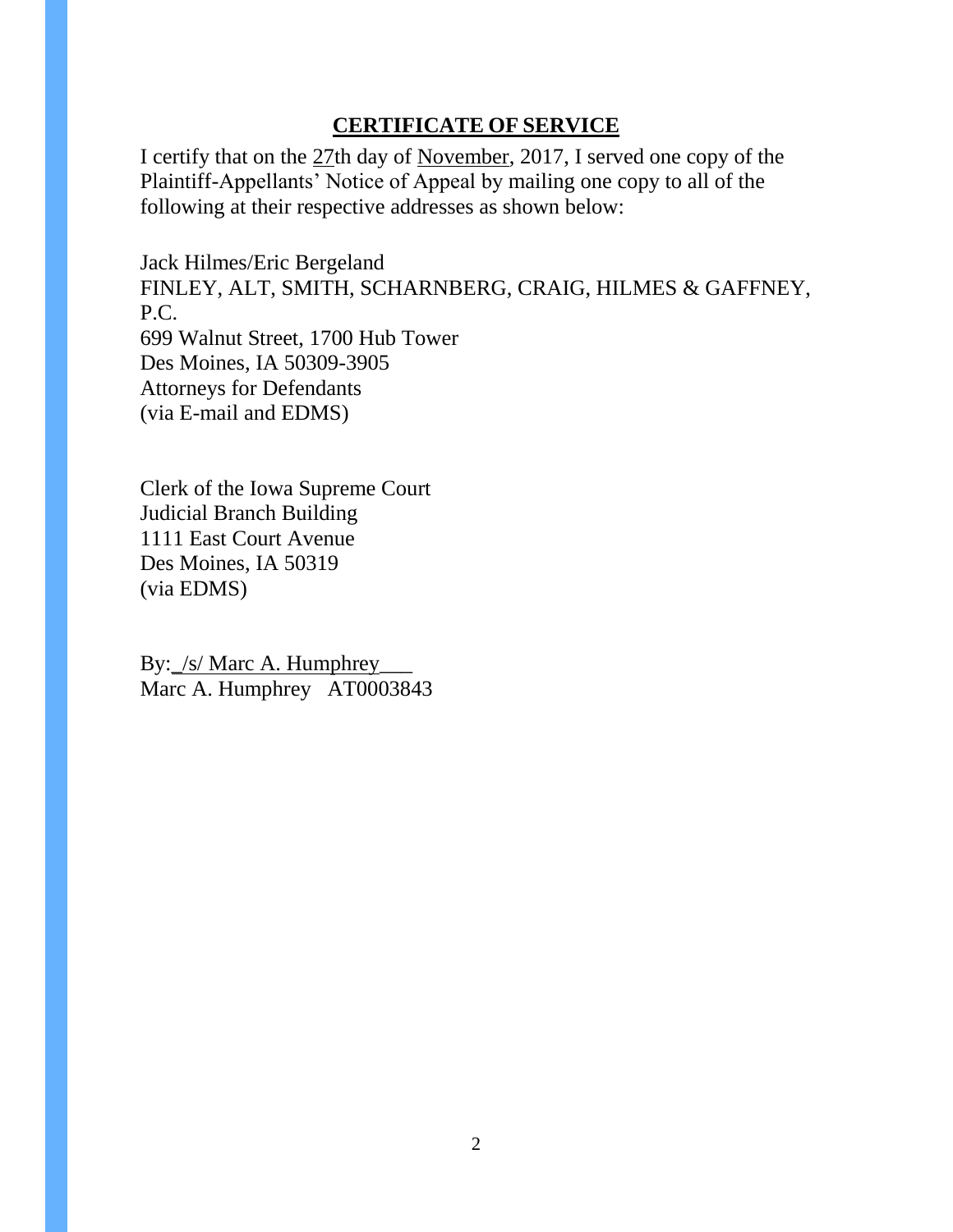### **CERTIFICATE OF SERVICE**

I certify that on the 27th day of November, 2017, I served one copy of the Plaintiff-Appellants' Notice of Appeal by mailing one copy to all of the following at their respective addresses as shown below:

Jack Hilmes/Eric Bergeland FINLEY, ALT, SMITH, SCHARNBERG, CRAIG, HILMES & GAFFNEY, P.C. 699 Walnut Street, 1700 Hub Tower Des Moines, IA 50309-3905 Attorneys for Defendants (via E-mail and EDMS)

Clerk of the Iowa Supreme Court Judicial Branch Building 1111 East Court Avenue Des Moines, IA 50319 (via EDMS)

By: /s/ Marc A. Humphrey Marc A. Humphrey AT0003843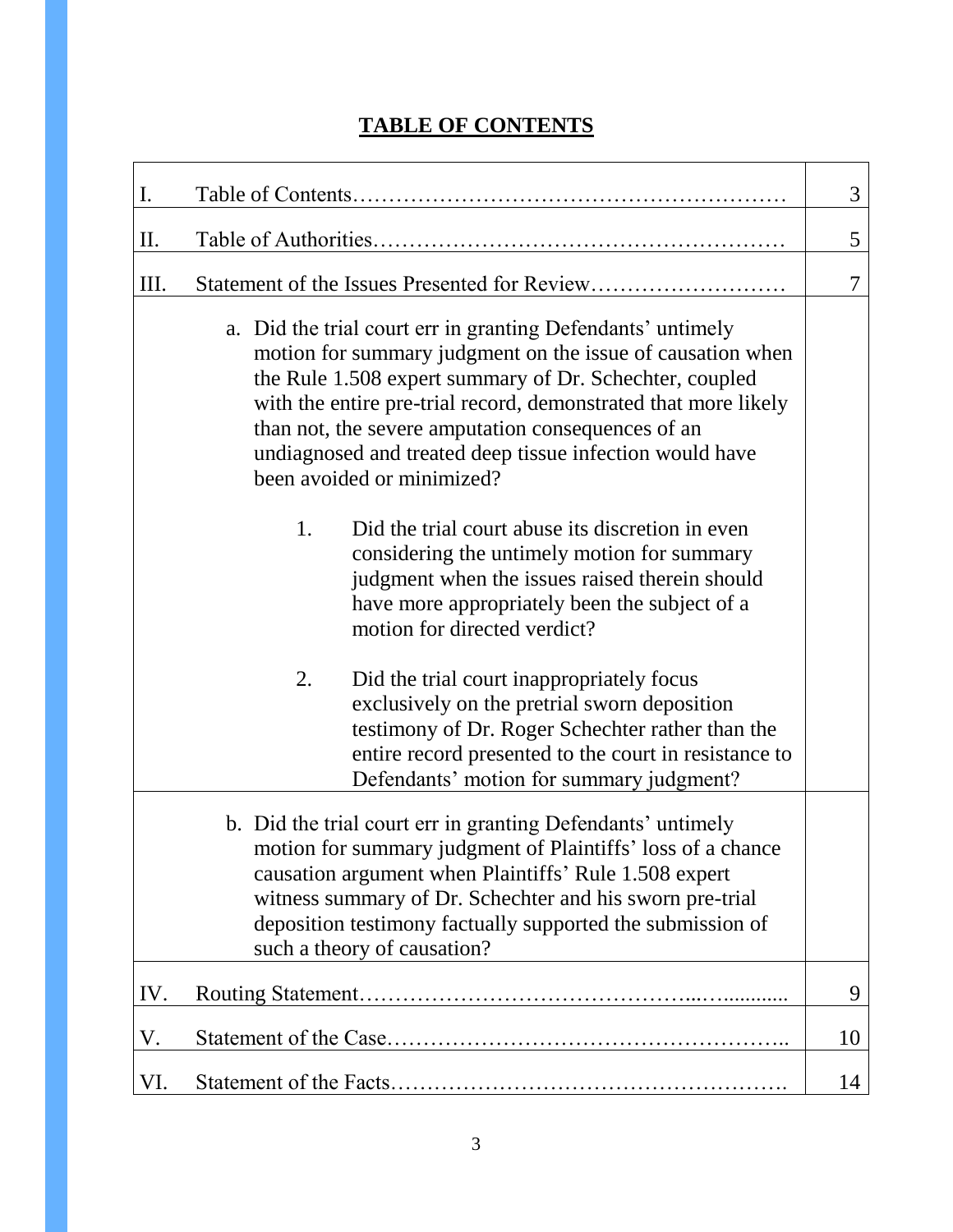# **TABLE OF CONTENTS**

| $\mathbf{I}$ .                                                                                                                                                                                                                                                                                                                                                                                          |                                                                                                                                                                                                                                                          | 3  |
|---------------------------------------------------------------------------------------------------------------------------------------------------------------------------------------------------------------------------------------------------------------------------------------------------------------------------------------------------------------------------------------------------------|----------------------------------------------------------------------------------------------------------------------------------------------------------------------------------------------------------------------------------------------------------|----|
| П.                                                                                                                                                                                                                                                                                                                                                                                                      |                                                                                                                                                                                                                                                          | 5  |
| III.                                                                                                                                                                                                                                                                                                                                                                                                    |                                                                                                                                                                                                                                                          | 7  |
| a. Did the trial court err in granting Defendants' untimely<br>motion for summary judgment on the issue of causation when<br>the Rule 1.508 expert summary of Dr. Schechter, coupled<br>with the entire pre-trial record, demonstrated that more likely<br>than not, the severe amputation consequences of an<br>undiagnosed and treated deep tissue infection would have<br>been avoided or minimized? |                                                                                                                                                                                                                                                          |    |
|                                                                                                                                                                                                                                                                                                                                                                                                         | Did the trial court abuse its discretion in even<br>1.<br>considering the untimely motion for summary<br>judgment when the issues raised therein should<br>have more appropriately been the subject of a<br>motion for directed verdict?                 |    |
|                                                                                                                                                                                                                                                                                                                                                                                                         | 2.<br>Did the trial court inappropriately focus<br>exclusively on the pretrial sworn deposition<br>testimony of Dr. Roger Schechter rather than the<br>entire record presented to the court in resistance to<br>Defendants' motion for summary judgment? |    |
| b. Did the trial court err in granting Defendants' untimely<br>motion for summary judgment of Plaintiffs' loss of a chance<br>causation argument when Plaintiffs' Rule 1.508 expert<br>witness summary of Dr. Schechter and his sworn pre-trial<br>deposition testimony factually supported the submission of<br>such a theory of causation?                                                            |                                                                                                                                                                                                                                                          |    |
| IV.                                                                                                                                                                                                                                                                                                                                                                                                     |                                                                                                                                                                                                                                                          | 9  |
| V.                                                                                                                                                                                                                                                                                                                                                                                                      |                                                                                                                                                                                                                                                          | 10 |
| VI.                                                                                                                                                                                                                                                                                                                                                                                                     |                                                                                                                                                                                                                                                          | 14 |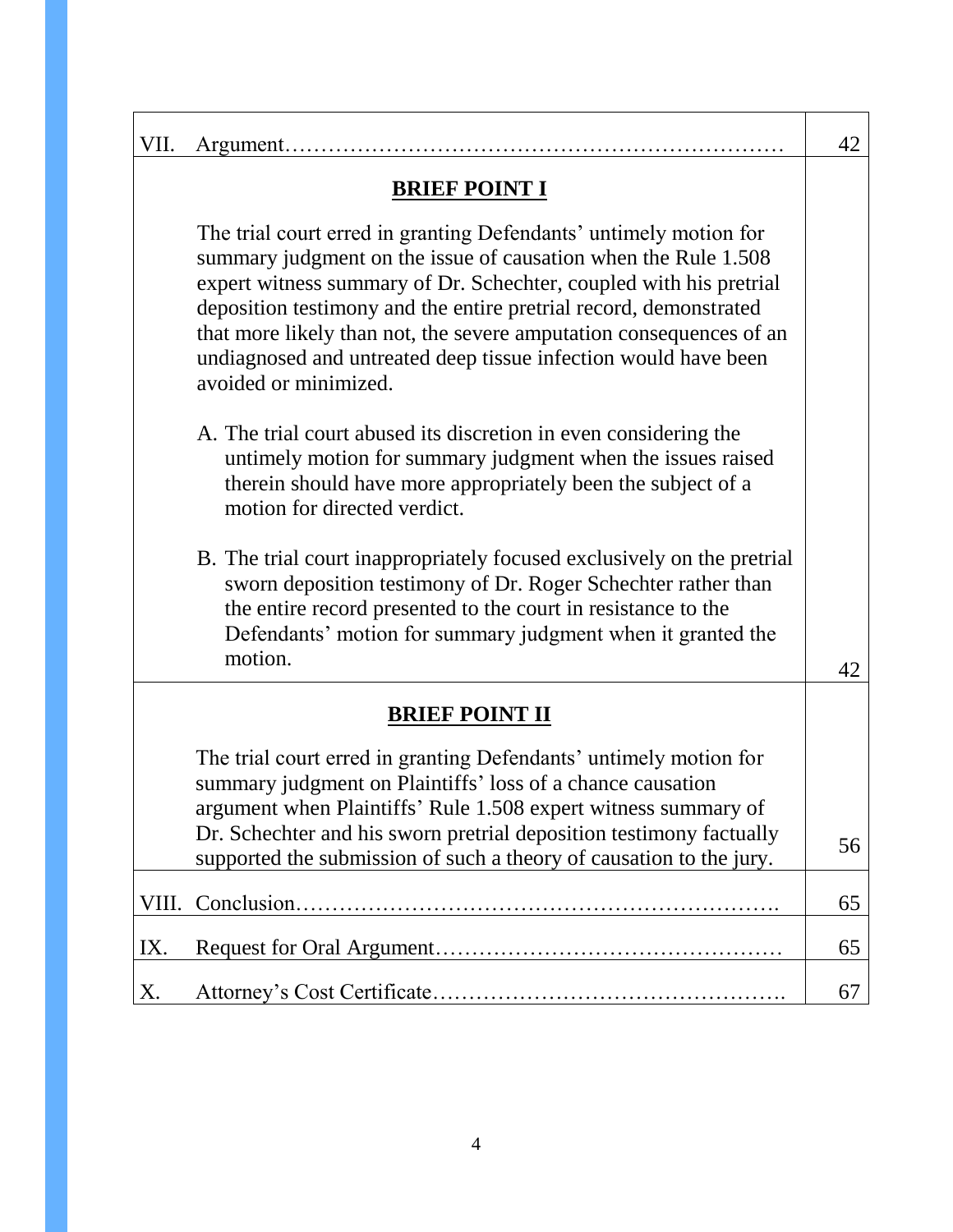| VII.                  |                                                                                                                                                                                                                                                                                                                                                                                                                                                   | 42 |
|-----------------------|---------------------------------------------------------------------------------------------------------------------------------------------------------------------------------------------------------------------------------------------------------------------------------------------------------------------------------------------------------------------------------------------------------------------------------------------------|----|
| <b>BRIEF POINT I</b>  |                                                                                                                                                                                                                                                                                                                                                                                                                                                   |    |
|                       | The trial court erred in granting Defendants' untimely motion for<br>summary judgment on the issue of causation when the Rule 1.508<br>expert witness summary of Dr. Schechter, coupled with his pretrial<br>deposition testimony and the entire pretrial record, demonstrated<br>that more likely than not, the severe amputation consequences of an<br>undiagnosed and untreated deep tissue infection would have been<br>avoided or minimized. |    |
|                       | A. The trial court abused its discretion in even considering the<br>untimely motion for summary judgment when the issues raised<br>therein should have more appropriately been the subject of a<br>motion for directed verdict.                                                                                                                                                                                                                   |    |
|                       | B. The trial court inappropriately focused exclusively on the pretrial<br>sworn deposition testimony of Dr. Roger Schechter rather than<br>the entire record presented to the court in resistance to the<br>Defendants' motion for summary judgment when it granted the<br>motion.                                                                                                                                                                | 42 |
| <b>BRIEF POINT II</b> |                                                                                                                                                                                                                                                                                                                                                                                                                                                   |    |
|                       | The trial court erred in granting Defendants' untimely motion for<br>summary judgment on Plaintiffs' loss of a chance causation<br>argument when Plaintiffs' Rule 1.508 expert witness summary of<br>Dr. Schechter and his sworn pretrial deposition testimony factually<br>supported the submission of such a theory of causation to the jury.                                                                                                   | 56 |
| VIII.                 |                                                                                                                                                                                                                                                                                                                                                                                                                                                   | 65 |
| IX.                   |                                                                                                                                                                                                                                                                                                                                                                                                                                                   | 65 |
| Х.                    |                                                                                                                                                                                                                                                                                                                                                                                                                                                   | 67 |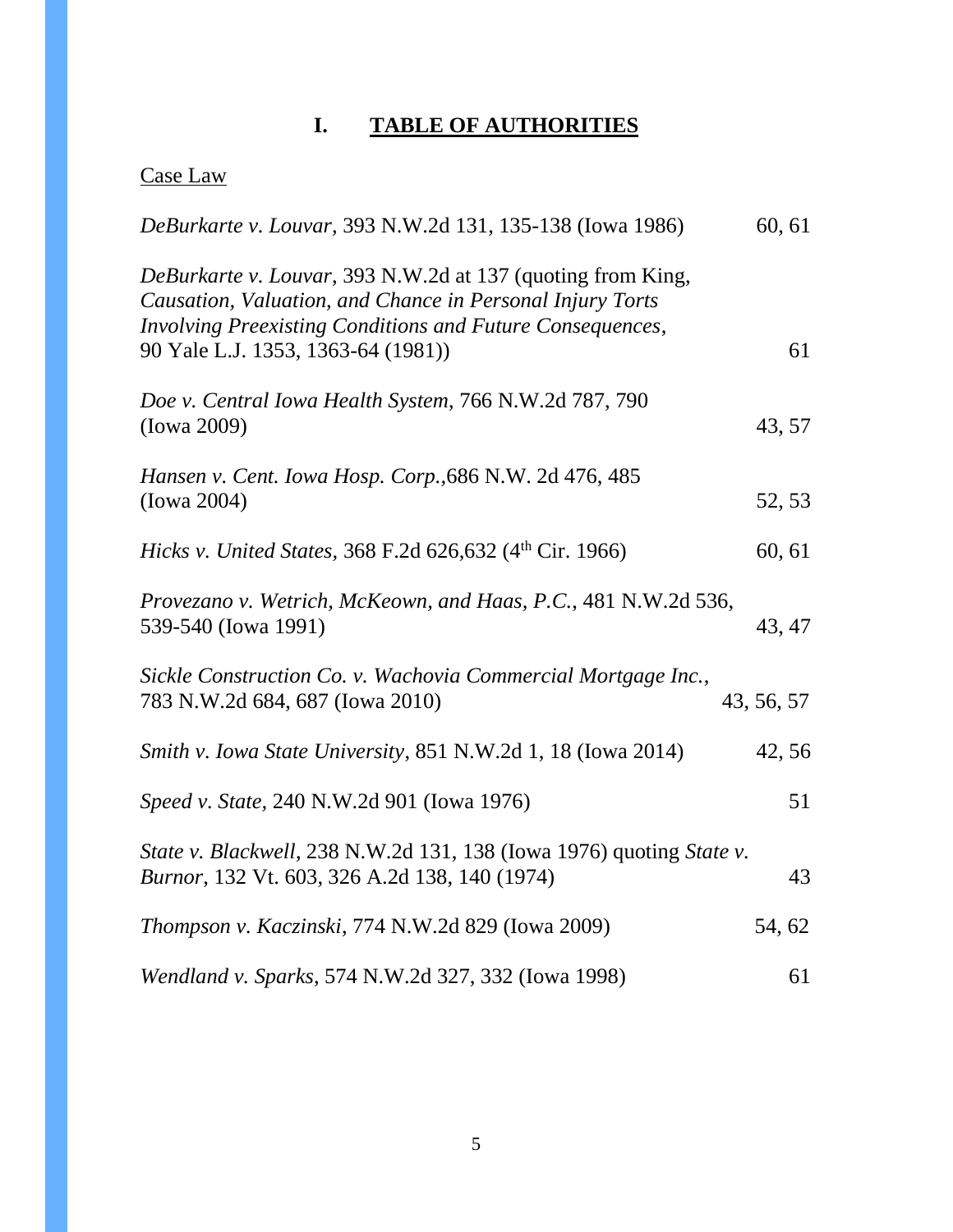# **I. TABLE OF AUTHORITIES**

# Case Law

| DeBurkarte v. Louvar, 393 N.W.2d 131, 135-138 (Iowa 1986)                                                                                                                                                                   | 60, 61     |
|-----------------------------------------------------------------------------------------------------------------------------------------------------------------------------------------------------------------------------|------------|
| DeBurkarte v. Louvar, 393 N.W.2d at 137 (quoting from King,<br>Causation, Valuation, and Chance in Personal Injury Torts<br>Involving Preexisting Conditions and Future Consequences,<br>90 Yale L.J. 1353, 1363-64 (1981)) | 61         |
| Doe v. Central Iowa Health System, 766 N.W.2d 787, 790<br>(Iowa 2009)                                                                                                                                                       | 43, 57     |
| Hansen v. Cent. Iowa Hosp. Corp., 686 N.W. 2d 476, 485<br>(Iowa 2004)                                                                                                                                                       | 52, 53     |
| <i>Hicks v. United States, 368 F.2d 626,632 (4th Cir. 1966)</i>                                                                                                                                                             | 60, 61     |
| Provezano v. Wetrich, McKeown, and Haas, P.C., 481 N.W.2d 536,<br>539-540 (Iowa 1991)                                                                                                                                       | 43, 47     |
| Sickle Construction Co. v. Wachovia Commercial Mortgage Inc.,<br>783 N.W.2d 684, 687 (Iowa 2010)                                                                                                                            | 43, 56, 57 |
| Smith v. Iowa State University, 851 N.W.2d 1, 18 (Iowa 2014)                                                                                                                                                                | 42,56      |
| Speed v. State, 240 N.W.2d 901 (Iowa 1976)                                                                                                                                                                                  | 51         |
| State v. Blackwell, 238 N.W.2d 131, 138 (Iowa 1976) quoting State v.<br><i>Burnor</i> , 132 Vt. 603, 326 A.2d 138, 140 (1974)                                                                                               | 43         |
| <i>Thompson v. Kaczinski, 774 N.W.2d 829 (Iowa 2009)</i>                                                                                                                                                                    | 54, 62     |
| Wendland v. Sparks, 574 N.W.2d 327, 332 (Iowa 1998)                                                                                                                                                                         | 61         |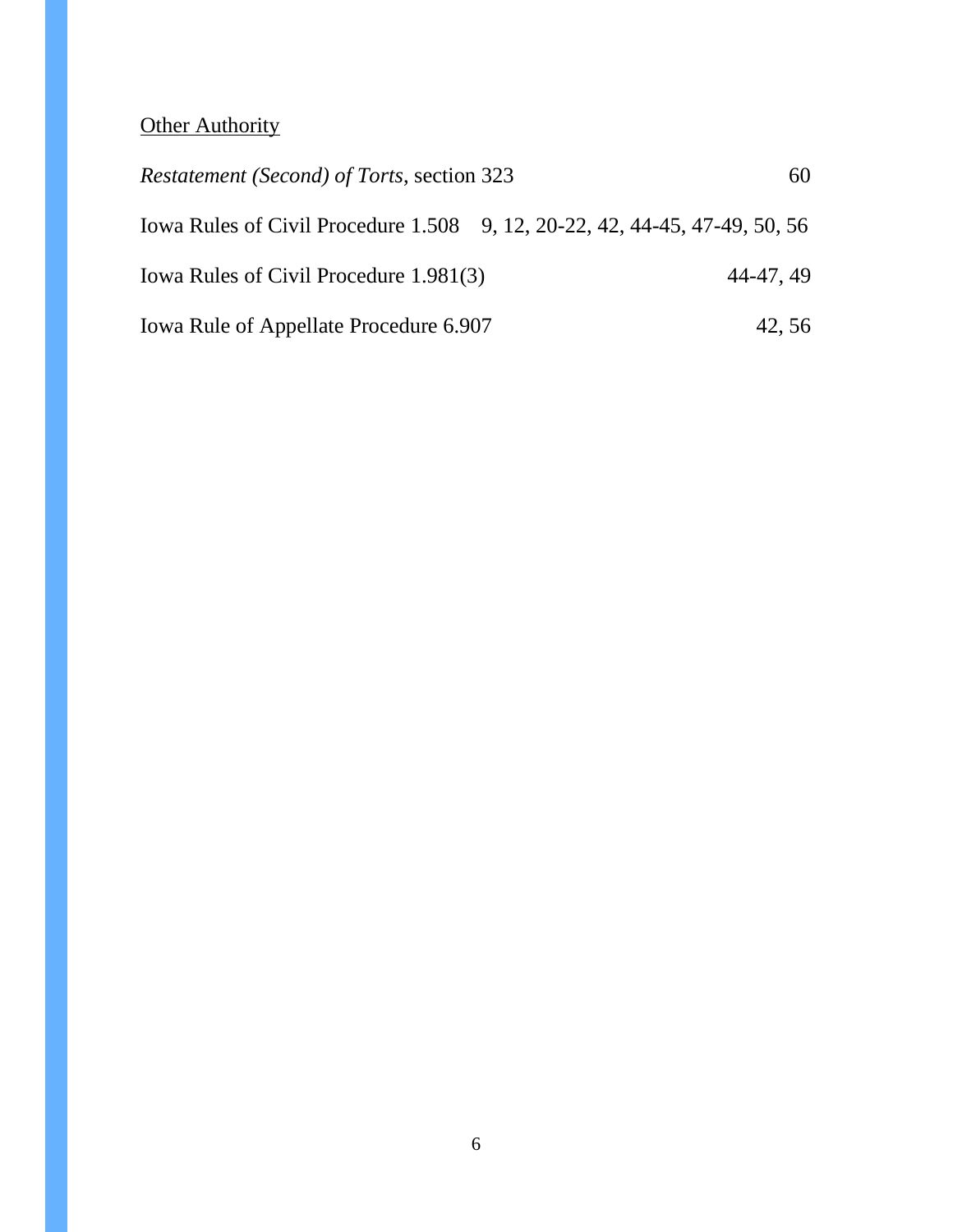# **Other Authority**

| <i>Restatement (Second) of Torts, section 323</i> | 60                                                                         |  |
|---------------------------------------------------|----------------------------------------------------------------------------|--|
|                                                   | Iowa Rules of Civil Procedure 1.508 9, 12, 20-22, 42, 44-45, 47-49, 50, 56 |  |
| Iowa Rules of Civil Procedure 1.981(3)            | 44-47, 49                                                                  |  |
| Iowa Rule of Appellate Procedure 6.907            | 42,56                                                                      |  |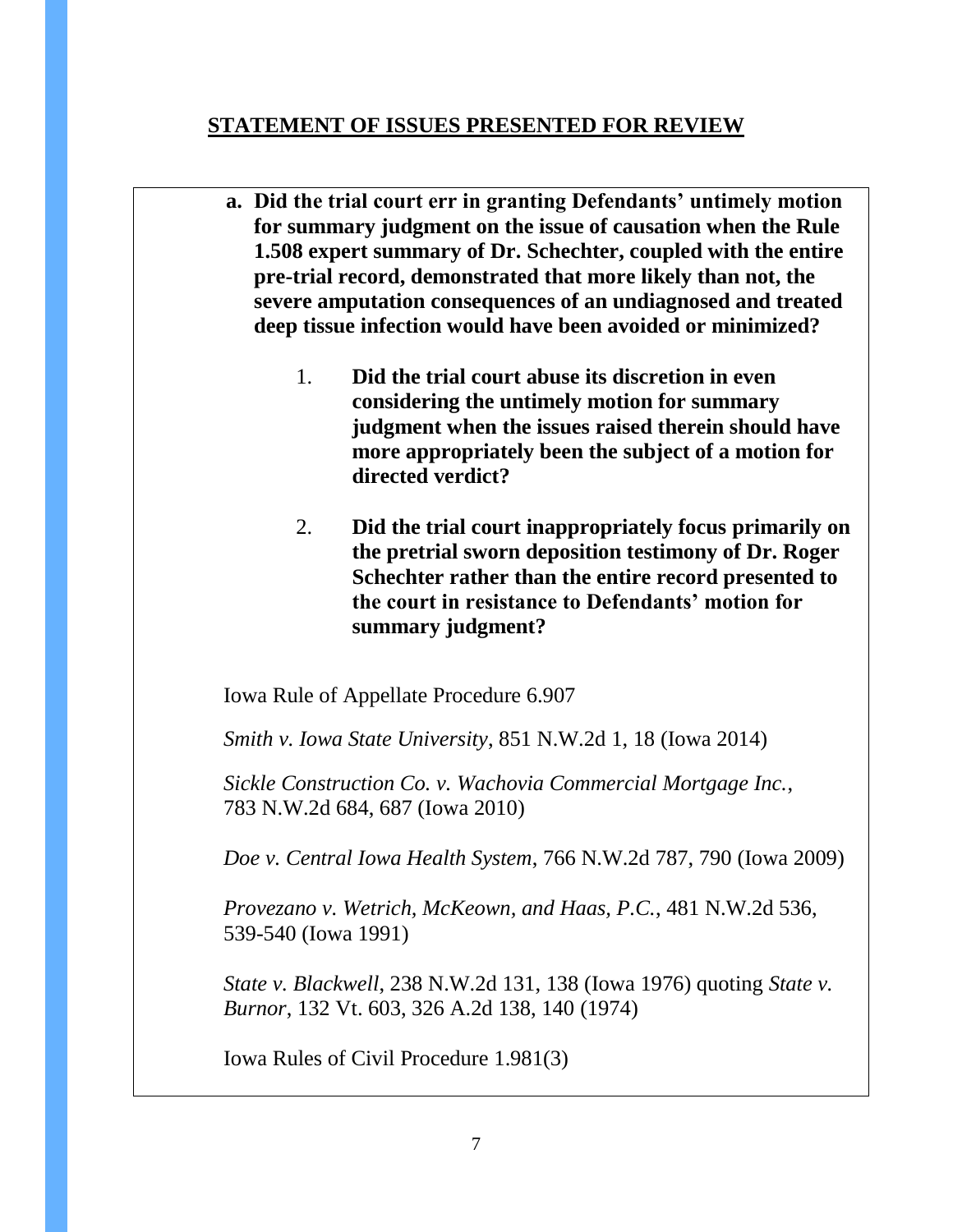### **STATEMENT OF ISSUES PRESENTED FOR REVIEW**

- **a. Did the trial court err in granting Defendants' untimely motion for summary judgment on the issue of causation when the Rule 1.508 expert summary of Dr. Schechter, coupled with the entire pre-trial record, demonstrated that more likely than not, the severe amputation consequences of an undiagnosed and treated deep tissue infection would have been avoided or minimized?**
	- 1. **Did the trial court abuse its discretion in even considering the untimely motion for summary judgment when the issues raised therein should have more appropriately been the subject of a motion for directed verdict?**
	- 2. **Did the trial court inappropriately focus primarily on the pretrial sworn deposition testimony of Dr. Roger Schechter rather than the entire record presented to the court in resistance to Defendants' motion for summary judgment?**

Iowa Rule of Appellate Procedure 6.907

*Smith v. Iowa State University*, 851 N.W.2d 1, 18 (Iowa 2014)

*Sickle Construction Co. v. Wachovia Commercial Mortgage Inc.*, 783 N.W.2d 684, 687 (Iowa 2010)

*Doe v. Central Iowa Health System*, 766 N.W.2d 787, 790 (Iowa 2009)

*Provezano v. Wetrich, McKeown, and Haas, P.C.*, 481 N.W.2d 536, 539-540 (Iowa 1991)

*State v. Blackwell*, 238 N.W.2d 131, 138 (Iowa 1976) quoting *State v. Burnor*, 132 Vt. 603, 326 A.2d 138, 140 (1974)

Iowa Rules of Civil Procedure 1.981(3)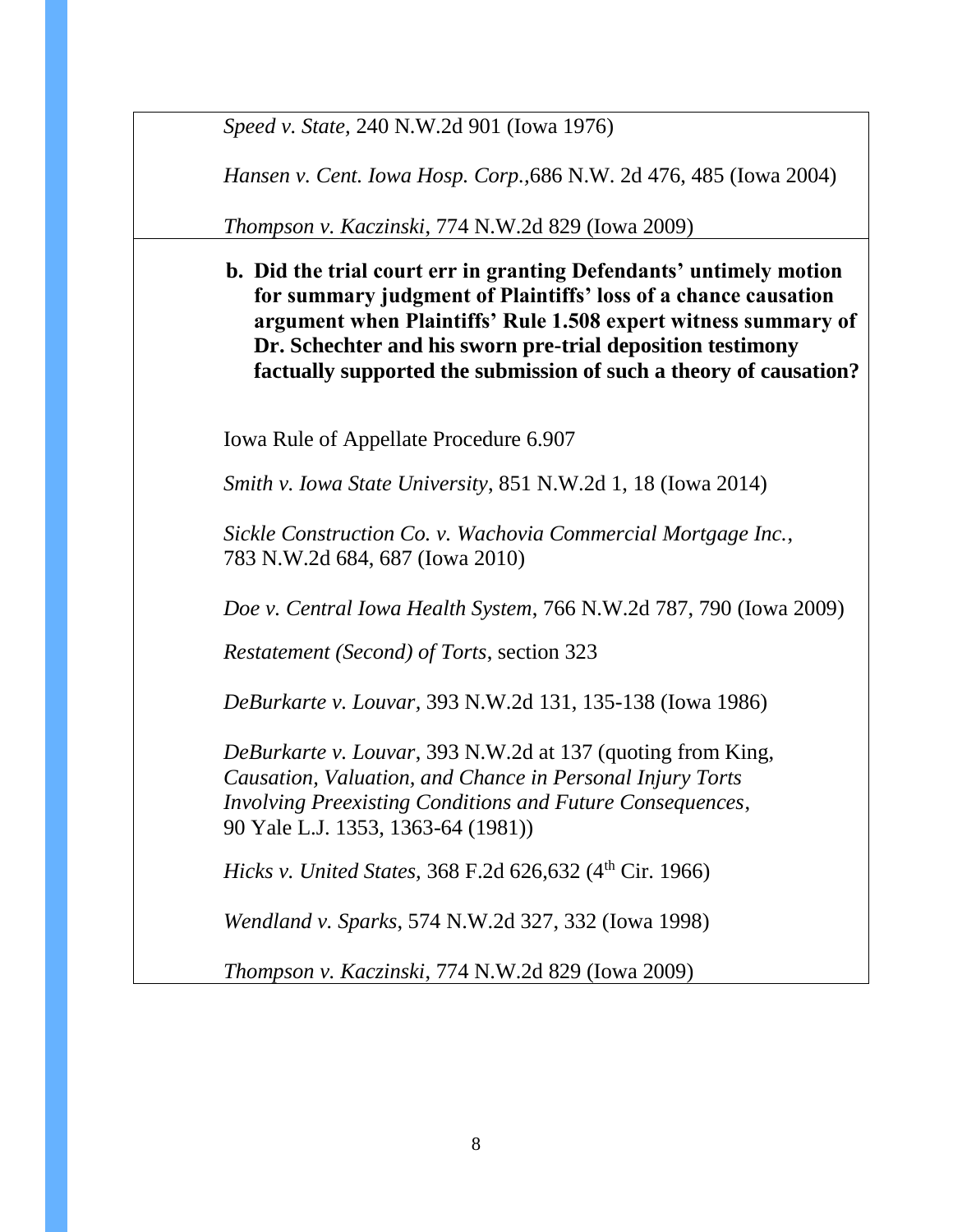*Speed v. State,* 240 N.W.2d 901 (Iowa 1976)

*Hansen v. Cent. Iowa Hosp. Corp.,*686 N.W. 2d 476, 485 (Iowa 2004)

*Thompson v. Kaczinski*, 774 N.W.2d 829 (Iowa 2009)

**b. Did the trial court err in granting Defendants' untimely motion for summary judgment of Plaintiffs' loss of a chance causation argument when Plaintiffs' Rule 1.508 expert witness summary of Dr. Schechter and his sworn pre-trial deposition testimony factually supported the submission of such a theory of causation?** 

Iowa Rule of Appellate Procedure 6.907

*Smith v. Iowa State University*, 851 N.W.2d 1, 18 (Iowa 2014)

*Sickle Construction Co. v. Wachovia Commercial Mortgage Inc.*, 783 N.W.2d 684, 687 (Iowa 2010)

*Doe v. Central Iowa Health System*, 766 N.W.2d 787, 790 (Iowa 2009)

*Restatement (Second) of Torts*, section 323

*DeBurkarte v. Louvar,* 393 N.W.2d 131, 135-138 (Iowa 1986)

*DeBurkarte v. Louvar*, 393 N.W.2d at 137 (quoting from King, *Causation, Valuation, and Chance in Personal Injury Torts Involving Preexisting Conditions and Future Consequences*, 90 Yale L.J. 1353, 1363-64 (1981))

*Hicks v. United States,* 368 F.2d 626,632 (4<sup>th</sup> Cir. 1966)

*Wendland v. Sparks*, 574 N.W.2d 327, 332 (Iowa 1998)

*Thompson v. Kaczinski*, 774 N.W.2d 829 (Iowa 2009)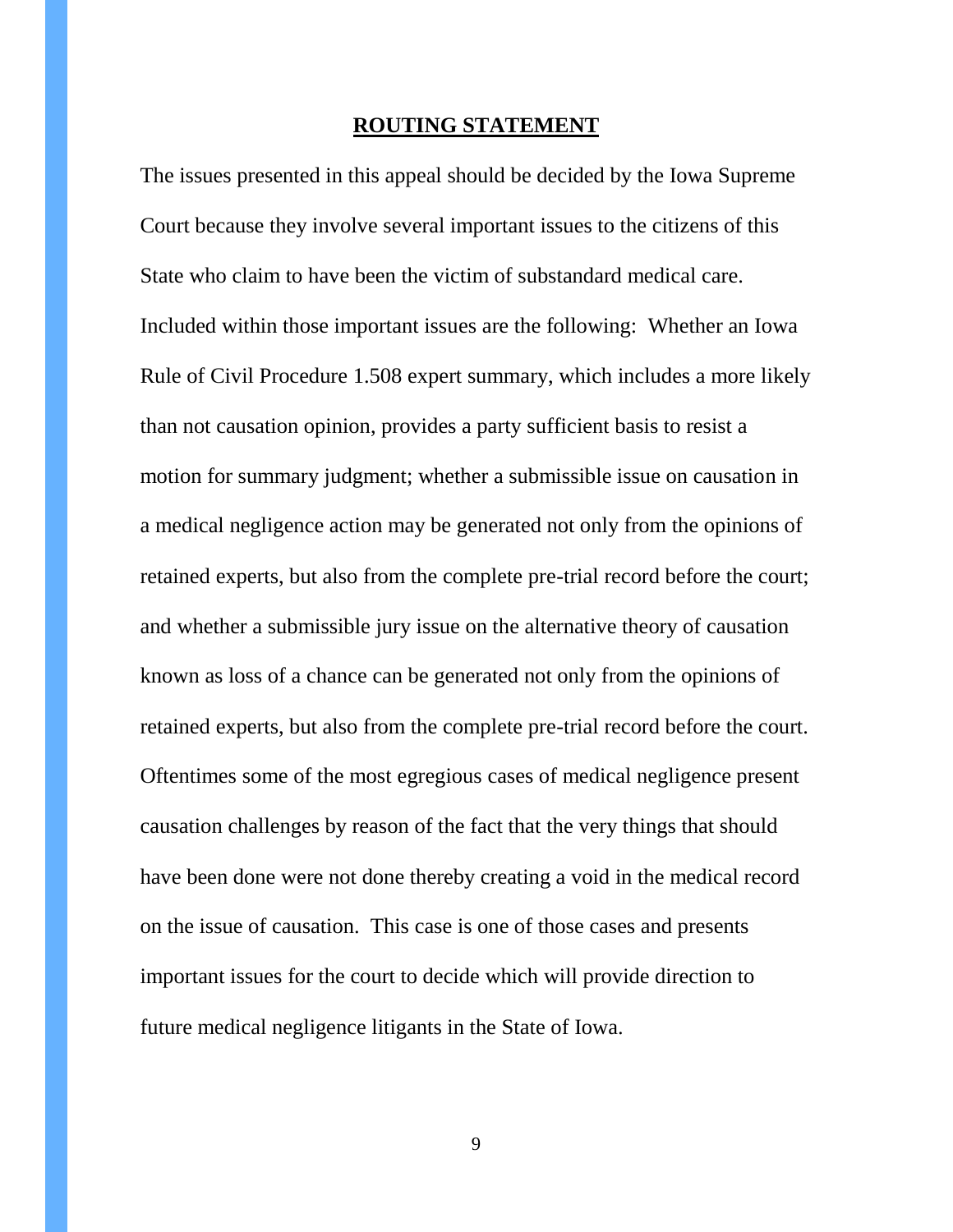#### **ROUTING STATEMENT**

The issues presented in this appeal should be decided by the Iowa Supreme Court because they involve several important issues to the citizens of this State who claim to have been the victim of substandard medical care. Included within those important issues are the following: Whether an Iowa Rule of Civil Procedure 1.508 expert summary, which includes a more likely than not causation opinion, provides a party sufficient basis to resist a motion for summary judgment; whether a submissible issue on causation in a medical negligence action may be generated not only from the opinions of retained experts, but also from the complete pre-trial record before the court; and whether a submissible jury issue on the alternative theory of causation known as loss of a chance can be generated not only from the opinions of retained experts, but also from the complete pre-trial record before the court. Oftentimes some of the most egregious cases of medical negligence present causation challenges by reason of the fact that the very things that should have been done were not done thereby creating a void in the medical record on the issue of causation. This case is one of those cases and presents important issues for the court to decide which will provide direction to future medical negligence litigants in the State of Iowa.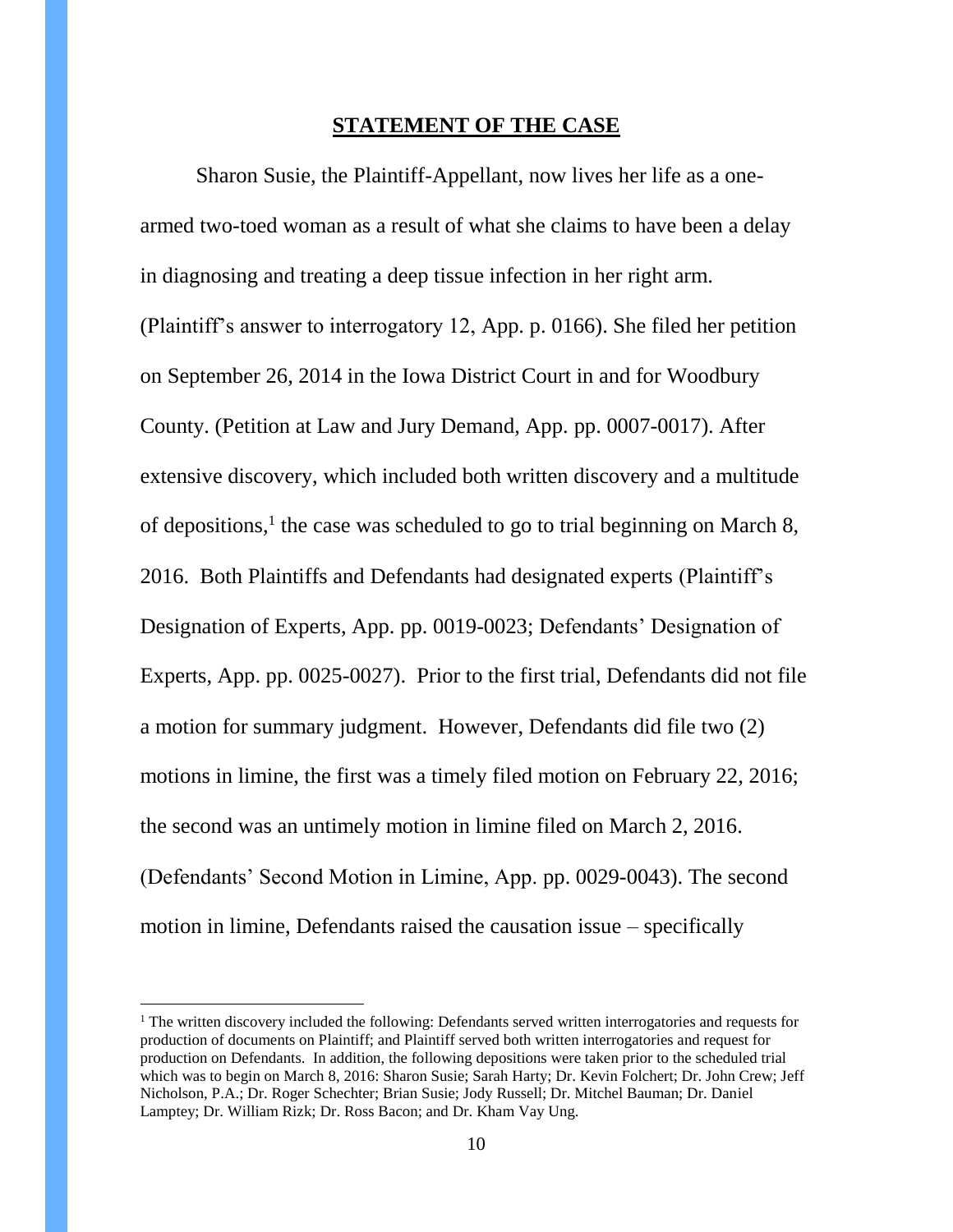#### **STATEMENT OF THE CASE**

Sharon Susie, the Plaintiff-Appellant, now lives her life as a onearmed two-toed woman as a result of what she claims to have been a delay in diagnosing and treating a deep tissue infection in her right arm. (Plaintiff's answer to interrogatory 12, App. p. 0166). She filed her petition on September 26, 2014 in the Iowa District Court in and for Woodbury County. (Petition at Law and Jury Demand, App. pp. 0007-0017). After extensive discovery, which included both written discovery and a multitude of depositions, $<sup>1</sup>$  the case was scheduled to go to trial beginning on March 8,</sup> 2016. Both Plaintiffs and Defendants had designated experts (Plaintiff's Designation of Experts, App. pp. 0019-0023; Defendants' Designation of Experts, App. pp. 0025-0027). Prior to the first trial, Defendants did not file a motion for summary judgment. However, Defendants did file two (2) motions in limine, the first was a timely filed motion on February 22, 2016; the second was an untimely motion in limine filed on March 2, 2016. (Defendants' Second Motion in Limine, App. pp. 0029-0043). The second motion in limine, Defendants raised the causation issue – specifically

 $\overline{a}$ 

 $1$  The written discovery included the following: Defendants served written interrogatories and requests for production of documents on Plaintiff; and Plaintiff served both written interrogatories and request for production on Defendants. In addition, the following depositions were taken prior to the scheduled trial which was to begin on March 8, 2016: Sharon Susie; Sarah Harty; Dr. Kevin Folchert; Dr. John Crew; Jeff Nicholson, P.A.; Dr. Roger Schechter; Brian Susie; Jody Russell; Dr. Mitchel Bauman; Dr. Daniel Lamptey; Dr. William Rizk; Dr. Ross Bacon; and Dr. Kham Vay Ung.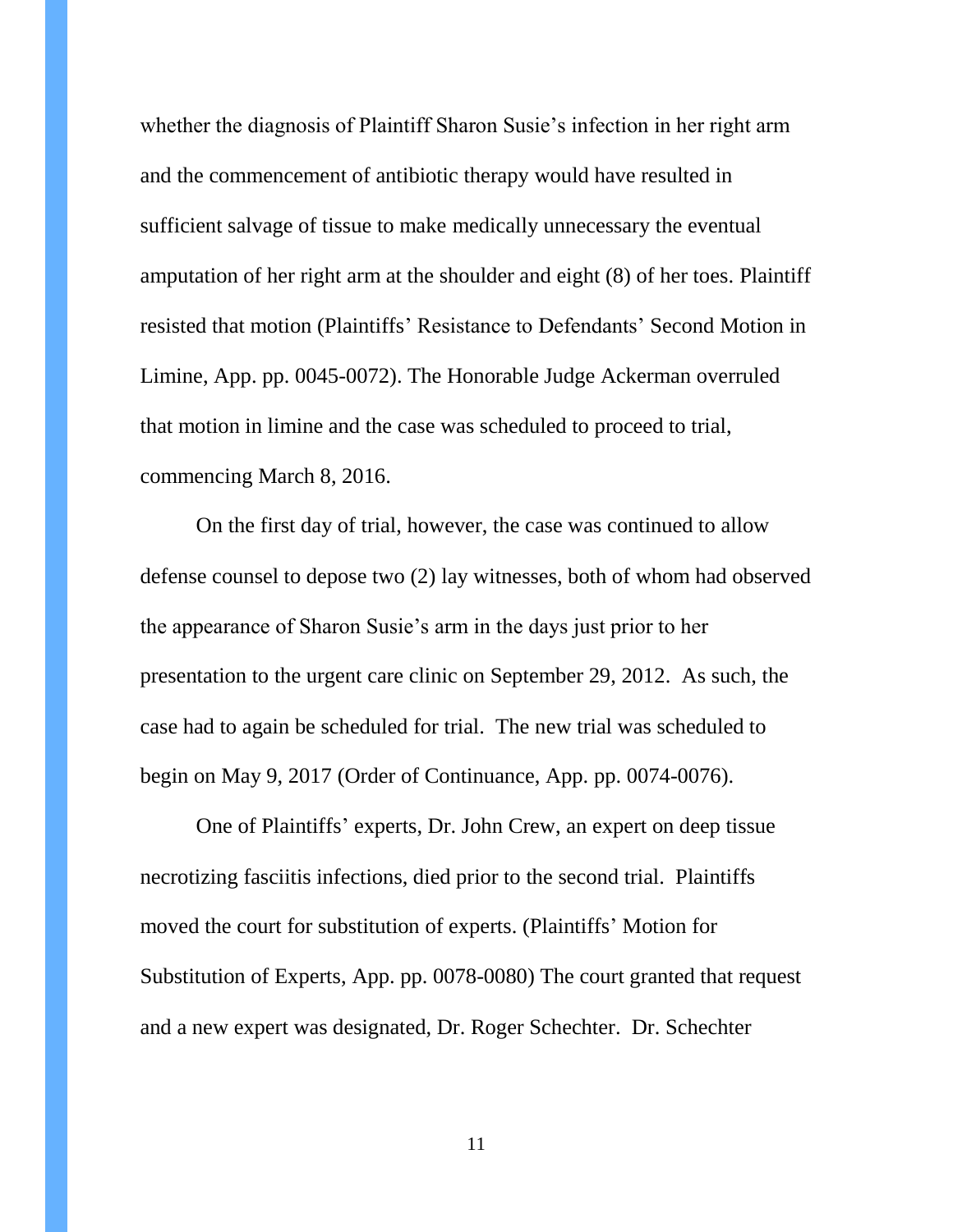whether the diagnosis of Plaintiff Sharon Susie's infection in her right arm and the commencement of antibiotic therapy would have resulted in sufficient salvage of tissue to make medically unnecessary the eventual amputation of her right arm at the shoulder and eight (8) of her toes. Plaintiff resisted that motion (Plaintiffs' Resistance to Defendants' Second Motion in Limine, App. pp. 0045-0072). The Honorable Judge Ackerman overruled that motion in limine and the case was scheduled to proceed to trial, commencing March 8, 2016.

On the first day of trial, however, the case was continued to allow defense counsel to depose two (2) lay witnesses, both of whom had observed the appearance of Sharon Susie's arm in the days just prior to her presentation to the urgent care clinic on September 29, 2012. As such, the case had to again be scheduled for trial. The new trial was scheduled to begin on May 9, 2017 (Order of Continuance, App. pp. 0074-0076).

One of Plaintiffs' experts, Dr. John Crew, an expert on deep tissue necrotizing fasciitis infections, died prior to the second trial. Plaintiffs moved the court for substitution of experts. (Plaintiffs' Motion for Substitution of Experts, App. pp. 0078-0080) The court granted that request and a new expert was designated, Dr. Roger Schechter. Dr. Schechter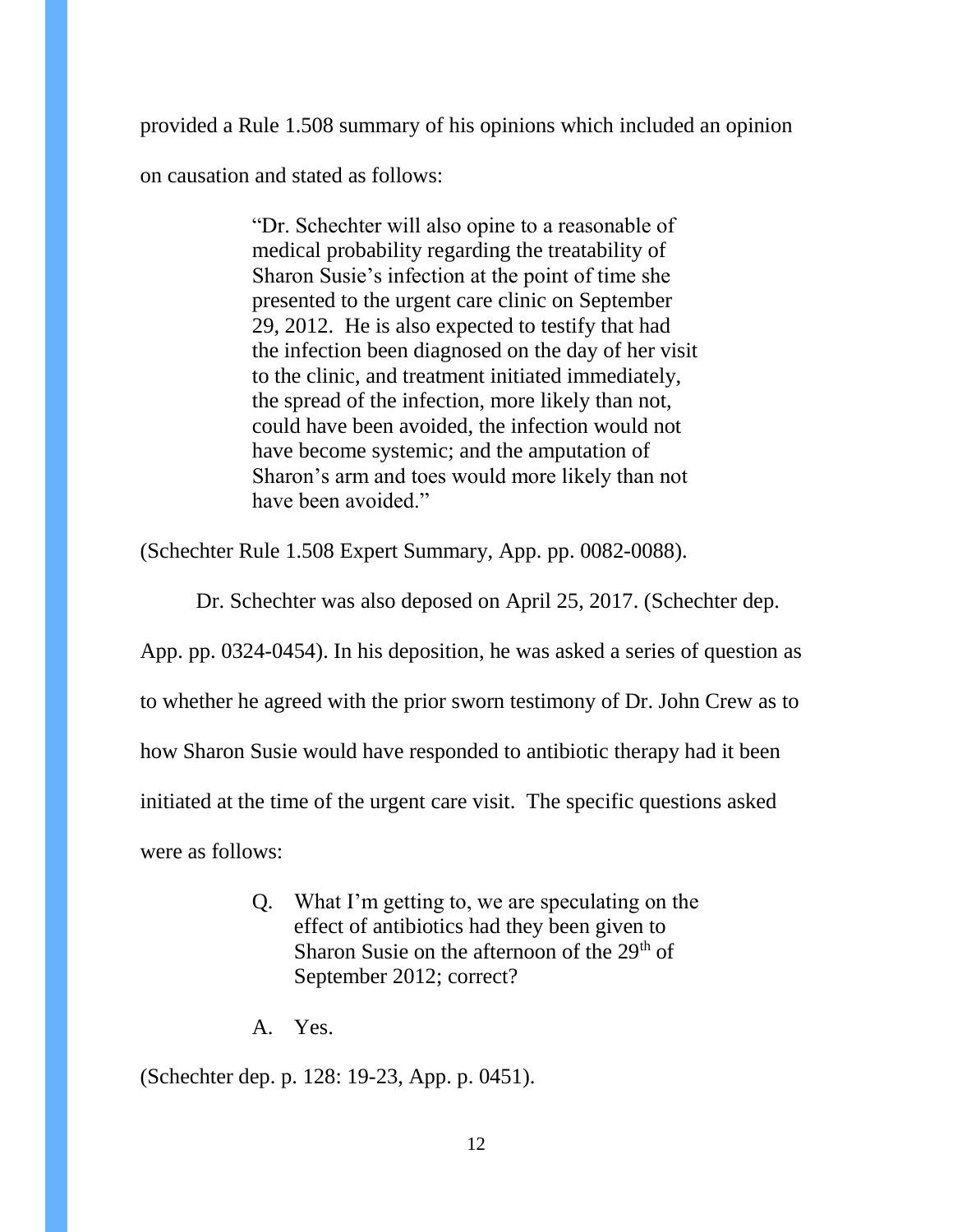provided a Rule 1.508 summary of his opinions which included an opinion

on causation and stated as follows:

"Dr. Schechter will also opine to a reasonable of medical probability regarding the treatability of Sharon Susie's infection at the point of time she presented to the urgent care clinic on September 29, 2012. He is also expected to testify that had the infection been diagnosed on the day of her visit to the clinic, and treatment initiated immediately, the spread of the infection, more likely than not, could have been avoided, the infection would not have become systemic; and the amputation of Sharon's arm and toes would more likely than not have been avoided."

(Schechter Rule 1.508 Expert Summary, App. pp. 0082-0088).

Dr. Schechter was also deposed on April 25, 2017. (Schechter dep.

App. pp. 0324-0454). In his deposition, he was asked a series of question as

to whether he agreed with the prior sworn testimony of Dr. John Crew as to

how Sharon Susie would have responded to antibiotic therapy had it been

initiated at the time of the urgent care visit. The specific questions asked

were as follows:

- Q. What I'm getting to, we are speculating on the effect of antibiotics had they been given to Sharon Susie on the afternoon of the  $29<sup>th</sup>$  of September 2012; correct?
- A. Yes.

(Schechter dep. p. 128: 19-23, App. p. 0451).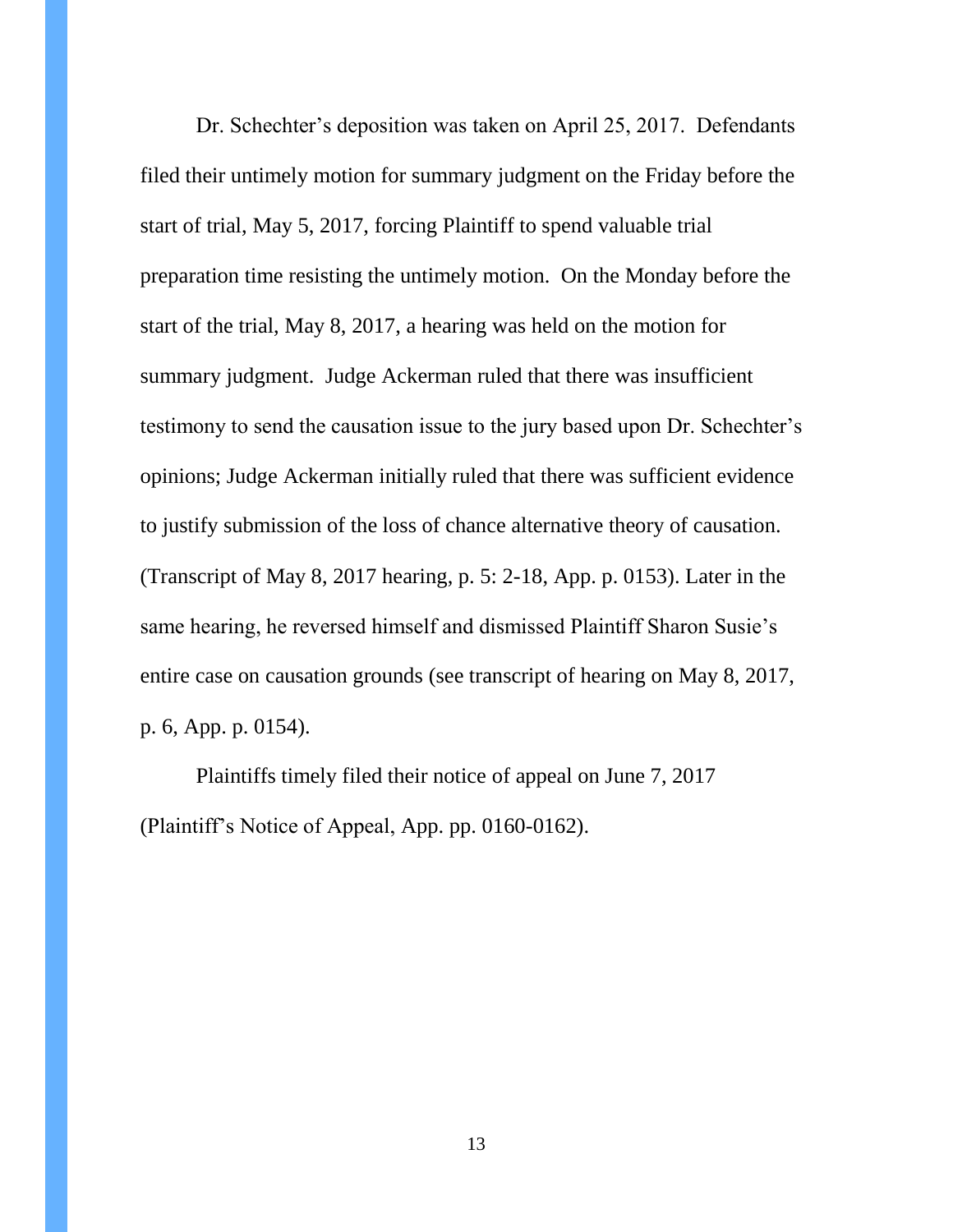Dr. Schechter's deposition was taken on April 25, 2017. Defendants filed their untimely motion for summary judgment on the Friday before the start of trial, May 5, 2017, forcing Plaintiff to spend valuable trial preparation time resisting the untimely motion. On the Monday before the start of the trial, May 8, 2017, a hearing was held on the motion for summary judgment. Judge Ackerman ruled that there was insufficient testimony to send the causation issue to the jury based upon Dr. Schechter's opinions; Judge Ackerman initially ruled that there was sufficient evidence to justify submission of the loss of chance alternative theory of causation. (Transcript of May 8, 2017 hearing, p. 5: 2-18, App. p. 0153). Later in the same hearing, he reversed himself and dismissed Plaintiff Sharon Susie's entire case on causation grounds (see transcript of hearing on May 8, 2017, p. 6, App. p. 0154).

Plaintiffs timely filed their notice of appeal on June 7, 2017 (Plaintiff's Notice of Appeal, App. pp. 0160-0162).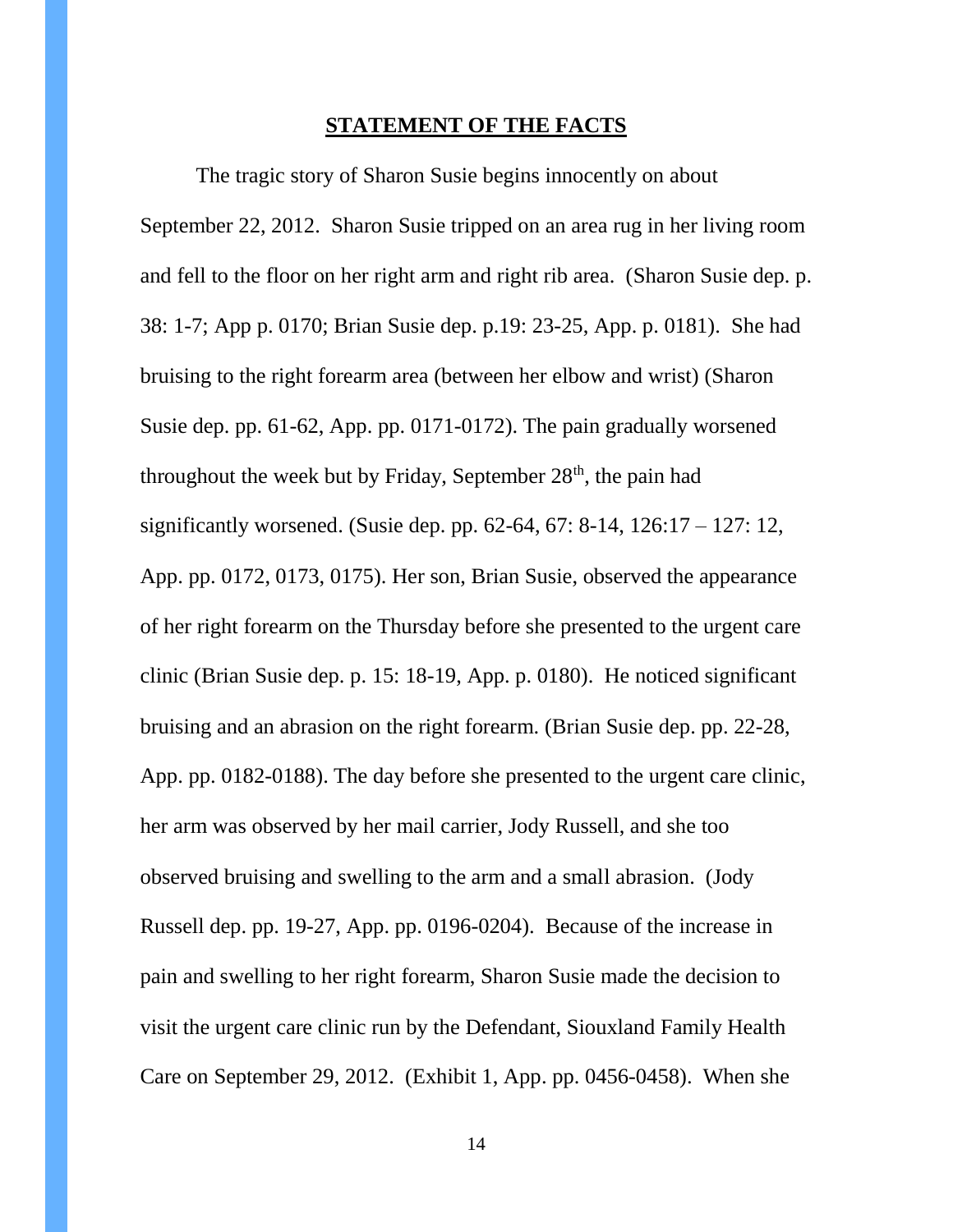#### **STATEMENT OF THE FACTS**

The tragic story of Sharon Susie begins innocently on about September 22, 2012. Sharon Susie tripped on an area rug in her living room and fell to the floor on her right arm and right rib area. (Sharon Susie dep. p. 38: 1-7; App p. 0170; Brian Susie dep. p.19: 23-25, App. p. 0181). She had bruising to the right forearm area (between her elbow and wrist) (Sharon Susie dep. pp. 61-62, App. pp. 0171-0172). The pain gradually worsened throughout the week but by Friday, September  $28<sup>th</sup>$ , the pain had significantly worsened. (Susie dep. pp. 62-64, 67: 8-14, 126:17 – 127: 12, App. pp. 0172, 0173, 0175). Her son, Brian Susie, observed the appearance of her right forearm on the Thursday before she presented to the urgent care clinic (Brian Susie dep. p. 15: 18-19, App. p. 0180). He noticed significant bruising and an abrasion on the right forearm. (Brian Susie dep. pp. 22-28, App. pp. 0182-0188). The day before she presented to the urgent care clinic, her arm was observed by her mail carrier, Jody Russell, and she too observed bruising and swelling to the arm and a small abrasion. (Jody Russell dep. pp. 19-27, App. pp. 0196-0204). Because of the increase in pain and swelling to her right forearm, Sharon Susie made the decision to visit the urgent care clinic run by the Defendant, Siouxland Family Health Care on September 29, 2012. (Exhibit 1, App. pp. 0456-0458). When she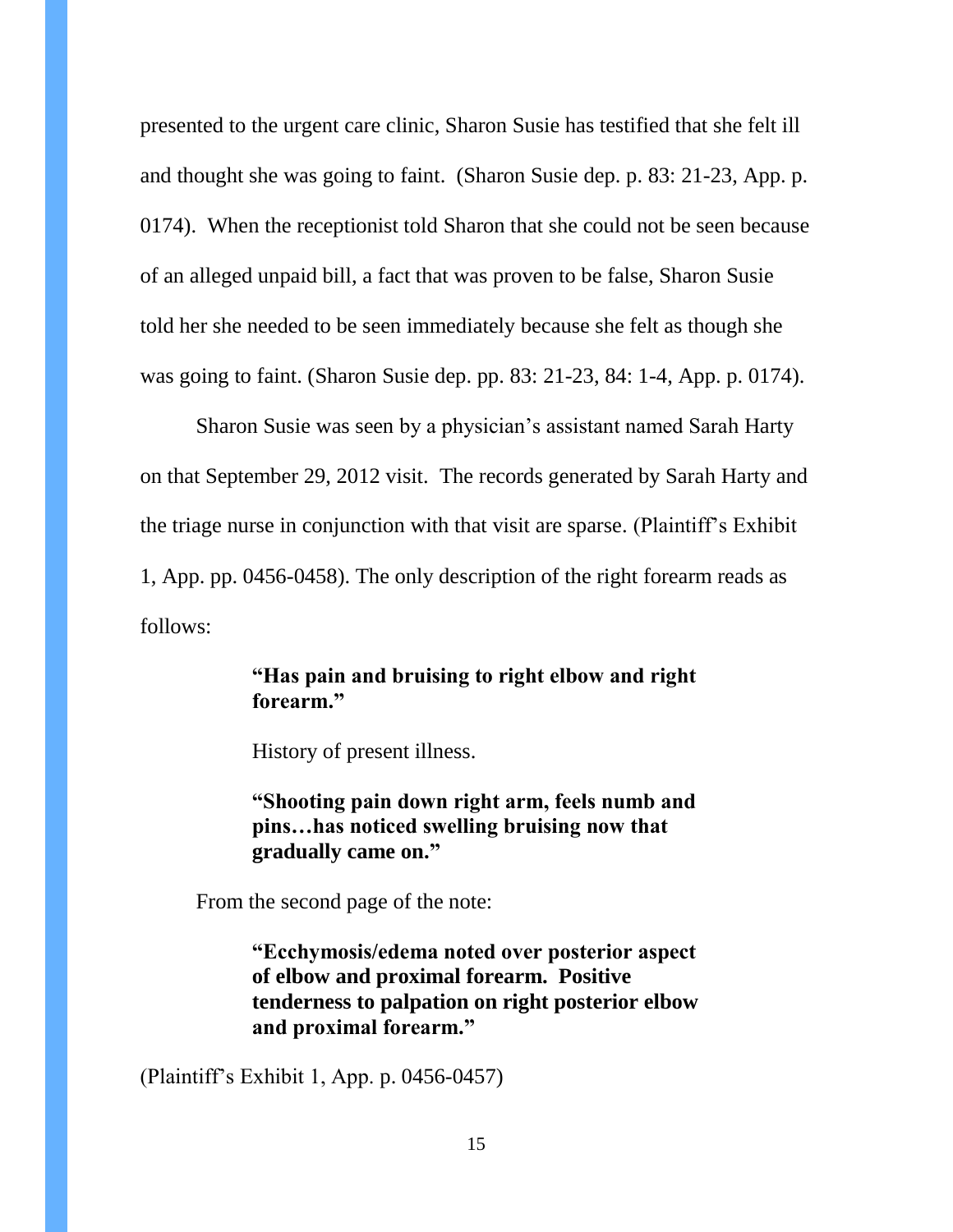presented to the urgent care clinic, Sharon Susie has testified that she felt ill and thought she was going to faint. (Sharon Susie dep. p. 83: 21-23, App. p. 0174). When the receptionist told Sharon that she could not be seen because of an alleged unpaid bill, a fact that was proven to be false, Sharon Susie told her she needed to be seen immediately because she felt as though she was going to faint. (Sharon Susie dep. pp. 83: 21-23, 84: 1-4, App. p. 0174).

Sharon Susie was seen by a physician's assistant named Sarah Harty on that September 29, 2012 visit. The records generated by Sarah Harty and the triage nurse in conjunction with that visit are sparse. (Plaintiff's Exhibit 1, App. pp. 0456-0458). The only description of the right forearm reads as follows:

### **"Has pain and bruising to right elbow and right forearm."**

History of present illness.

**"Shooting pain down right arm, feels numb and pins…has noticed swelling bruising now that gradually came on."**

From the second page of the note:

**"Ecchymosis/edema noted over posterior aspect of elbow and proximal forearm. Positive tenderness to palpation on right posterior elbow and proximal forearm."**

(Plaintiff's Exhibit 1, App. p. 0456-0457)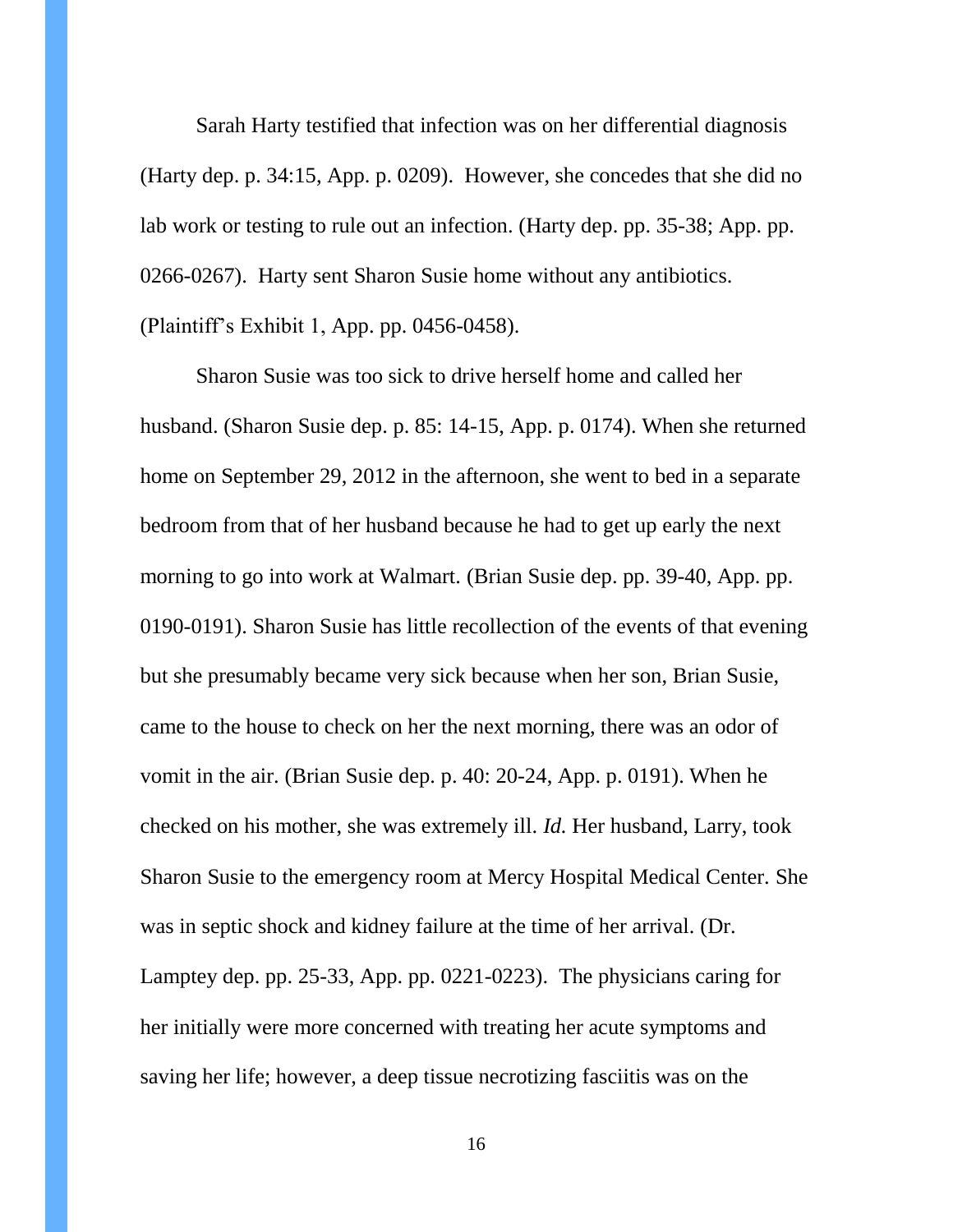Sarah Harty testified that infection was on her differential diagnosis (Harty dep. p. 34:15, App. p. 0209). However, she concedes that she did no lab work or testing to rule out an infection. (Harty dep. pp. 35-38; App. pp. 0266-0267). Harty sent Sharon Susie home without any antibiotics. (Plaintiff's Exhibit 1, App. pp. 0456-0458).

Sharon Susie was too sick to drive herself home and called her husband. (Sharon Susie dep. p. 85: 14-15, App. p. 0174). When she returned home on September 29, 2012 in the afternoon, she went to bed in a separate bedroom from that of her husband because he had to get up early the next morning to go into work at Walmart. (Brian Susie dep. pp. 39-40, App. pp. 0190-0191). Sharon Susie has little recollection of the events of that evening but she presumably became very sick because when her son, Brian Susie, came to the house to check on her the next morning, there was an odor of vomit in the air. (Brian Susie dep. p. 40: 20-24, App. p. 0191). When he checked on his mother, she was extremely ill. *Id.* Her husband, Larry, took Sharon Susie to the emergency room at Mercy Hospital Medical Center. She was in septic shock and kidney failure at the time of her arrival. (Dr. Lamptey dep. pp. 25-33, App. pp. 0221-0223). The physicians caring for her initially were more concerned with treating her acute symptoms and saving her life; however, a deep tissue necrotizing fasciitis was on the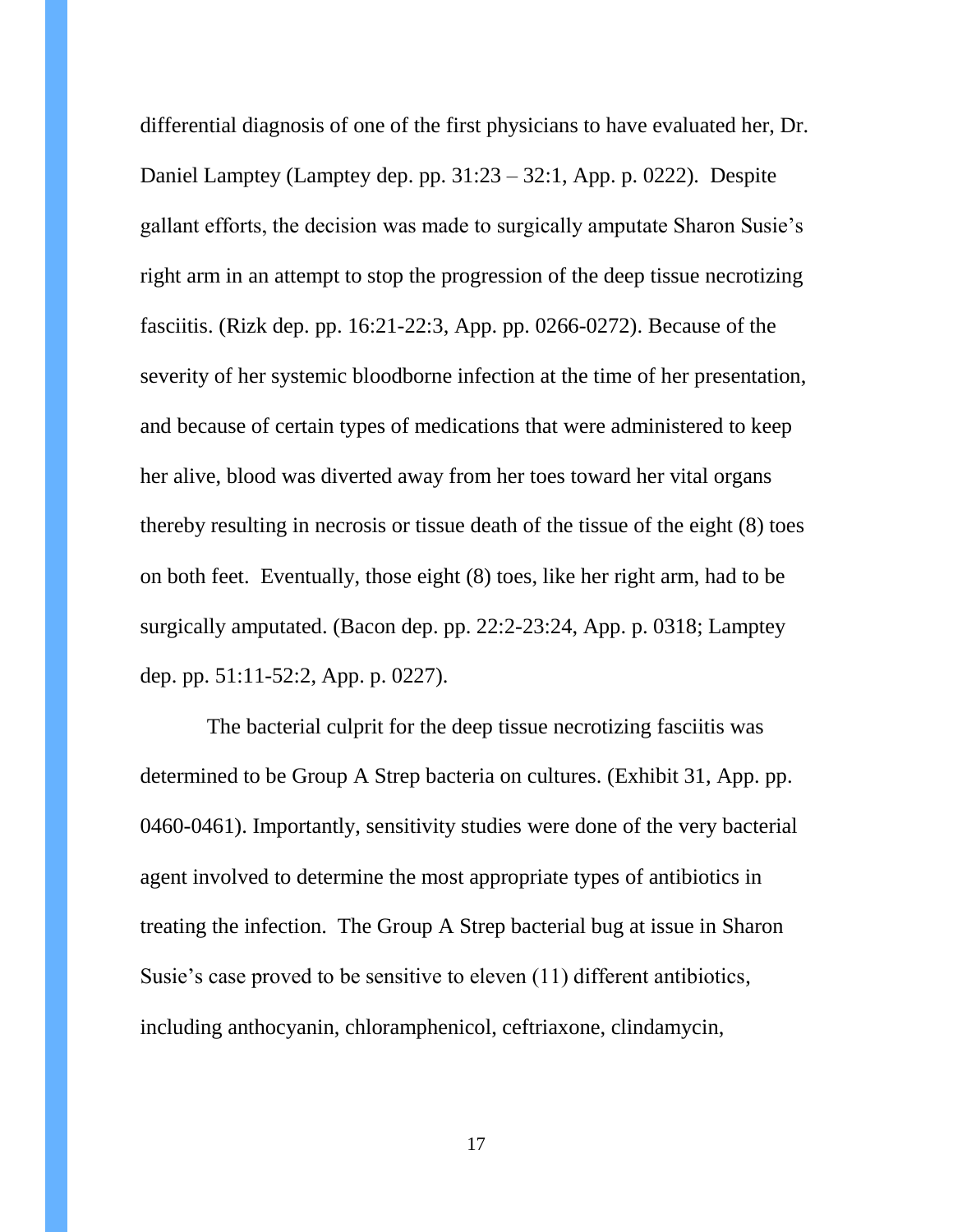differential diagnosis of one of the first physicians to have evaluated her, Dr. Daniel Lamptey (Lamptey dep. pp. 31:23 – 32:1, App. p. 0222). Despite gallant efforts, the decision was made to surgically amputate Sharon Susie's right arm in an attempt to stop the progression of the deep tissue necrotizing fasciitis. (Rizk dep. pp. 16:21-22:3, App. pp. 0266-0272). Because of the severity of her systemic bloodborne infection at the time of her presentation, and because of certain types of medications that were administered to keep her alive, blood was diverted away from her toes toward her vital organs thereby resulting in necrosis or tissue death of the tissue of the eight (8) toes on both feet. Eventually, those eight (8) toes, like her right arm, had to be surgically amputated. (Bacon dep. pp. 22:2-23:24, App. p. 0318; Lamptey dep. pp. 51:11-52:2, App. p. 0227).

 The bacterial culprit for the deep tissue necrotizing fasciitis was determined to be Group A Strep bacteria on cultures. (Exhibit 31, App. pp. 0460-0461). Importantly, sensitivity studies were done of the very bacterial agent involved to determine the most appropriate types of antibiotics in treating the infection. The Group A Strep bacterial bug at issue in Sharon Susie's case proved to be sensitive to eleven (11) different antibiotics, including anthocyanin, chloramphenicol, ceftriaxone, clindamycin,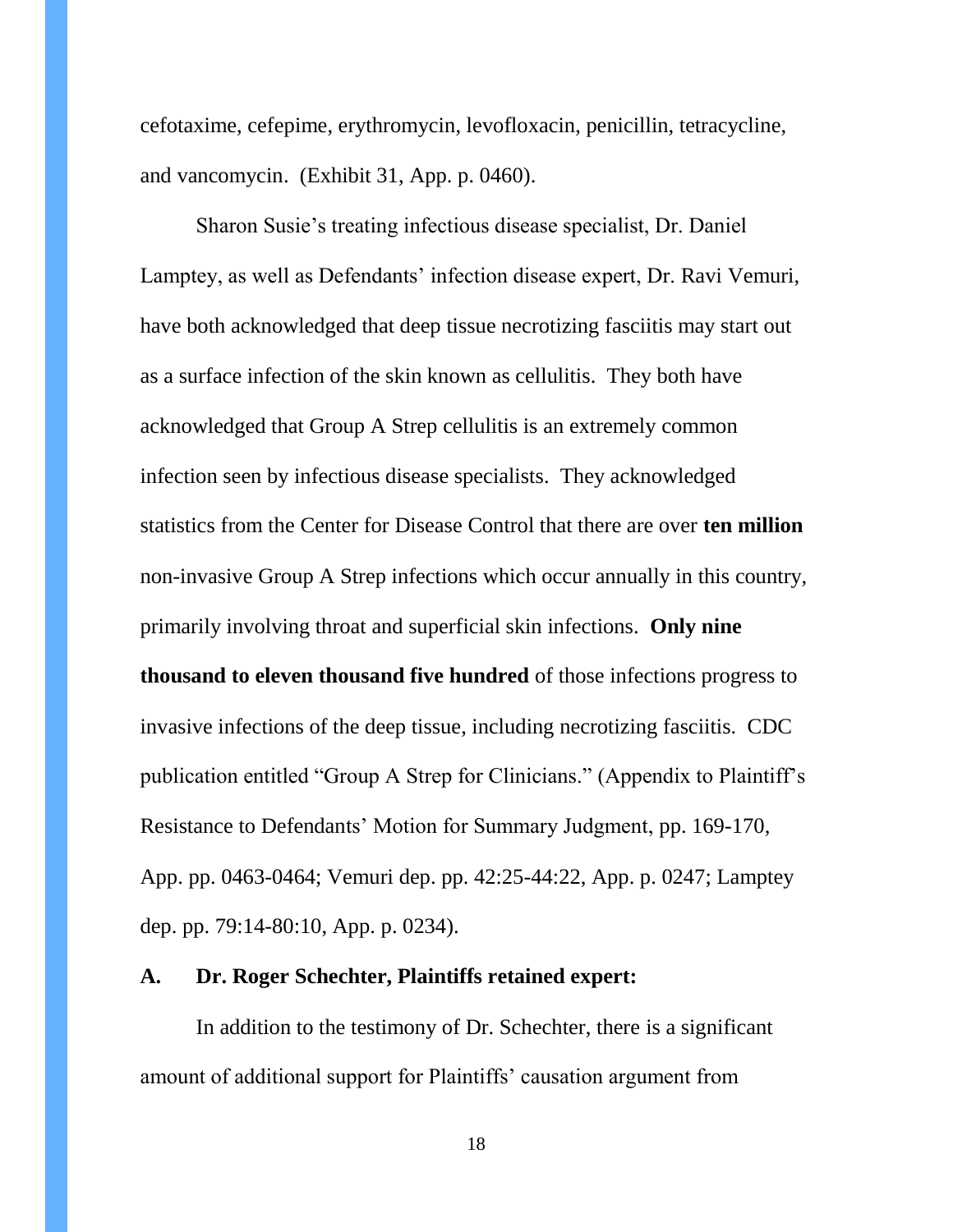cefotaxime, cefepime, erythromycin, levofloxacin, penicillin, tetracycline, and vancomycin. (Exhibit 31, App. p. 0460).

Sharon Susie's treating infectious disease specialist, Dr. Daniel Lamptey, as well as Defendants' infection disease expert, Dr. Ravi Vemuri, have both acknowledged that deep tissue necrotizing fasciitis may start out as a surface infection of the skin known as cellulitis. They both have acknowledged that Group A Strep cellulitis is an extremely common infection seen by infectious disease specialists. They acknowledged statistics from the Center for Disease Control that there are over **ten million** non-invasive Group A Strep infections which occur annually in this country, primarily involving throat and superficial skin infections. **Only nine thousand to eleven thousand five hundred** of those infections progress to invasive infections of the deep tissue, including necrotizing fasciitis. CDC publication entitled "Group A Strep for Clinicians." (Appendix to Plaintiff's Resistance to Defendants' Motion for Summary Judgment, pp. 169-170, App. pp. 0463-0464; Vemuri dep. pp. 42:25-44:22, App. p. 0247; Lamptey dep. pp. 79:14-80:10, App. p. 0234).

### **A. Dr. Roger Schechter, Plaintiffs retained expert:**

In addition to the testimony of Dr. Schechter, there is a significant amount of additional support for Plaintiffs' causation argument from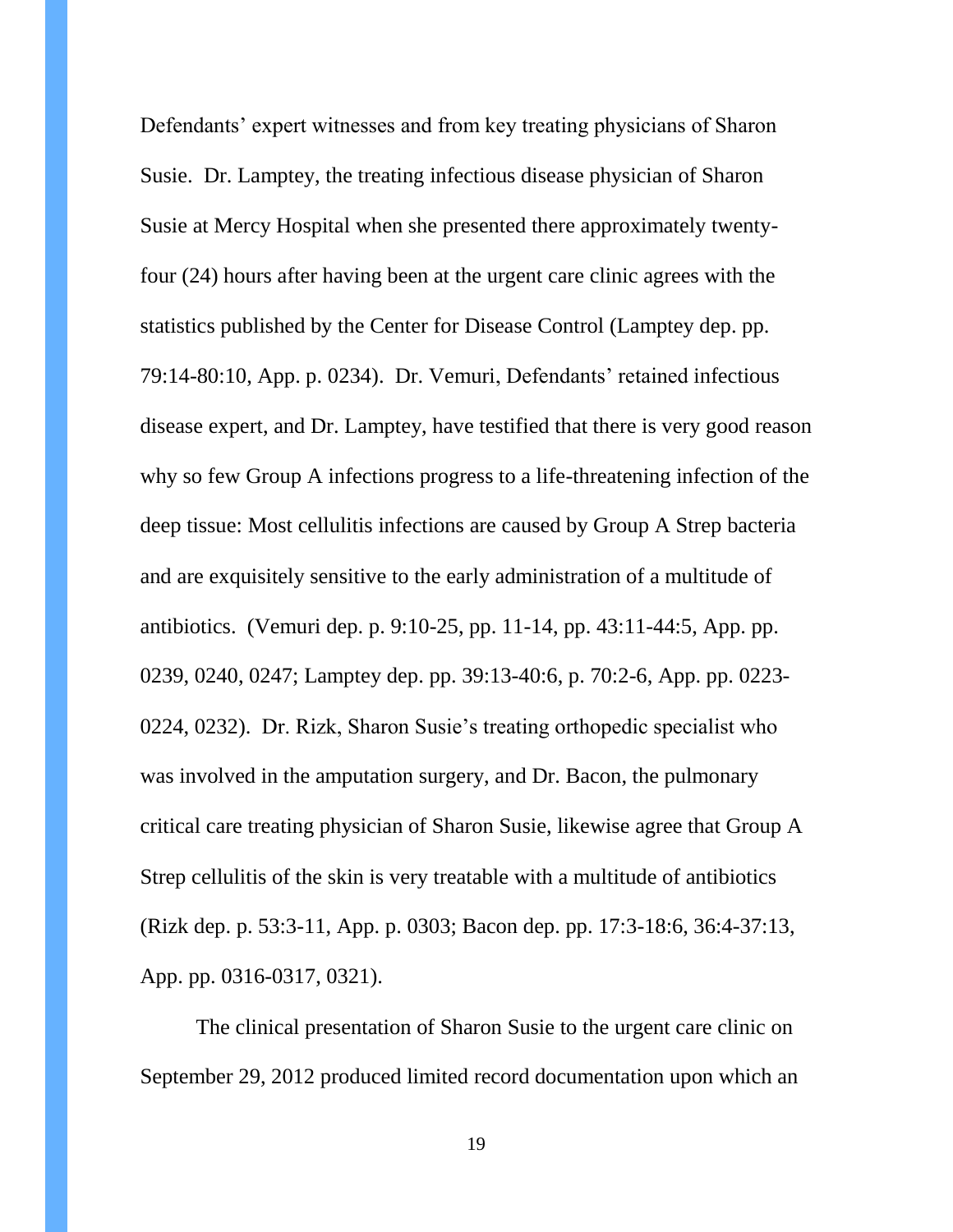Defendants' expert witnesses and from key treating physicians of Sharon Susie. Dr. Lamptey, the treating infectious disease physician of Sharon Susie at Mercy Hospital when she presented there approximately twentyfour (24) hours after having been at the urgent care clinic agrees with the statistics published by the Center for Disease Control (Lamptey dep. pp. 79:14-80:10, App. p. 0234). Dr. Vemuri, Defendants' retained infectious disease expert, and Dr. Lamptey, have testified that there is very good reason why so few Group A infections progress to a life-threatening infection of the deep tissue: Most cellulitis infections are caused by Group A Strep bacteria and are exquisitely sensitive to the early administration of a multitude of antibiotics. (Vemuri dep. p. 9:10-25, pp. 11-14, pp. 43:11-44:5, App. pp. 0239, 0240, 0247; Lamptey dep. pp. 39:13-40:6, p. 70:2-6, App. pp. 0223- 0224, 0232). Dr. Rizk, Sharon Susie's treating orthopedic specialist who was involved in the amputation surgery, and Dr. Bacon, the pulmonary critical care treating physician of Sharon Susie, likewise agree that Group A Strep cellulitis of the skin is very treatable with a multitude of antibiotics (Rizk dep. p. 53:3-11, App. p. 0303; Bacon dep. pp. 17:3-18:6, 36:4-37:13, App. pp. 0316-0317, 0321).

The clinical presentation of Sharon Susie to the urgent care clinic on September 29, 2012 produced limited record documentation upon which an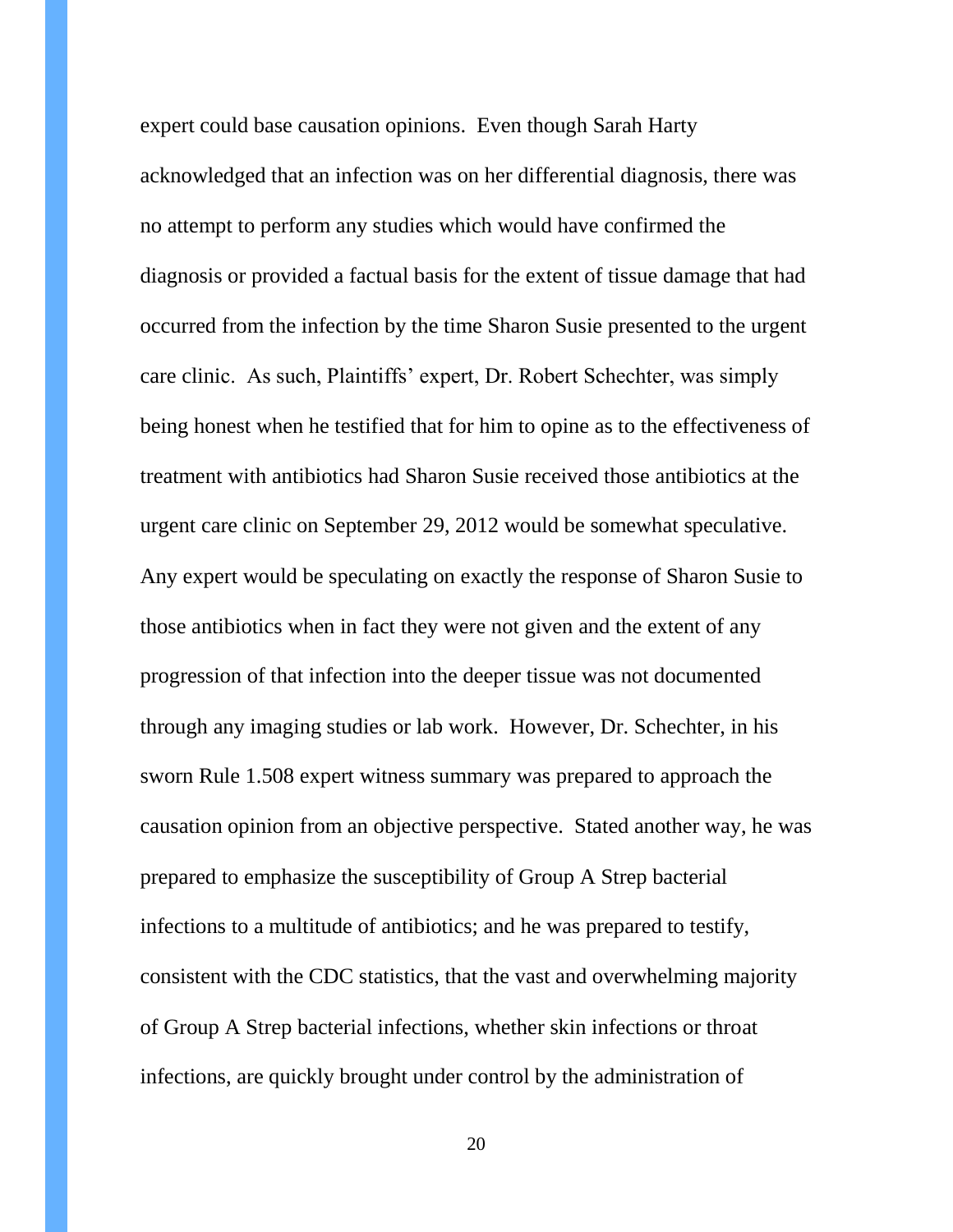expert could base causation opinions. Even though Sarah Harty acknowledged that an infection was on her differential diagnosis, there was no attempt to perform any studies which would have confirmed the diagnosis or provided a factual basis for the extent of tissue damage that had occurred from the infection by the time Sharon Susie presented to the urgent care clinic. As such, Plaintiffs' expert, Dr. Robert Schechter, was simply being honest when he testified that for him to opine as to the effectiveness of treatment with antibiotics had Sharon Susie received those antibiotics at the urgent care clinic on September 29, 2012 would be somewhat speculative. Any expert would be speculating on exactly the response of Sharon Susie to those antibiotics when in fact they were not given and the extent of any progression of that infection into the deeper tissue was not documented through any imaging studies or lab work. However, Dr. Schechter, in his sworn Rule 1.508 expert witness summary was prepared to approach the causation opinion from an objective perspective. Stated another way, he was prepared to emphasize the susceptibility of Group A Strep bacterial infections to a multitude of antibiotics; and he was prepared to testify, consistent with the CDC statistics, that the vast and overwhelming majority of Group A Strep bacterial infections, whether skin infections or throat infections, are quickly brought under control by the administration of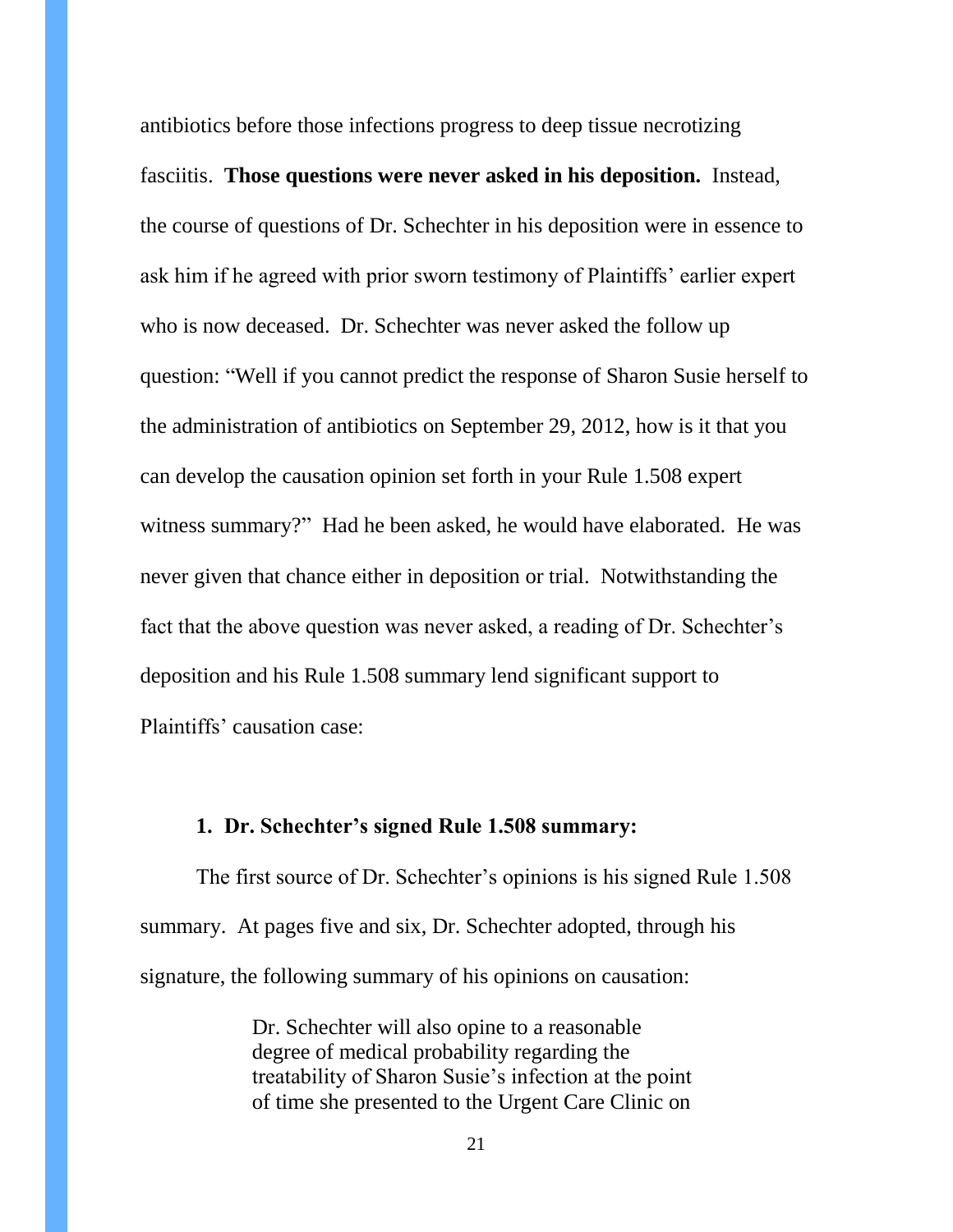antibiotics before those infections progress to deep tissue necrotizing fasciitis. **Those questions were never asked in his deposition.** Instead, the course of questions of Dr. Schechter in his deposition were in essence to ask him if he agreed with prior sworn testimony of Plaintiffs' earlier expert who is now deceased. Dr. Schechter was never asked the follow up question: "Well if you cannot predict the response of Sharon Susie herself to the administration of antibiotics on September 29, 2012, how is it that you can develop the causation opinion set forth in your Rule 1.508 expert witness summary?" Had he been asked, he would have elaborated. He was never given that chance either in deposition or trial. Notwithstanding the fact that the above question was never asked, a reading of Dr. Schechter's deposition and his Rule 1.508 summary lend significant support to Plaintiffs' causation case:

#### **1. Dr. Schechter's signed Rule 1.508 summary:**

The first source of Dr. Schechter's opinions is his signed Rule 1.508 summary. At pages five and six, Dr. Schechter adopted, through his signature, the following summary of his opinions on causation:

> Dr. Schechter will also opine to a reasonable degree of medical probability regarding the treatability of Sharon Susie's infection at the point of time she presented to the Urgent Care Clinic on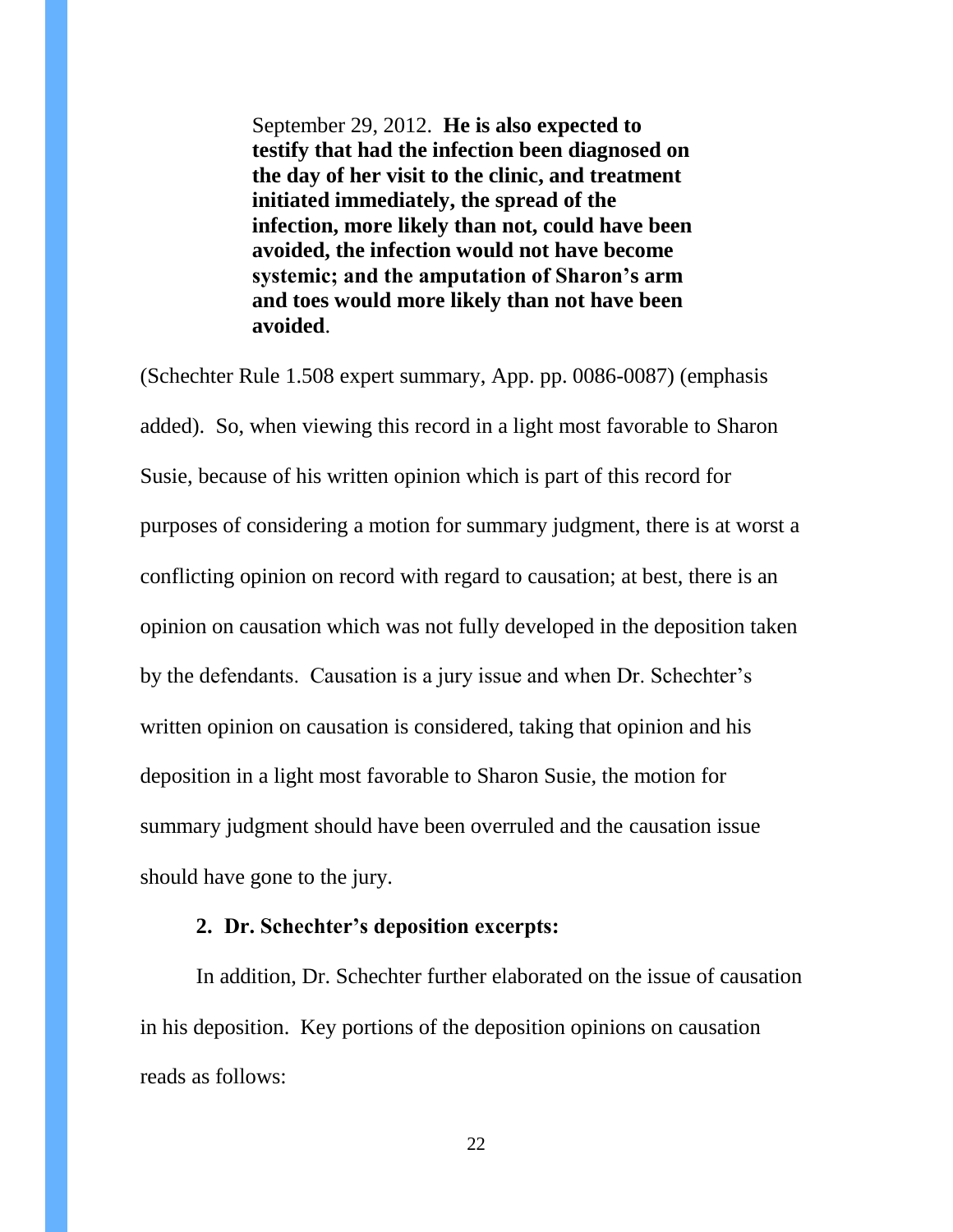September 29, 2012. **He is also expected to testify that had the infection been diagnosed on the day of her visit to the clinic, and treatment initiated immediately, the spread of the infection, more likely than not, could have been avoided, the infection would not have become systemic; and the amputation of Sharon's arm and toes would more likely than not have been avoided**.

(Schechter Rule 1.508 expert summary, App. pp. 0086-0087) (emphasis added). So, when viewing this record in a light most favorable to Sharon Susie, because of his written opinion which is part of this record for purposes of considering a motion for summary judgment, there is at worst a conflicting opinion on record with regard to causation; at best, there is an opinion on causation which was not fully developed in the deposition taken by the defendants. Causation is a jury issue and when Dr. Schechter's written opinion on causation is considered, taking that opinion and his deposition in a light most favorable to Sharon Susie, the motion for summary judgment should have been overruled and the causation issue should have gone to the jury.

#### **2. Dr. Schechter's deposition excerpts:**

In addition, Dr. Schechter further elaborated on the issue of causation in his deposition. Key portions of the deposition opinions on causation reads as follows: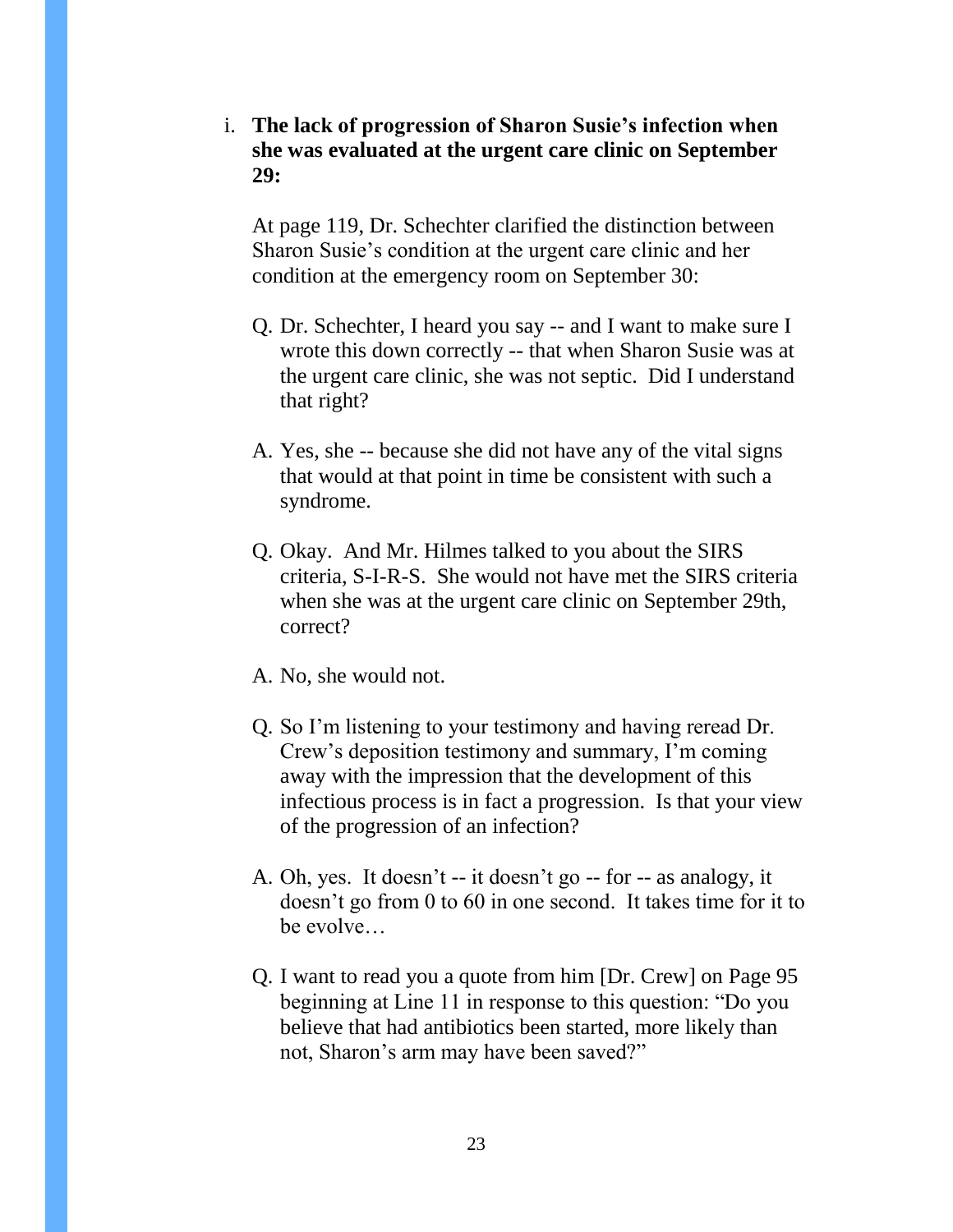i. **The lack of progression of Sharon Susie's infection when she was evaluated at the urgent care clinic on September 29:**

At page 119, Dr. Schechter clarified the distinction between Sharon Susie's condition at the urgent care clinic and her condition at the emergency room on September 30:

- Q. Dr. Schechter, I heard you say -- and I want to make sure I wrote this down correctly -- that when Sharon Susie was at the urgent care clinic, she was not septic. Did I understand that right?
- A. Yes, she -- because she did not have any of the vital signs that would at that point in time be consistent with such a syndrome.
- Q. Okay. And Mr. Hilmes talked to you about the SIRS criteria, S-I-R-S. She would not have met the SIRS criteria when she was at the urgent care clinic on September 29th, correct?
- A. No, she would not.
- Q. So I'm listening to your testimony and having reread Dr. Crew's deposition testimony and summary, I'm coming away with the impression that the development of this infectious process is in fact a progression. Is that your view of the progression of an infection?
- A. Oh, yes. It doesn't -- it doesn't go -- for -- as analogy, it doesn't go from 0 to 60 in one second. It takes time for it to be evolve
- Q. I want to read you a quote from him [Dr. Crew] on Page 95 beginning at Line 11 in response to this question: "Do you believe that had antibiotics been started, more likely than not, Sharon's arm may have been saved?"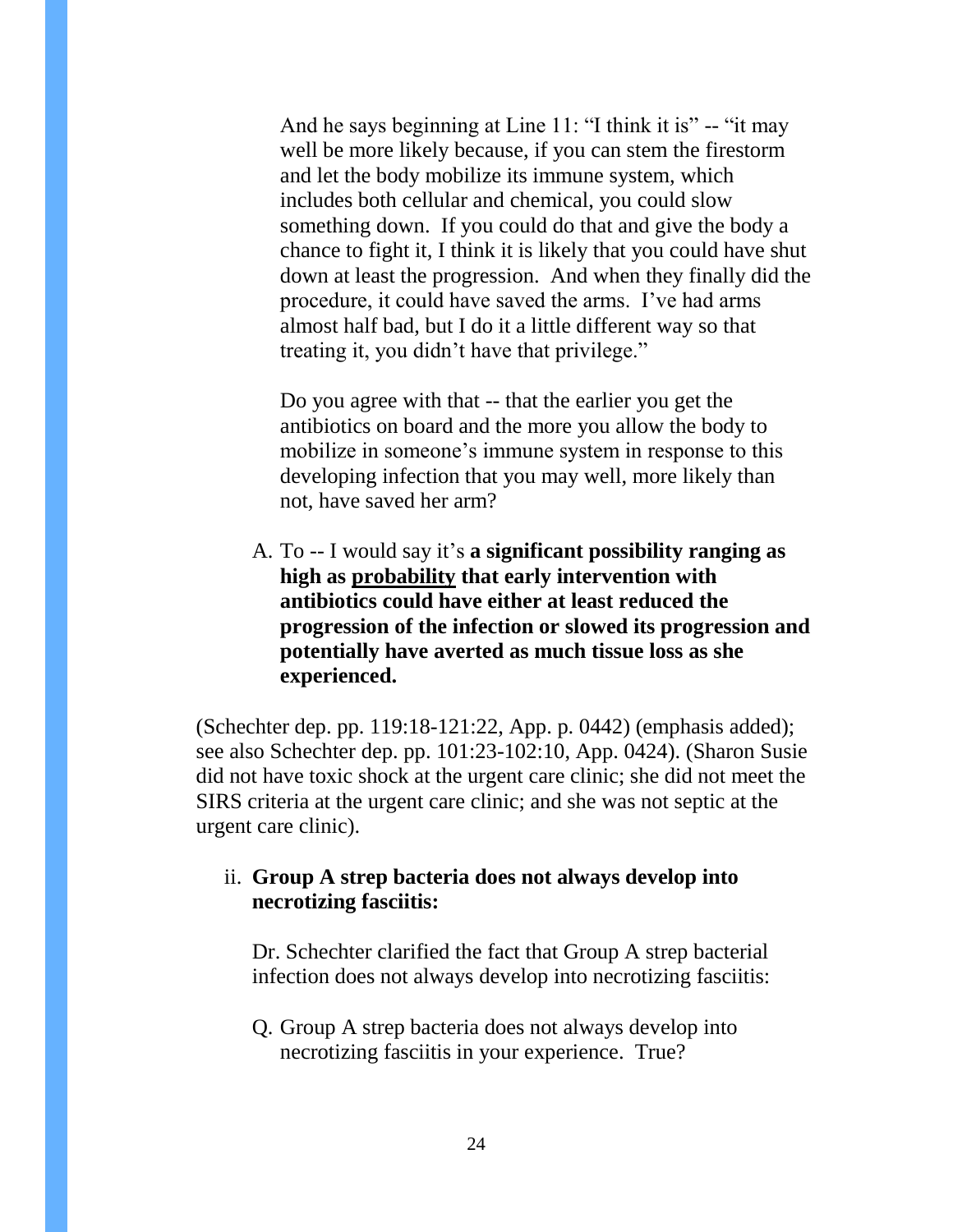And he says beginning at Line 11: "I think it is" -- "it may well be more likely because, if you can stem the firestorm and let the body mobilize its immune system, which includes both cellular and chemical, you could slow something down. If you could do that and give the body a chance to fight it, I think it is likely that you could have shut down at least the progression. And when they finally did the procedure, it could have saved the arms. I've had arms almost half bad, but I do it a little different way so that treating it, you didn't have that privilege."

Do you agree with that -- that the earlier you get the antibiotics on board and the more you allow the body to mobilize in someone's immune system in response to this developing infection that you may well, more likely than not, have saved her arm?

A. To -- I would say it's **a significant possibility ranging as high as probability that early intervention with antibiotics could have either at least reduced the progression of the infection or slowed its progression and potentially have averted as much tissue loss as she experienced.** 

(Schechter dep. pp. 119:18-121:22, App. p. 0442) (emphasis added); see also Schechter dep. pp. 101:23-102:10, App. 0424). (Sharon Susie did not have toxic shock at the urgent care clinic; she did not meet the SIRS criteria at the urgent care clinic; and she was not septic at the urgent care clinic).

### ii. **Group A strep bacteria does not always develop into necrotizing fasciitis:**

Dr. Schechter clarified the fact that Group A strep bacterial infection does not always develop into necrotizing fasciitis:

Q. Group A strep bacteria does not always develop into necrotizing fasciitis in your experience. True?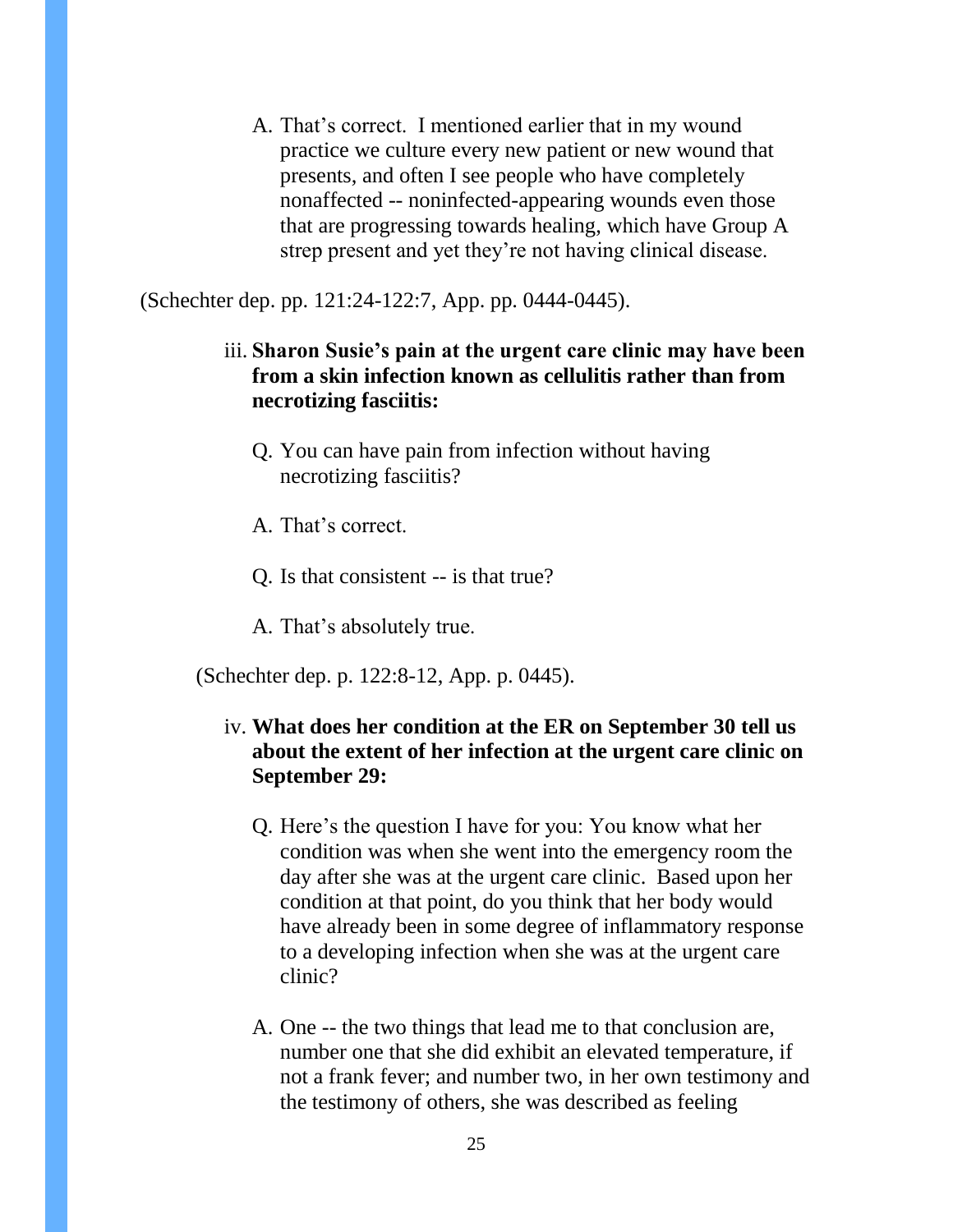A. That's correct. I mentioned earlier that in my wound practice we culture every new patient or new wound that presents, and often I see people who have completely nonaffected -- noninfected-appearing wounds even those that are progressing towards healing, which have Group A strep present and yet they're not having clinical disease.

(Schechter dep. pp. 121:24-122:7, App. pp. 0444-0445).

- iii. **Sharon Susie's pain at the urgent care clinic may have been from a skin infection known as cellulitis rather than from necrotizing fasciitis:**
	- Q. You can have pain from infection without having necrotizing fasciitis?
	- A. That's correct.
	- Q. Is that consistent -- is that true?
	- A. That's absolutely true.

(Schechter dep. p. 122:8-12, App. p. 0445).

### iv. **What does her condition at the ER on September 30 tell us about the extent of her infection at the urgent care clinic on September 29:**

- Q. Here's the question I have for you: You know what her condition was when she went into the emergency room the day after she was at the urgent care clinic. Based upon her condition at that point, do you think that her body would have already been in some degree of inflammatory response to a developing infection when she was at the urgent care clinic?
- A. One -- the two things that lead me to that conclusion are, number one that she did exhibit an elevated temperature, if not a frank fever; and number two, in her own testimony and the testimony of others, she was described as feeling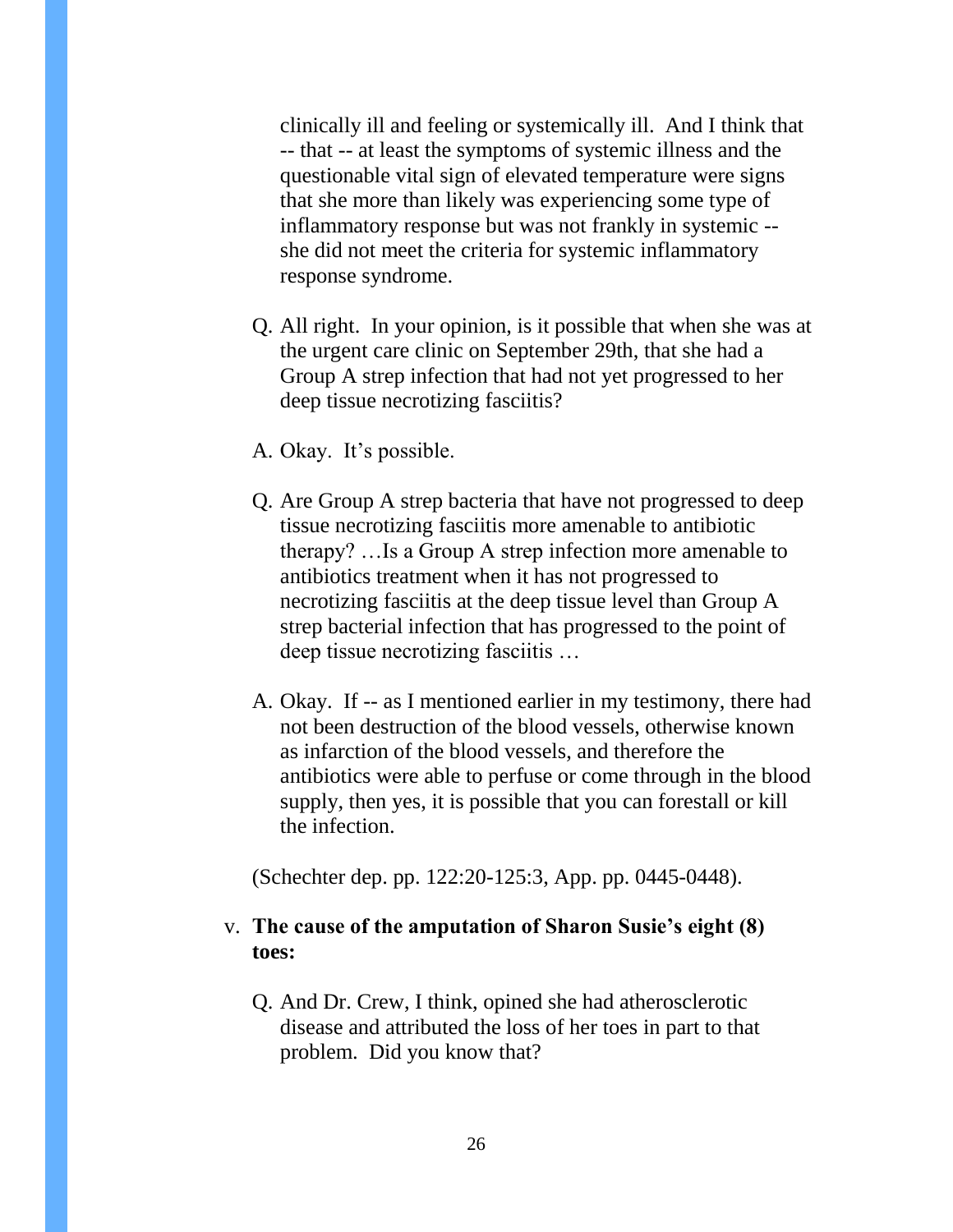clinically ill and feeling or systemically ill. And I think that -- that -- at least the symptoms of systemic illness and the questionable vital sign of elevated temperature were signs that she more than likely was experiencing some type of inflammatory response but was not frankly in systemic - she did not meet the criteria for systemic inflammatory response syndrome.

- Q. All right. In your opinion, is it possible that when she was at the urgent care clinic on September 29th, that she had a Group A strep infection that had not yet progressed to her deep tissue necrotizing fasciitis?
- A. Okay. It's possible.
- Q. Are Group A strep bacteria that have not progressed to deep tissue necrotizing fasciitis more amenable to antibiotic therapy? …Is a Group A strep infection more amenable to antibiotics treatment when it has not progressed to necrotizing fasciitis at the deep tissue level than Group A strep bacterial infection that has progressed to the point of deep tissue necrotizing fasciitis …
- A. Okay. If -- as I mentioned earlier in my testimony, there had not been destruction of the blood vessels, otherwise known as infarction of the blood vessels, and therefore the antibiotics were able to perfuse or come through in the blood supply, then yes, it is possible that you can forestall or kill the infection.

(Schechter dep. pp. 122:20-125:3, App. pp. 0445-0448).

### v. **The cause of the amputation of Sharon Susie's eight (8) toes:**

Q. And Dr. Crew, I think, opined she had atherosclerotic disease and attributed the loss of her toes in part to that problem. Did you know that?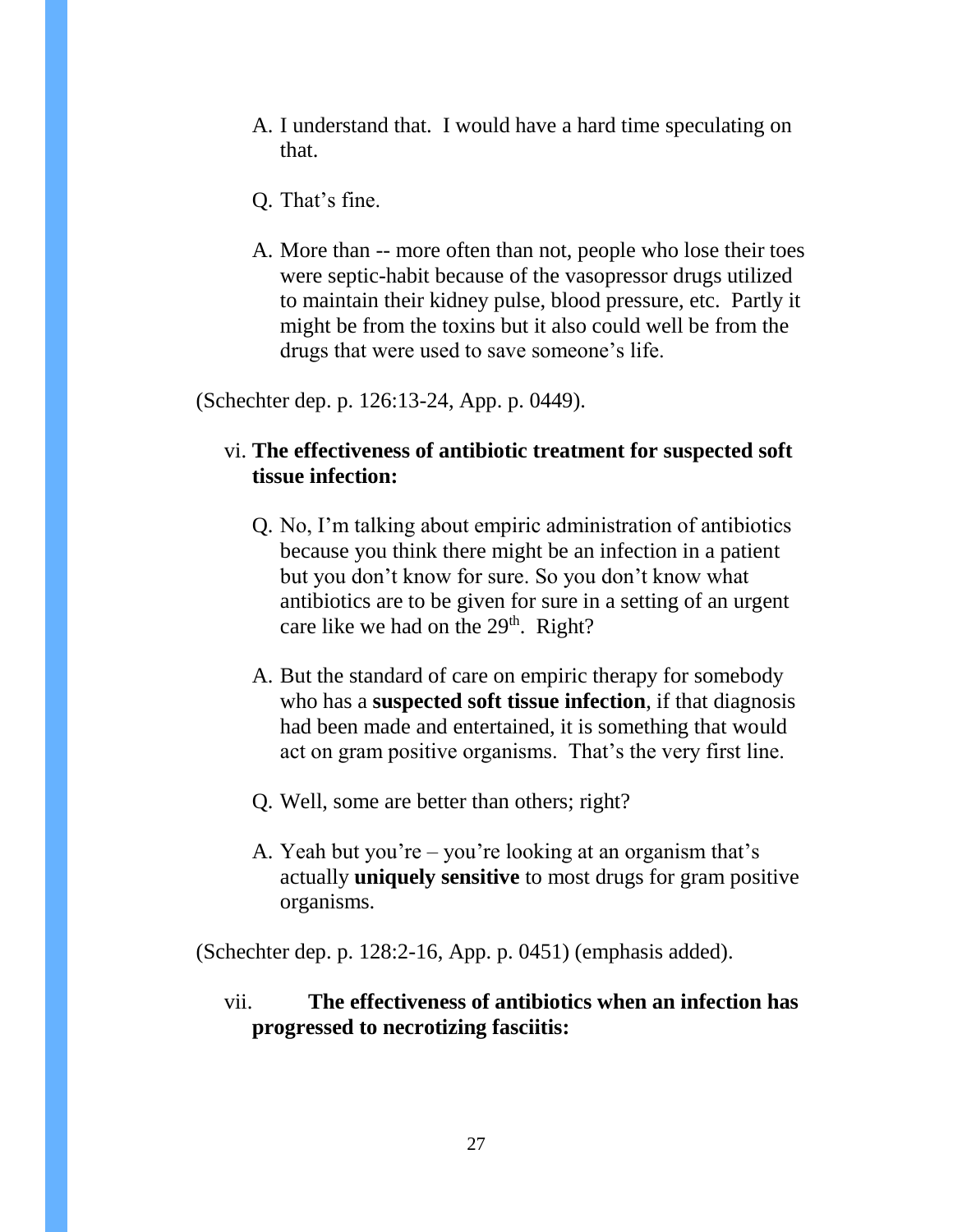- A. I understand that. I would have a hard time speculating on that.
- Q. That's fine.
- A. More than -- more often than not, people who lose their toes were septic-habit because of the vasopressor drugs utilized to maintain their kidney pulse, blood pressure, etc. Partly it might be from the toxins but it also could well be from the drugs that were used to save someone's life.

(Schechter dep. p. 126:13-24, App. p. 0449).

### vi. **The effectiveness of antibiotic treatment for suspected soft tissue infection:**

- Q. No, I'm talking about empiric administration of antibiotics because you think there might be an infection in a patient but you don't know for sure. So you don't know what antibiotics are to be given for sure in a setting of an urgent care like we had on the  $29<sup>th</sup>$ . Right?
- A. But the standard of care on empiric therapy for somebody who has a **suspected soft tissue infection**, if that diagnosis had been made and entertained, it is something that would act on gram positive organisms. That's the very first line.
- Q. Well, some are better than others; right?
- A. Yeah but you're you're looking at an organism that's actually **uniquely sensitive** to most drugs for gram positive organisms.

(Schechter dep. p. 128:2-16, App. p. 0451) (emphasis added).

vii. **The effectiveness of antibiotics when an infection has progressed to necrotizing fasciitis:**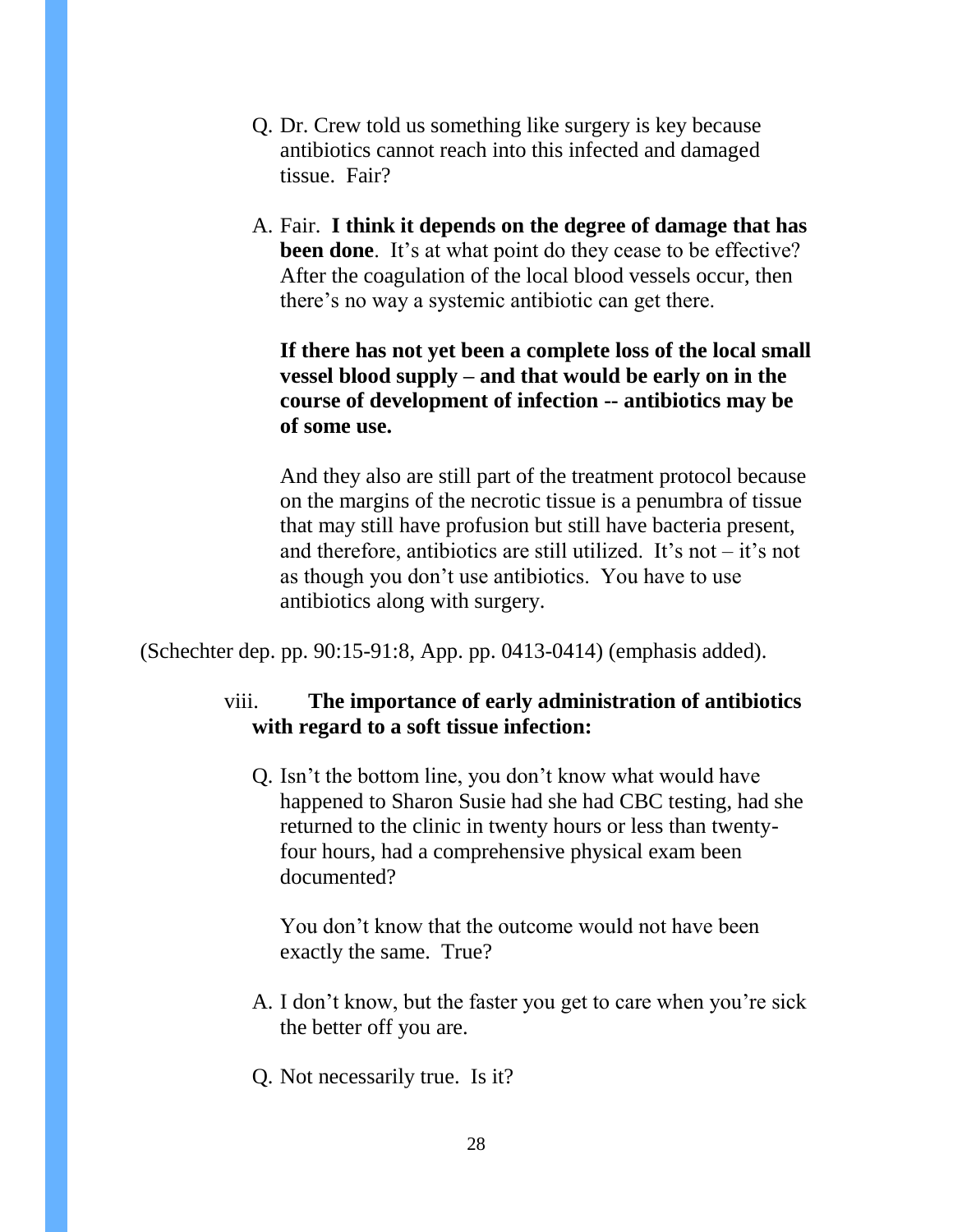- Q. Dr. Crew told us something like surgery is key because antibiotics cannot reach into this infected and damaged tissue. Fair?
- A. Fair. **I think it depends on the degree of damage that has been done**. It's at what point do they cease to be effective? After the coagulation of the local blood vessels occur, then there's no way a systemic antibiotic can get there.

**If there has not yet been a complete loss of the local small vessel blood supply – and that would be early on in the course of development of infection -- antibiotics may be of some use.**

And they also are still part of the treatment protocol because on the margins of the necrotic tissue is a penumbra of tissue that may still have profusion but still have bacteria present, and therefore, antibiotics are still utilized. It's not  $-$  it's not as though you don't use antibiotics. You have to use antibiotics along with surgery.

(Schechter dep. pp. 90:15-91:8, App. pp. 0413-0414) (emphasis added).

### viii. **The importance of early administration of antibiotics with regard to a soft tissue infection:**

Q. Isn't the bottom line, you don't know what would have happened to Sharon Susie had she had CBC testing, had she returned to the clinic in twenty hours or less than twentyfour hours, had a comprehensive physical exam been documented?

You don't know that the outcome would not have been exactly the same. True?

- A. I don't know, but the faster you get to care when you're sick the better off you are.
- Q. Not necessarily true. Is it?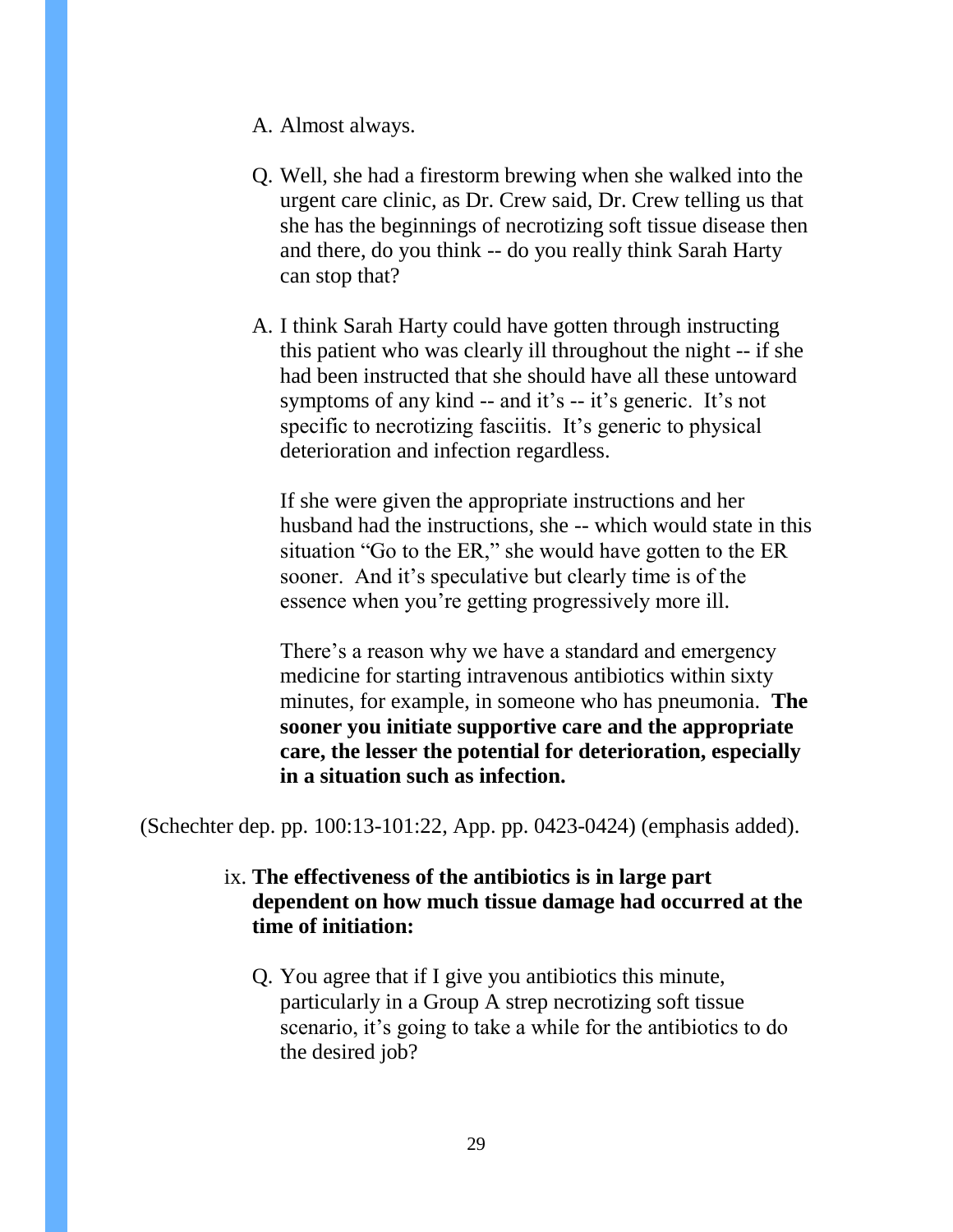- A. Almost always.
- Q. Well, she had a firestorm brewing when she walked into the urgent care clinic, as Dr. Crew said, Dr. Crew telling us that she has the beginnings of necrotizing soft tissue disease then and there, do you think -- do you really think Sarah Harty can stop that?
- A. I think Sarah Harty could have gotten through instructing this patient who was clearly ill throughout the night -- if she had been instructed that she should have all these untoward symptoms of any kind -- and it's -- it's generic. It's not specific to necrotizing fasciitis. It's generic to physical deterioration and infection regardless.

If she were given the appropriate instructions and her husband had the instructions, she -- which would state in this situation "Go to the ER," she would have gotten to the ER sooner. And it's speculative but clearly time is of the essence when you're getting progressively more ill.

There's a reason why we have a standard and emergency medicine for starting intravenous antibiotics within sixty minutes, for example, in someone who has pneumonia. **The sooner you initiate supportive care and the appropriate care, the lesser the potential for deterioration, especially in a situation such as infection.**

(Schechter dep. pp. 100:13-101:22, App. pp. 0423-0424) (emphasis added).

### ix. **The effectiveness of the antibiotics is in large part dependent on how much tissue damage had occurred at the time of initiation:**

Q. You agree that if I give you antibiotics this minute, particularly in a Group A strep necrotizing soft tissue scenario, it's going to take a while for the antibiotics to do the desired job?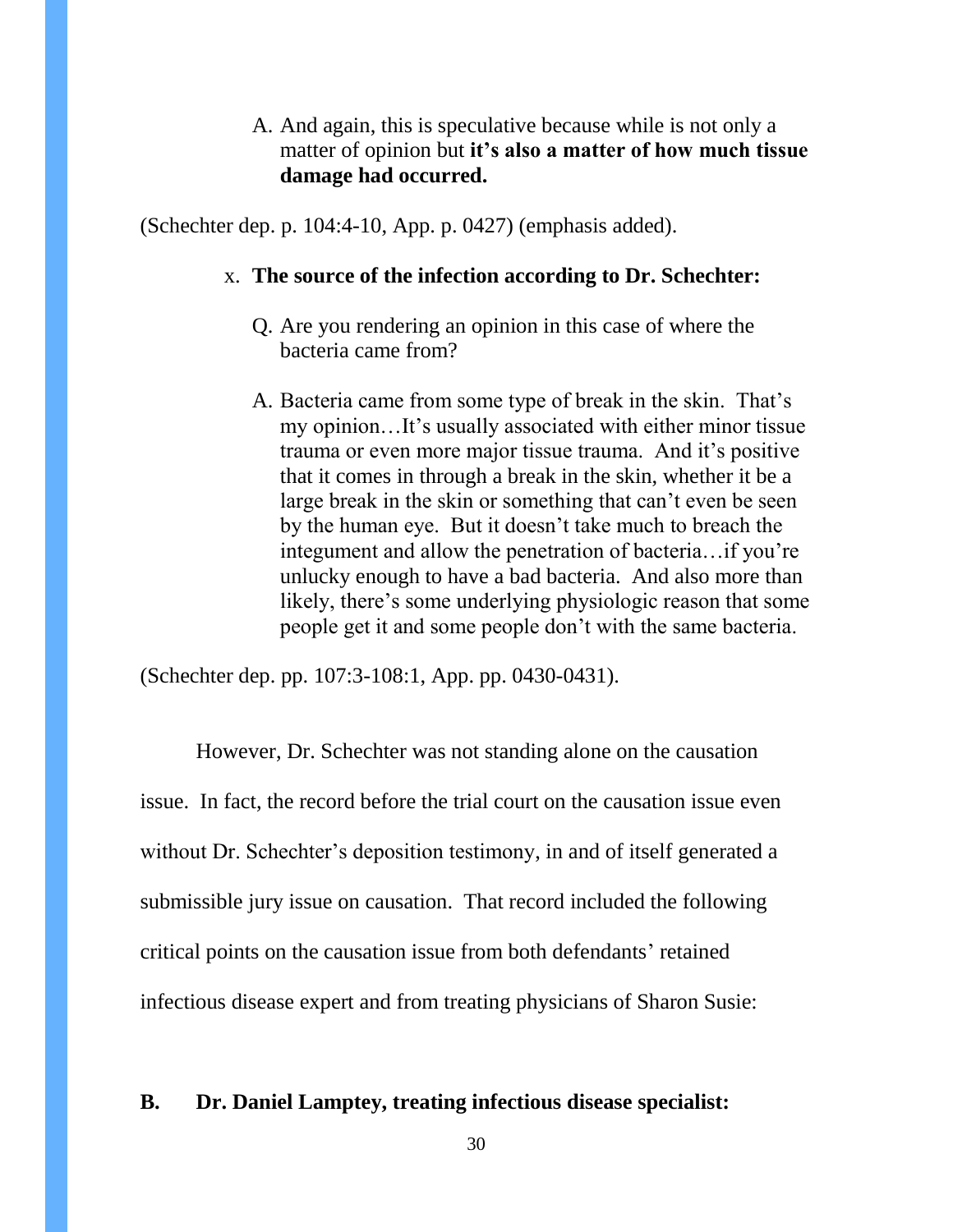### A. And again, this is speculative because while is not only a matter of opinion but **it's also a matter of how much tissue damage had occurred.**

(Schechter dep. p. 104:4-10, App. p. 0427) (emphasis added).

#### x. **The source of the infection according to Dr. Schechter:**

- Q. Are you rendering an opinion in this case of where the bacteria came from?
- A. Bacteria came from some type of break in the skin. That's my opinion…It's usually associated with either minor tissue trauma or even more major tissue trauma. And it's positive that it comes in through a break in the skin, whether it be a large break in the skin or something that can't even be seen by the human eye. But it doesn't take much to breach the integument and allow the penetration of bacteria…if you're unlucky enough to have a bad bacteria. And also more than likely, there's some underlying physiologic reason that some people get it and some people don't with the same bacteria.

(Schechter dep. pp. 107:3-108:1, App. pp. 0430-0431).

However, Dr. Schechter was not standing alone on the causation issue. In fact, the record before the trial court on the causation issue even without Dr. Schechter's deposition testimony, in and of itself generated a submissible jury issue on causation. That record included the following critical points on the causation issue from both defendants' retained infectious disease expert and from treating physicians of Sharon Susie:

#### **B. Dr. Daniel Lamptey, treating infectious disease specialist:**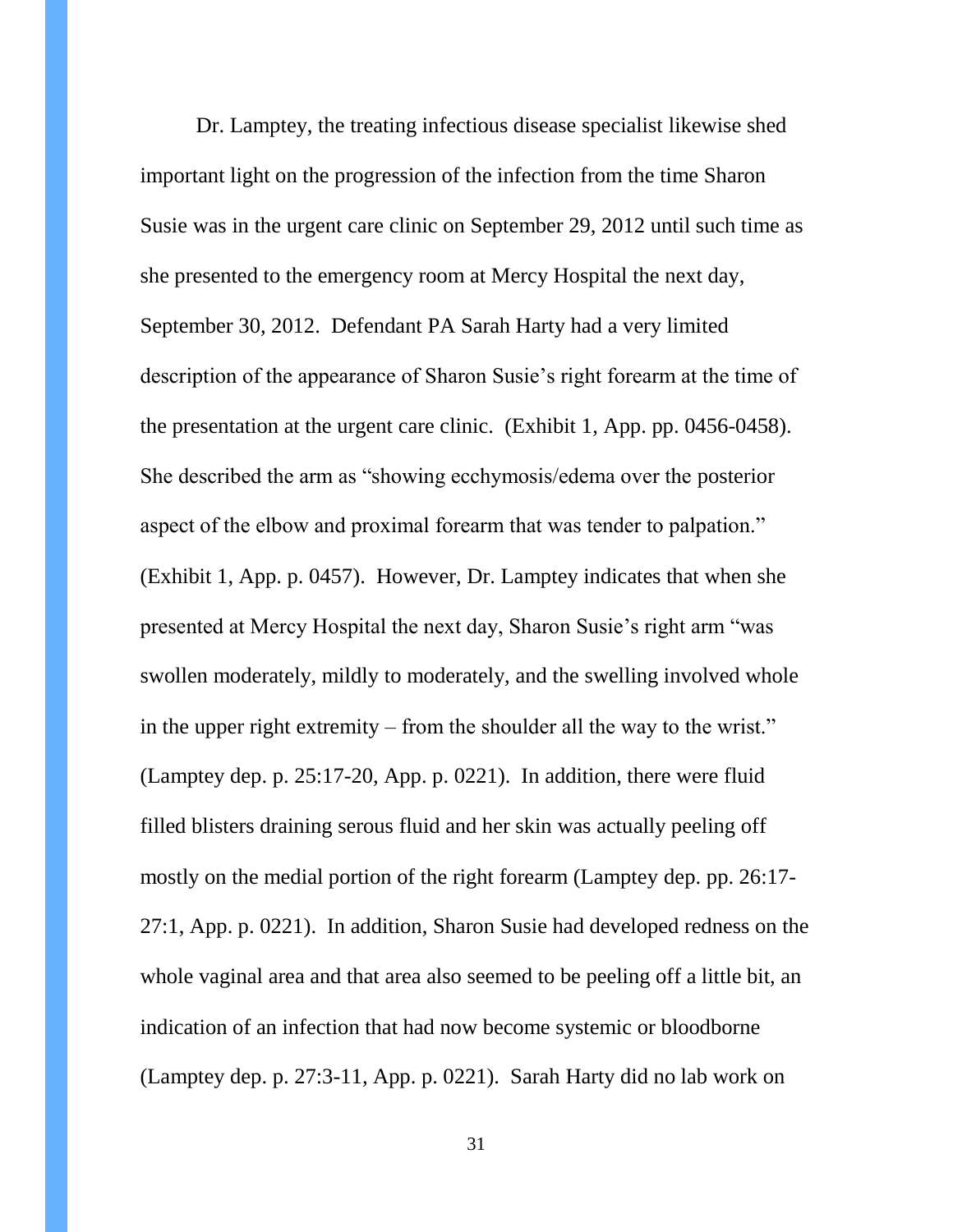Dr. Lamptey, the treating infectious disease specialist likewise shed important light on the progression of the infection from the time Sharon Susie was in the urgent care clinic on September 29, 2012 until such time as she presented to the emergency room at Mercy Hospital the next day, September 30, 2012. Defendant PA Sarah Harty had a very limited description of the appearance of Sharon Susie's right forearm at the time of the presentation at the urgent care clinic. (Exhibit 1, App. pp. 0456-0458). She described the arm as "showing ecchymosis/edema over the posterior aspect of the elbow and proximal forearm that was tender to palpation." (Exhibit 1, App. p. 0457). However, Dr. Lamptey indicates that when she presented at Mercy Hospital the next day, Sharon Susie's right arm "was swollen moderately, mildly to moderately, and the swelling involved whole in the upper right extremity – from the shoulder all the way to the wrist." (Lamptey dep. p. 25:17-20, App. p. 0221). In addition, there were fluid filled blisters draining serous fluid and her skin was actually peeling off mostly on the medial portion of the right forearm (Lamptey dep. pp. 26:17- 27:1, App. p. 0221). In addition, Sharon Susie had developed redness on the whole vaginal area and that area also seemed to be peeling off a little bit, an indication of an infection that had now become systemic or bloodborne (Lamptey dep. p. 27:3-11, App. p. 0221). Sarah Harty did no lab work on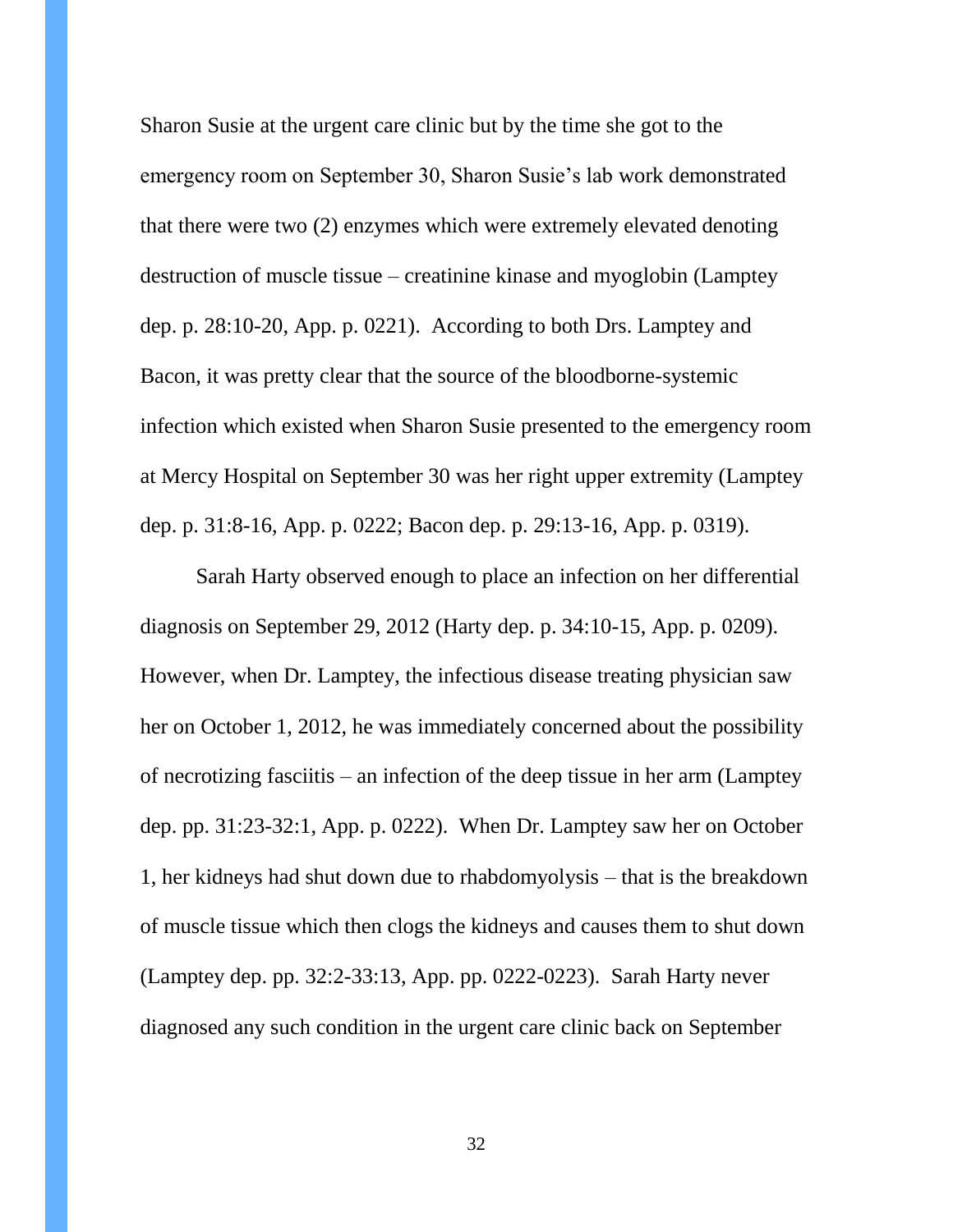Sharon Susie at the urgent care clinic but by the time she got to the emergency room on September 30, Sharon Susie's lab work demonstrated that there were two (2) enzymes which were extremely elevated denoting destruction of muscle tissue – creatinine kinase and myoglobin (Lamptey dep. p. 28:10-20, App. p. 0221). According to both Drs. Lamptey and Bacon, it was pretty clear that the source of the bloodborne-systemic infection which existed when Sharon Susie presented to the emergency room at Mercy Hospital on September 30 was her right upper extremity (Lamptey dep. p. 31:8-16, App. p. 0222; Bacon dep. p. 29:13-16, App. p. 0319).

Sarah Harty observed enough to place an infection on her differential diagnosis on September 29, 2012 (Harty dep. p. 34:10-15, App. p. 0209). However, when Dr. Lamptey, the infectious disease treating physician saw her on October 1, 2012, he was immediately concerned about the possibility of necrotizing fasciitis – an infection of the deep tissue in her arm (Lamptey dep. pp. 31:23-32:1, App. p. 0222). When Dr. Lamptey saw her on October 1, her kidneys had shut down due to rhabdomyolysis – that is the breakdown of muscle tissue which then clogs the kidneys and causes them to shut down (Lamptey dep. pp. 32:2-33:13, App. pp. 0222-0223). Sarah Harty never diagnosed any such condition in the urgent care clinic back on September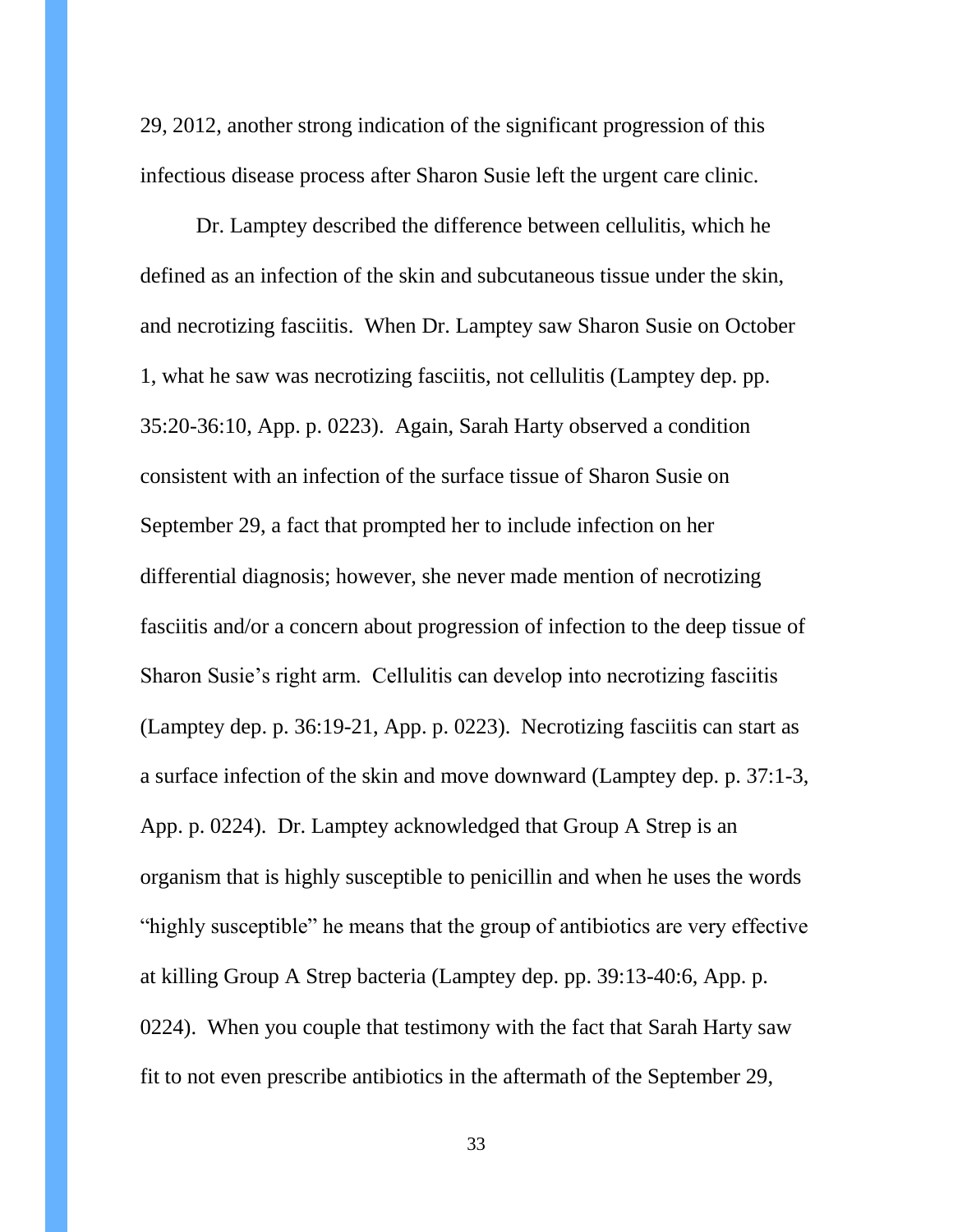29, 2012, another strong indication of the significant progression of this infectious disease process after Sharon Susie left the urgent care clinic.

Dr. Lamptey described the difference between cellulitis, which he defined as an infection of the skin and subcutaneous tissue under the skin, and necrotizing fasciitis. When Dr. Lamptey saw Sharon Susie on October 1, what he saw was necrotizing fasciitis, not cellulitis (Lamptey dep. pp. 35:20-36:10, App. p. 0223). Again, Sarah Harty observed a condition consistent with an infection of the surface tissue of Sharon Susie on September 29, a fact that prompted her to include infection on her differential diagnosis; however, she never made mention of necrotizing fasciitis and/or a concern about progression of infection to the deep tissue of Sharon Susie's right arm. Cellulitis can develop into necrotizing fasciitis (Lamptey dep. p. 36:19-21, App. p. 0223). Necrotizing fasciitis can start as a surface infection of the skin and move downward (Lamptey dep. p. 37:1-3, App. p. 0224). Dr. Lamptey acknowledged that Group A Strep is an organism that is highly susceptible to penicillin and when he uses the words "highly susceptible" he means that the group of antibiotics are very effective at killing Group A Strep bacteria (Lamptey dep. pp. 39:13-40:6, App. p. 0224). When you couple that testimony with the fact that Sarah Harty saw fit to not even prescribe antibiotics in the aftermath of the September 29,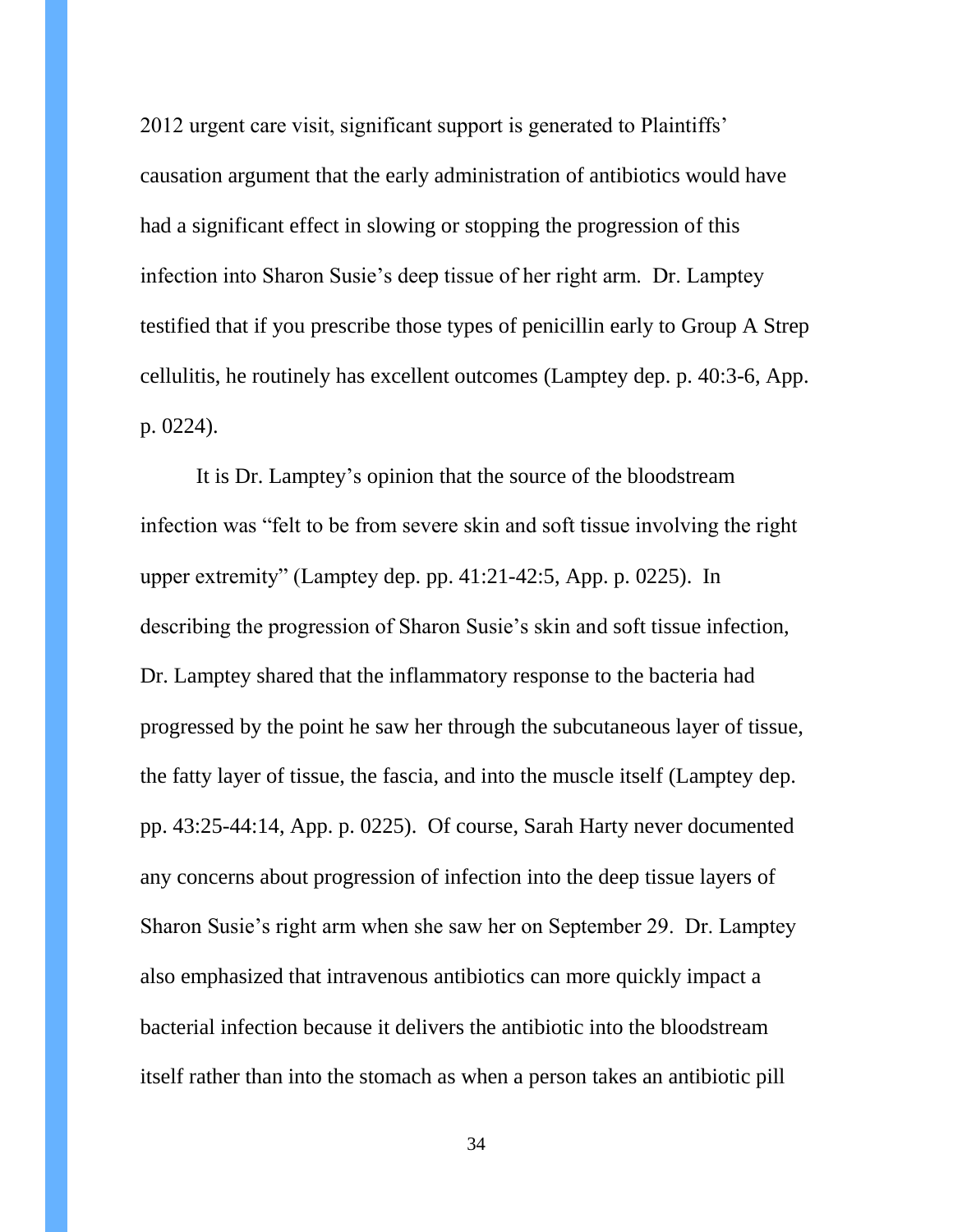2012 urgent care visit, significant support is generated to Plaintiffs' causation argument that the early administration of antibiotics would have had a significant effect in slowing or stopping the progression of this infection into Sharon Susie's deep tissue of her right arm. Dr. Lamptey testified that if you prescribe those types of penicillin early to Group A Strep cellulitis, he routinely has excellent outcomes (Lamptey dep. p. 40:3-6, App. p. 0224).

It is Dr. Lamptey's opinion that the source of the bloodstream infection was "felt to be from severe skin and soft tissue involving the right upper extremity" (Lamptey dep. pp. 41:21-42:5, App. p. 0225). In describing the progression of Sharon Susie's skin and soft tissue infection, Dr. Lamptey shared that the inflammatory response to the bacteria had progressed by the point he saw her through the subcutaneous layer of tissue, the fatty layer of tissue, the fascia, and into the muscle itself (Lamptey dep. pp. 43:25-44:14, App. p. 0225). Of course, Sarah Harty never documented any concerns about progression of infection into the deep tissue layers of Sharon Susie's right arm when she saw her on September 29. Dr. Lamptey also emphasized that intravenous antibiotics can more quickly impact a bacterial infection because it delivers the antibiotic into the bloodstream itself rather than into the stomach as when a person takes an antibiotic pill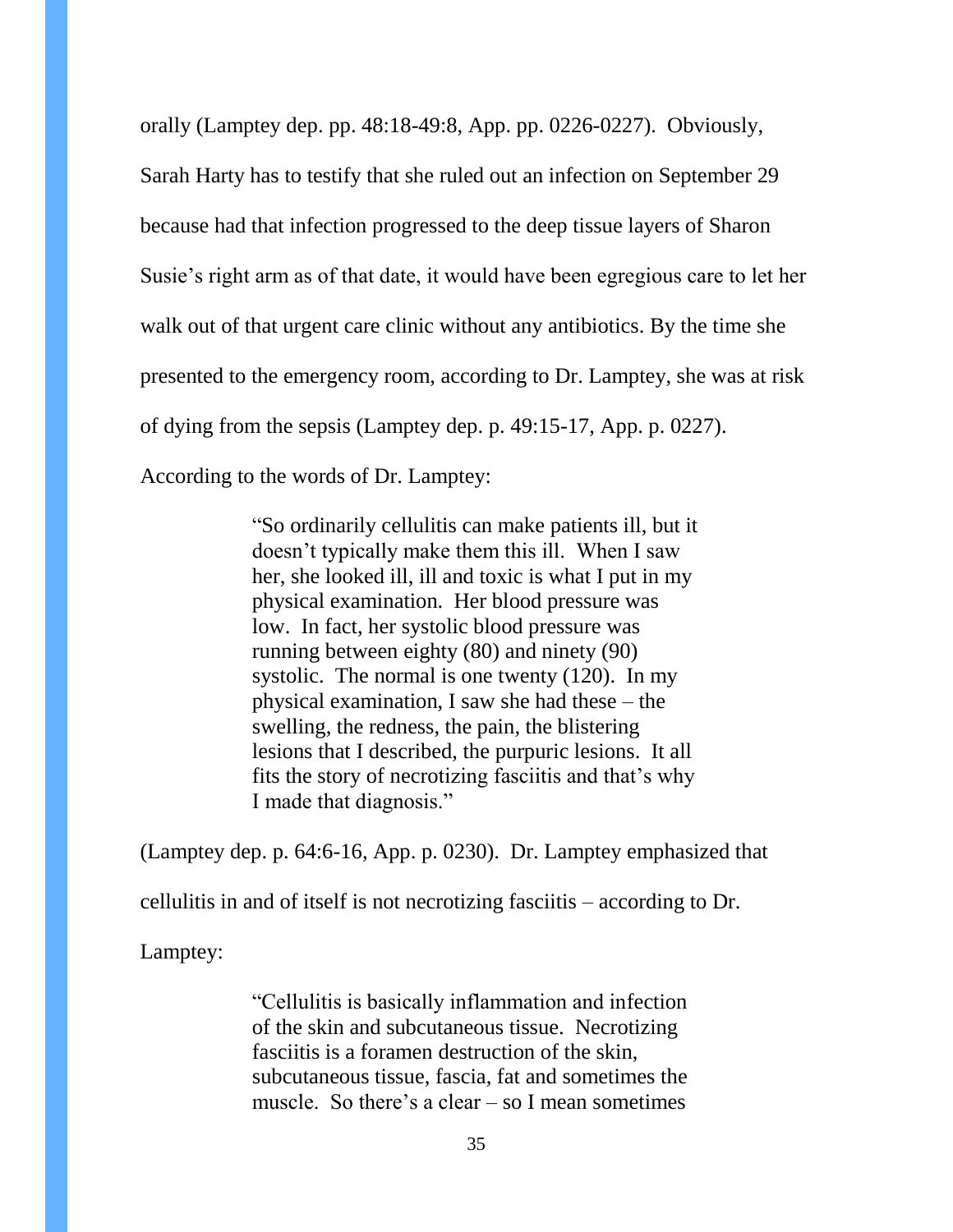orally (Lamptey dep. pp. 48:18-49:8, App. pp. 0226-0227). Obviously,

Sarah Harty has to testify that she ruled out an infection on September 29 because had that infection progressed to the deep tissue layers of Sharon Susie's right arm as of that date, it would have been egregious care to let her walk out of that urgent care clinic without any antibiotics. By the time she presented to the emergency room, according to Dr. Lamptey, she was at risk of dying from the sepsis (Lamptey dep. p. 49:15-17, App. p. 0227). According to the words of Dr. Lamptey:

> "So ordinarily cellulitis can make patients ill, but it doesn't typically make them this ill. When I saw her, she looked ill, ill and toxic is what I put in my physical examination. Her blood pressure was low. In fact, her systolic blood pressure was running between eighty (80) and ninety (90) systolic. The normal is one twenty (120). In my physical examination, I saw she had these – the swelling, the redness, the pain, the blistering lesions that I described, the purpuric lesions. It all fits the story of necrotizing fasciitis and that's why I made that diagnosis."

(Lamptey dep. p. 64:6-16, App. p. 0230). Dr. Lamptey emphasized that

cellulitis in and of itself is not necrotizing fasciitis – according to Dr.

Lamptey:

"Cellulitis is basically inflammation and infection of the skin and subcutaneous tissue. Necrotizing fasciitis is a foramen destruction of the skin, subcutaneous tissue, fascia, fat and sometimes the muscle. So there's a clear – so I mean sometimes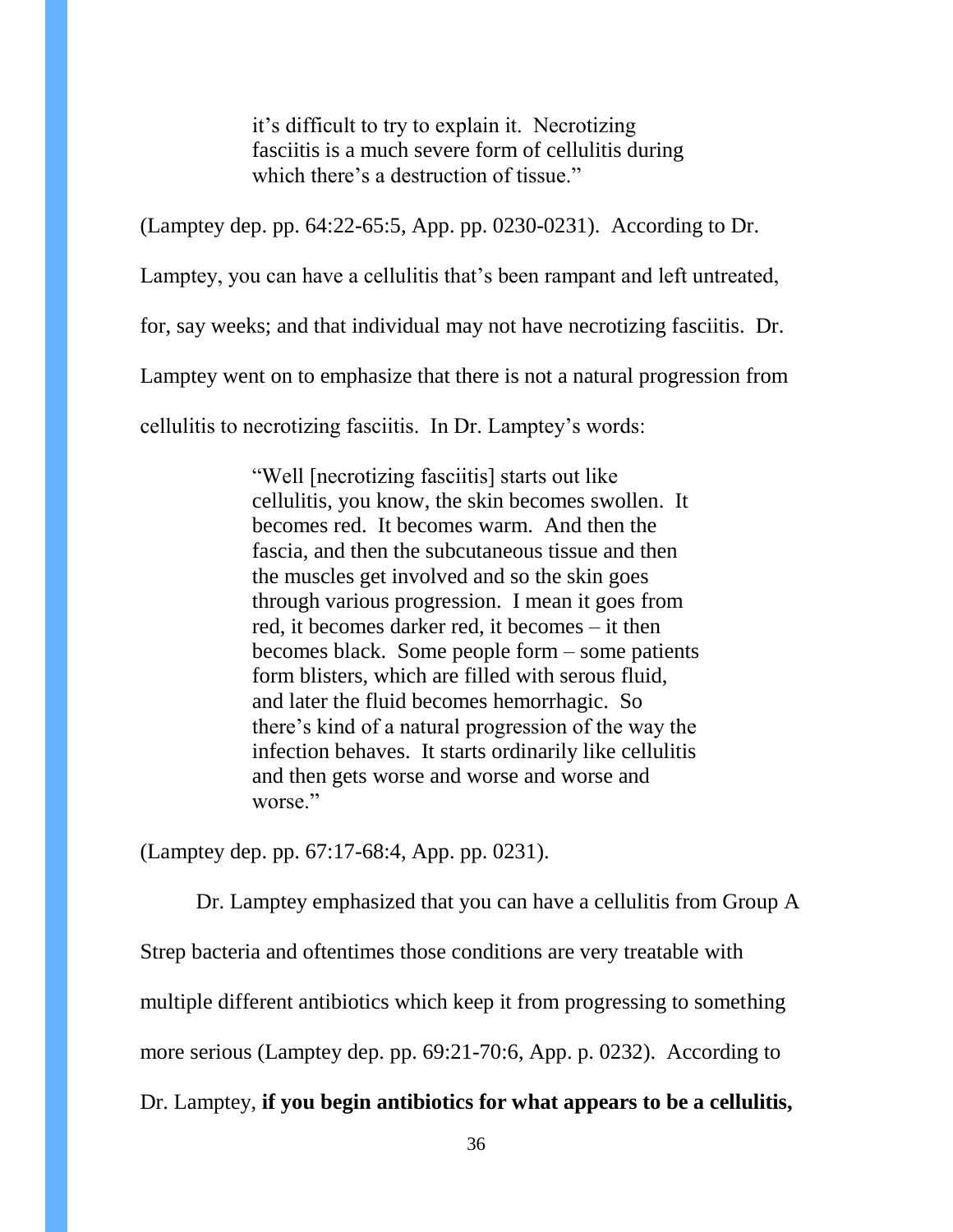it's difficult to try to explain it. Necrotizing fasciitis is a much severe form of cellulitis during which there's a destruction of tissue."

(Lamptey dep. pp. 64:22-65:5, App. pp. 0230-0231). According to Dr.

Lamptey, you can have a cellulitis that's been rampant and left untreated,

for, say weeks; and that individual may not have necrotizing fasciitis. Dr.

Lamptey went on to emphasize that there is not a natural progression from

cellulitis to necrotizing fasciitis. In Dr. Lamptey's words:

"Well [necrotizing fasciitis] starts out like cellulitis, you know, the skin becomes swollen. It becomes red. It becomes warm. And then the fascia, and then the subcutaneous tissue and then the muscles get involved and so the skin goes through various progression. I mean it goes from red, it becomes darker red, it becomes – it then becomes black. Some people form – some patients form blisters, which are filled with serous fluid, and later the fluid becomes hemorrhagic. So there's kind of a natural progression of the way the infection behaves. It starts ordinarily like cellulitis and then gets worse and worse and worse and worse."

(Lamptey dep. pp. 67:17-68:4, App. pp. 0231).

Dr. Lamptey emphasized that you can have a cellulitis from Group A

Strep bacteria and oftentimes those conditions are very treatable with

multiple different antibiotics which keep it from progressing to something

more serious (Lamptey dep. pp. 69:21-70:6, App. p. 0232). According to

Dr. Lamptey, **if you begin antibiotics for what appears to be a cellulitis,**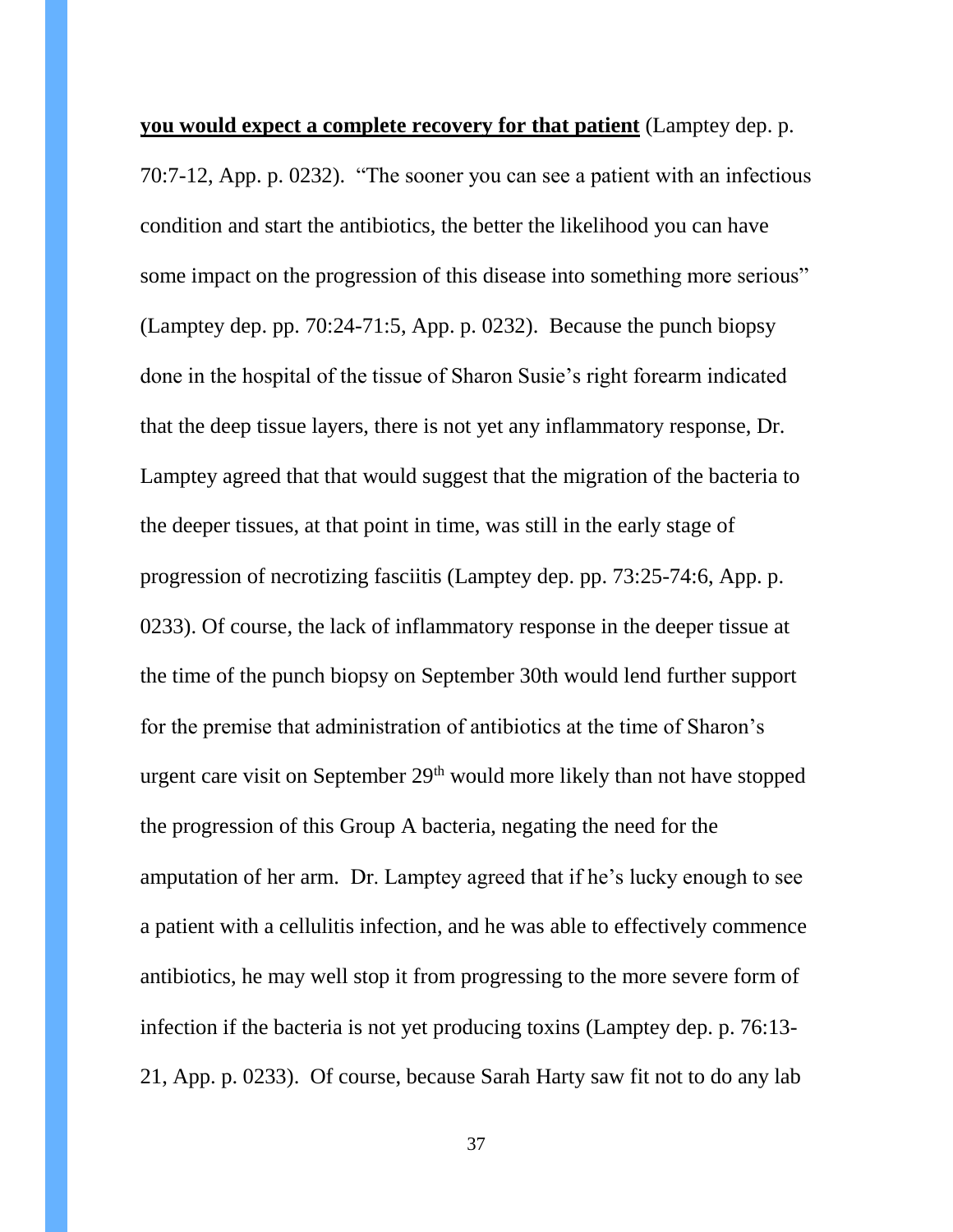**you would expect a complete recovery for that patient** (Lamptey dep. p. 70:7-12, App. p. 0232). "The sooner you can see a patient with an infectious condition and start the antibiotics, the better the likelihood you can have some impact on the progression of this disease into something more serious" (Lamptey dep. pp. 70:24-71:5, App. p. 0232). Because the punch biopsy done in the hospital of the tissue of Sharon Susie's right forearm indicated that the deep tissue layers, there is not yet any inflammatory response, Dr. Lamptey agreed that that would suggest that the migration of the bacteria to the deeper tissues, at that point in time, was still in the early stage of progression of necrotizing fasciitis (Lamptey dep. pp. 73:25-74:6, App. p. 0233). Of course, the lack of inflammatory response in the deeper tissue at the time of the punch biopsy on September 30th would lend further support for the premise that administration of antibiotics at the time of Sharon's urgent care visit on September 29<sup>th</sup> would more likely than not have stopped the progression of this Group A bacteria, negating the need for the amputation of her arm. Dr. Lamptey agreed that if he's lucky enough to see a patient with a cellulitis infection, and he was able to effectively commence antibiotics, he may well stop it from progressing to the more severe form of infection if the bacteria is not yet producing toxins (Lamptey dep. p. 76:13- 21, App. p. 0233). Of course, because Sarah Harty saw fit not to do any lab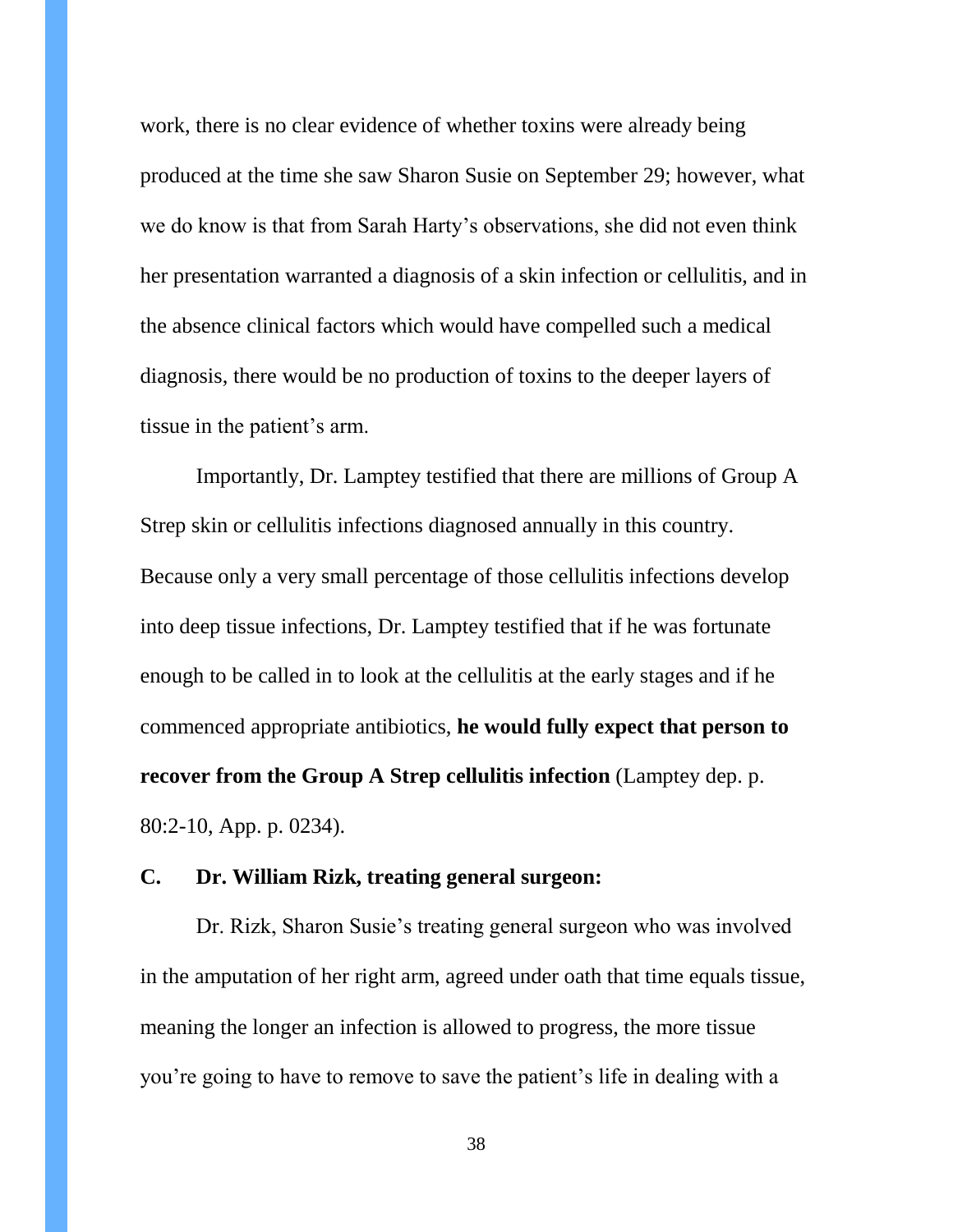work, there is no clear evidence of whether toxins were already being produced at the time she saw Sharon Susie on September 29; however, what we do know is that from Sarah Harty's observations, she did not even think her presentation warranted a diagnosis of a skin infection or cellulitis, and in the absence clinical factors which would have compelled such a medical diagnosis, there would be no production of toxins to the deeper layers of tissue in the patient's arm.

Importantly, Dr. Lamptey testified that there are millions of Group A Strep skin or cellulitis infections diagnosed annually in this country. Because only a very small percentage of those cellulitis infections develop into deep tissue infections, Dr. Lamptey testified that if he was fortunate enough to be called in to look at the cellulitis at the early stages and if he commenced appropriate antibiotics, **he would fully expect that person to recover from the Group A Strep cellulitis infection** (Lamptey dep. p. 80:2-10, App. p. 0234).

### **C. Dr. William Rizk, treating general surgeon:**

Dr. Rizk, Sharon Susie's treating general surgeon who was involved in the amputation of her right arm, agreed under oath that time equals tissue, meaning the longer an infection is allowed to progress, the more tissue you're going to have to remove to save the patient's life in dealing with a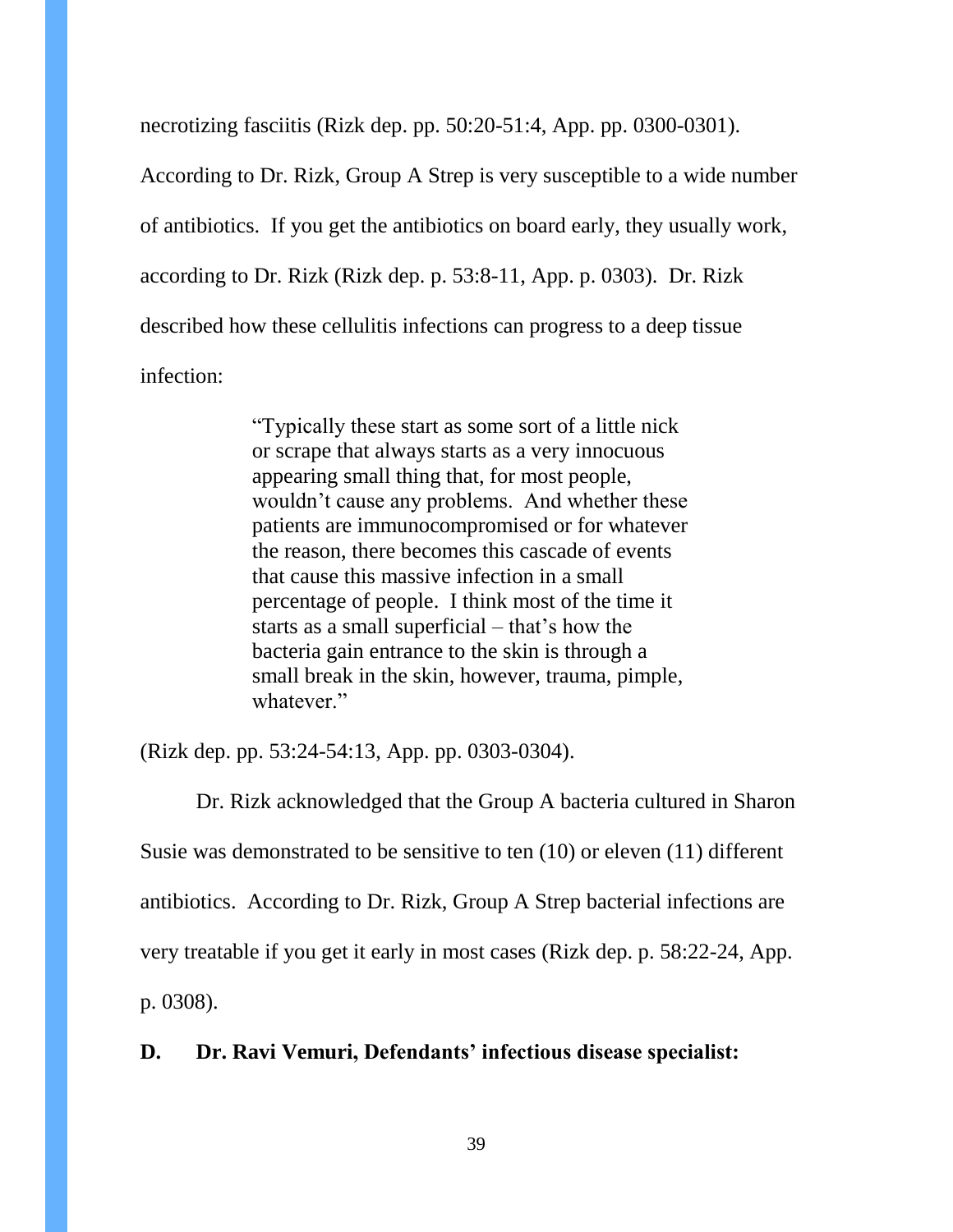necrotizing fasciitis (Rizk dep. pp. 50:20-51:4, App. pp. 0300-0301). According to Dr. Rizk, Group A Strep is very susceptible to a wide number of antibiotics. If you get the antibiotics on board early, they usually work, according to Dr. Rizk (Rizk dep. p. 53:8-11, App. p. 0303). Dr. Rizk described how these cellulitis infections can progress to a deep tissue infection:

> "Typically these start as some sort of a little nick or scrape that always starts as a very innocuous appearing small thing that, for most people, wouldn't cause any problems. And whether these patients are immunocompromised or for whatever the reason, there becomes this cascade of events that cause this massive infection in a small percentage of people. I think most of the time it starts as a small superficial – that's how the bacteria gain entrance to the skin is through a small break in the skin, however, trauma, pimple, whatever."

(Rizk dep. pp. 53:24-54:13, App. pp. 0303-0304).

Dr. Rizk acknowledged that the Group A bacteria cultured in Sharon Susie was demonstrated to be sensitive to ten (10) or eleven (11) different antibiotics. According to Dr. Rizk, Group A Strep bacterial infections are very treatable if you get it early in most cases (Rizk dep. p. 58:22-24, App. p. 0308).

**D. Dr. Ravi Vemuri, Defendants' infectious disease specialist:**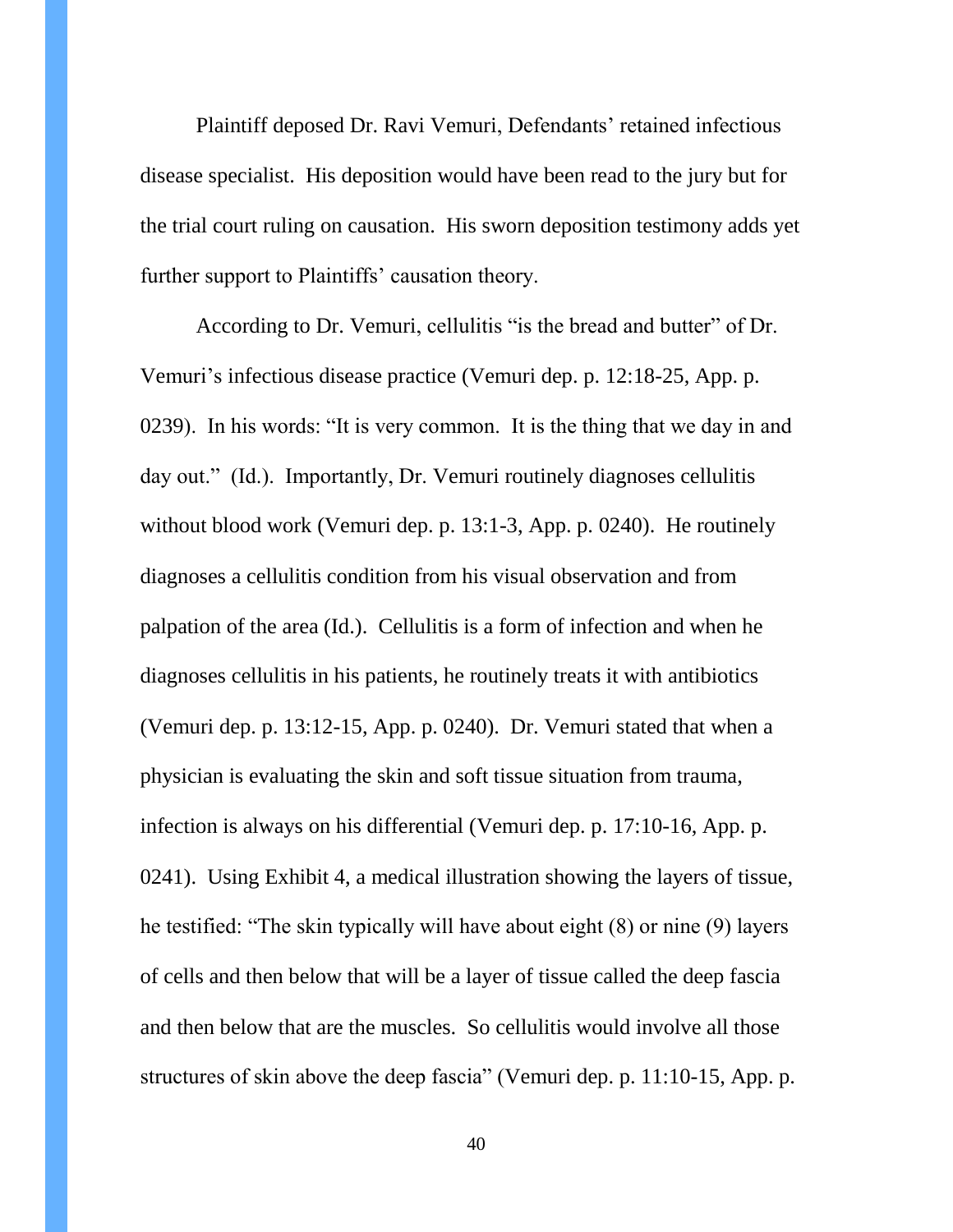Plaintiff deposed Dr. Ravi Vemuri, Defendants' retained infectious disease specialist. His deposition would have been read to the jury but for the trial court ruling on causation. His sworn deposition testimony adds yet further support to Plaintiffs' causation theory.

According to Dr. Vemuri, cellulitis "is the bread and butter" of Dr. Vemuri's infectious disease practice (Vemuri dep. p. 12:18-25, App. p. 0239). In his words: "It is very common. It is the thing that we day in and day out." (Id.). Importantly, Dr. Vemuri routinely diagnoses cellulitis without blood work (Vemuri dep. p. 13:1-3, App. p. 0240). He routinely diagnoses a cellulitis condition from his visual observation and from palpation of the area (Id.). Cellulitis is a form of infection and when he diagnoses cellulitis in his patients, he routinely treats it with antibiotics (Vemuri dep. p. 13:12-15, App. p. 0240). Dr. Vemuri stated that when a physician is evaluating the skin and soft tissue situation from trauma, infection is always on his differential (Vemuri dep. p. 17:10-16, App. p. 0241). Using Exhibit 4, a medical illustration showing the layers of tissue, he testified: "The skin typically will have about eight (8) or nine (9) layers of cells and then below that will be a layer of tissue called the deep fascia and then below that are the muscles. So cellulitis would involve all those structures of skin above the deep fascia" (Vemuri dep. p. 11:10-15, App. p.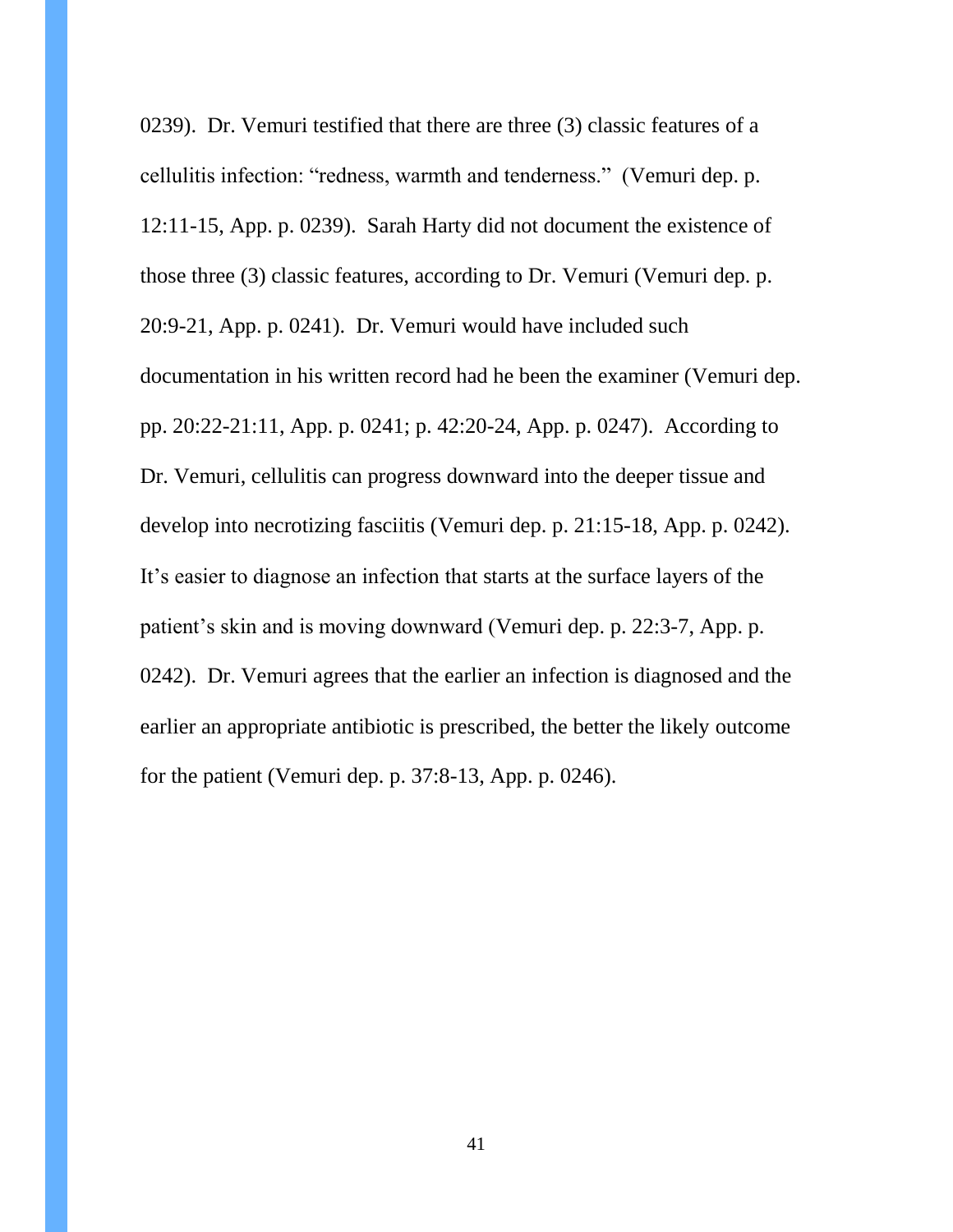0239). Dr. Vemuri testified that there are three (3) classic features of a cellulitis infection: "redness, warmth and tenderness." (Vemuri dep. p. 12:11-15, App. p. 0239). Sarah Harty did not document the existence of those three (3) classic features, according to Dr. Vemuri (Vemuri dep. p. 20:9-21, App. p. 0241). Dr. Vemuri would have included such documentation in his written record had he been the examiner (Vemuri dep. pp. 20:22-21:11, App. p. 0241; p. 42:20-24, App. p. 0247). According to Dr. Vemuri, cellulitis can progress downward into the deeper tissue and develop into necrotizing fasciitis (Vemuri dep. p. 21:15-18, App. p. 0242). It's easier to diagnose an infection that starts at the surface layers of the patient's skin and is moving downward (Vemuri dep. p. 22:3-7, App. p. 0242). Dr. Vemuri agrees that the earlier an infection is diagnosed and the earlier an appropriate antibiotic is prescribed, the better the likely outcome for the patient (Vemuri dep. p. 37:8-13, App. p. 0246).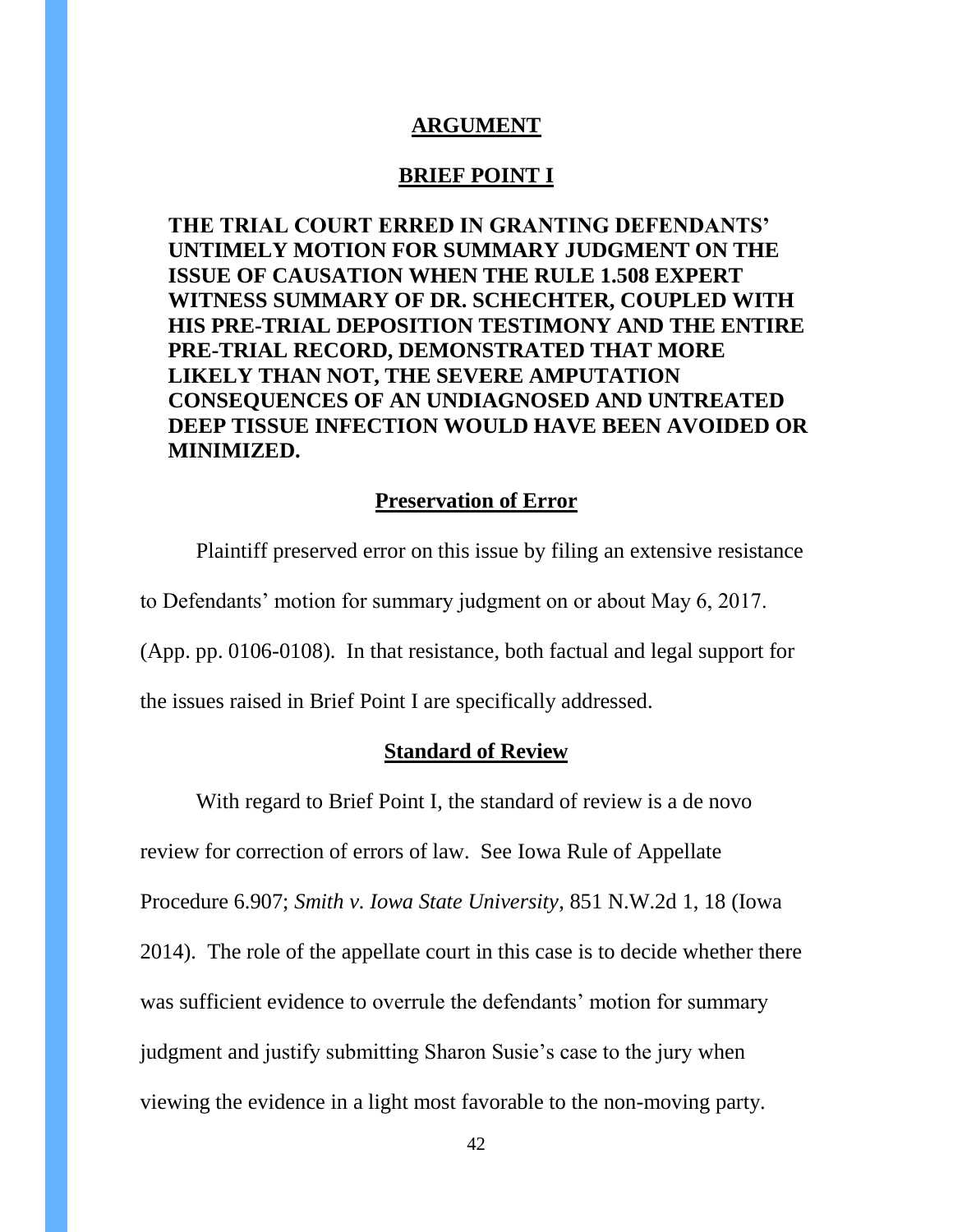#### **ARGUMENT**

### **BRIEF POINT I**

**THE TRIAL COURT ERRED IN GRANTING DEFENDANTS' UNTIMELY MOTION FOR SUMMARY JUDGMENT ON THE ISSUE OF CAUSATION WHEN THE RULE 1.508 EXPERT WITNESS SUMMARY OF DR. SCHECHTER, COUPLED WITH HIS PRE-TRIAL DEPOSITION TESTIMONY AND THE ENTIRE PRE-TRIAL RECORD, DEMONSTRATED THAT MORE LIKELY THAN NOT, THE SEVERE AMPUTATION CONSEQUENCES OF AN UNDIAGNOSED AND UNTREATED DEEP TISSUE INFECTION WOULD HAVE BEEN AVOIDED OR MINIMIZED.**

#### **Preservation of Error**

Plaintiff preserved error on this issue by filing an extensive resistance to Defendants' motion for summary judgment on or about May 6, 2017. (App. pp. 0106-0108). In that resistance, both factual and legal support for the issues raised in Brief Point I are specifically addressed.

#### **Standard of Review**

With regard to Brief Point I, the standard of review is a de novo review for correction of errors of law. See Iowa Rule of Appellate Procedure 6.907; *Smith v. Iowa State University*, 851 N.W.2d 1, 18 (Iowa 2014). The role of the appellate court in this case is to decide whether there was sufficient evidence to overrule the defendants' motion for summary judgment and justify submitting Sharon Susie's case to the jury when viewing the evidence in a light most favorable to the non-moving party.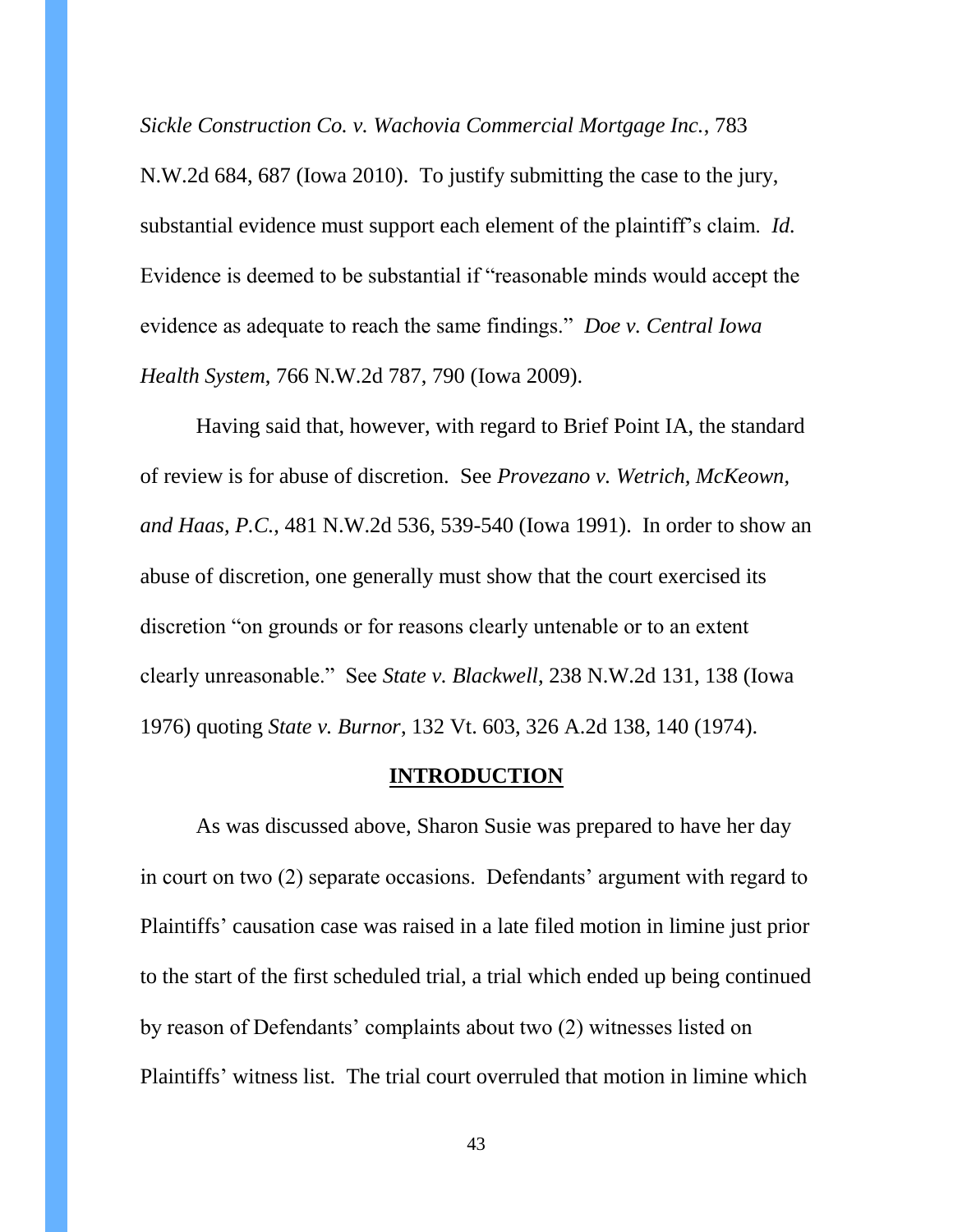*Sickle Construction Co. v. Wachovia Commercial Mortgage Inc.*, 783

N.W.2d 684, 687 (Iowa 2010). To justify submitting the case to the jury, substantial evidence must support each element of the plaintiff's claim. *Id.* Evidence is deemed to be substantial if "reasonable minds would accept the evidence as adequate to reach the same findings." *Doe v. Central Iowa Health System*, 766 N.W.2d 787, 790 (Iowa 2009).

Having said that, however, with regard to Brief Point IA, the standard of review is for abuse of discretion. See *Provezano v. Wetrich, McKeown, and Haas, P.C.*, 481 N.W.2d 536, 539-540 (Iowa 1991). In order to show an abuse of discretion, one generally must show that the court exercised its discretion "on grounds or for reasons clearly untenable or to an extent clearly unreasonable." See *State v. Blackwell*, 238 N.W.2d 131, 138 (Iowa 1976) quoting *State v. Burnor*, 132 Vt. 603, 326 A.2d 138, 140 (1974).

#### **INTRODUCTION**

As was discussed above, Sharon Susie was prepared to have her day in court on two (2) separate occasions. Defendants' argument with regard to Plaintiffs' causation case was raised in a late filed motion in limine just prior to the start of the first scheduled trial, a trial which ended up being continued by reason of Defendants' complaints about two (2) witnesses listed on Plaintiffs' witness list. The trial court overruled that motion in limine which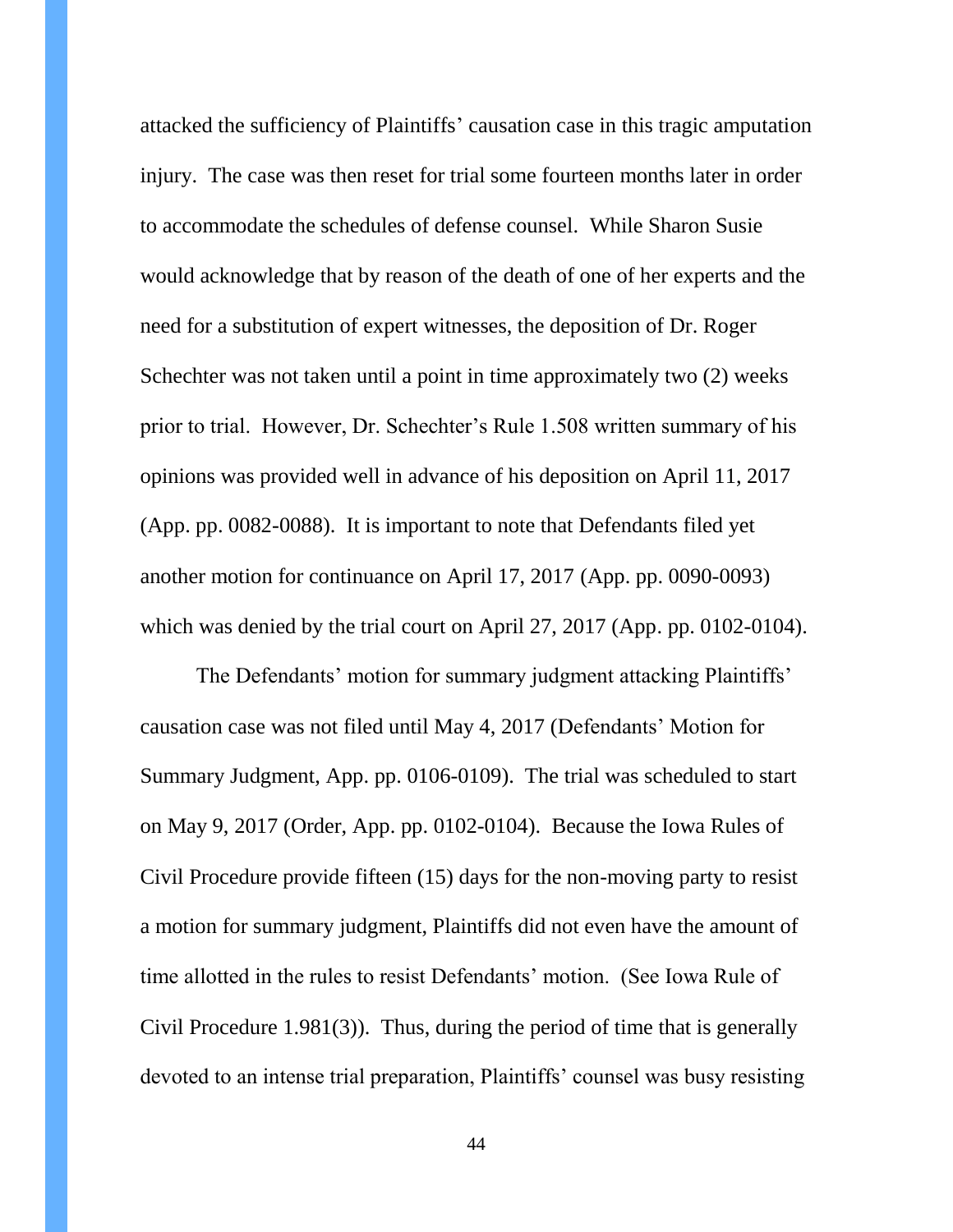attacked the sufficiency of Plaintiffs' causation case in this tragic amputation injury. The case was then reset for trial some fourteen months later in order to accommodate the schedules of defense counsel. While Sharon Susie would acknowledge that by reason of the death of one of her experts and the need for a substitution of expert witnesses, the deposition of Dr. Roger Schechter was not taken until a point in time approximately two (2) weeks prior to trial. However, Dr. Schechter's Rule 1.508 written summary of his opinions was provided well in advance of his deposition on April 11, 2017 (App. pp. 0082-0088). It is important to note that Defendants filed yet another motion for continuance on April 17, 2017 (App. pp. 0090-0093) which was denied by the trial court on April 27, 2017 (App. pp. 0102-0104).

The Defendants' motion for summary judgment attacking Plaintiffs' causation case was not filed until May 4, 2017 (Defendants' Motion for Summary Judgment, App. pp. 0106-0109). The trial was scheduled to start on May 9, 2017 (Order, App. pp. 0102-0104). Because the Iowa Rules of Civil Procedure provide fifteen (15) days for the non-moving party to resist a motion for summary judgment, Plaintiffs did not even have the amount of time allotted in the rules to resist Defendants' motion. (See Iowa Rule of Civil Procedure 1.981(3)). Thus, during the period of time that is generally devoted to an intense trial preparation, Plaintiffs' counsel was busy resisting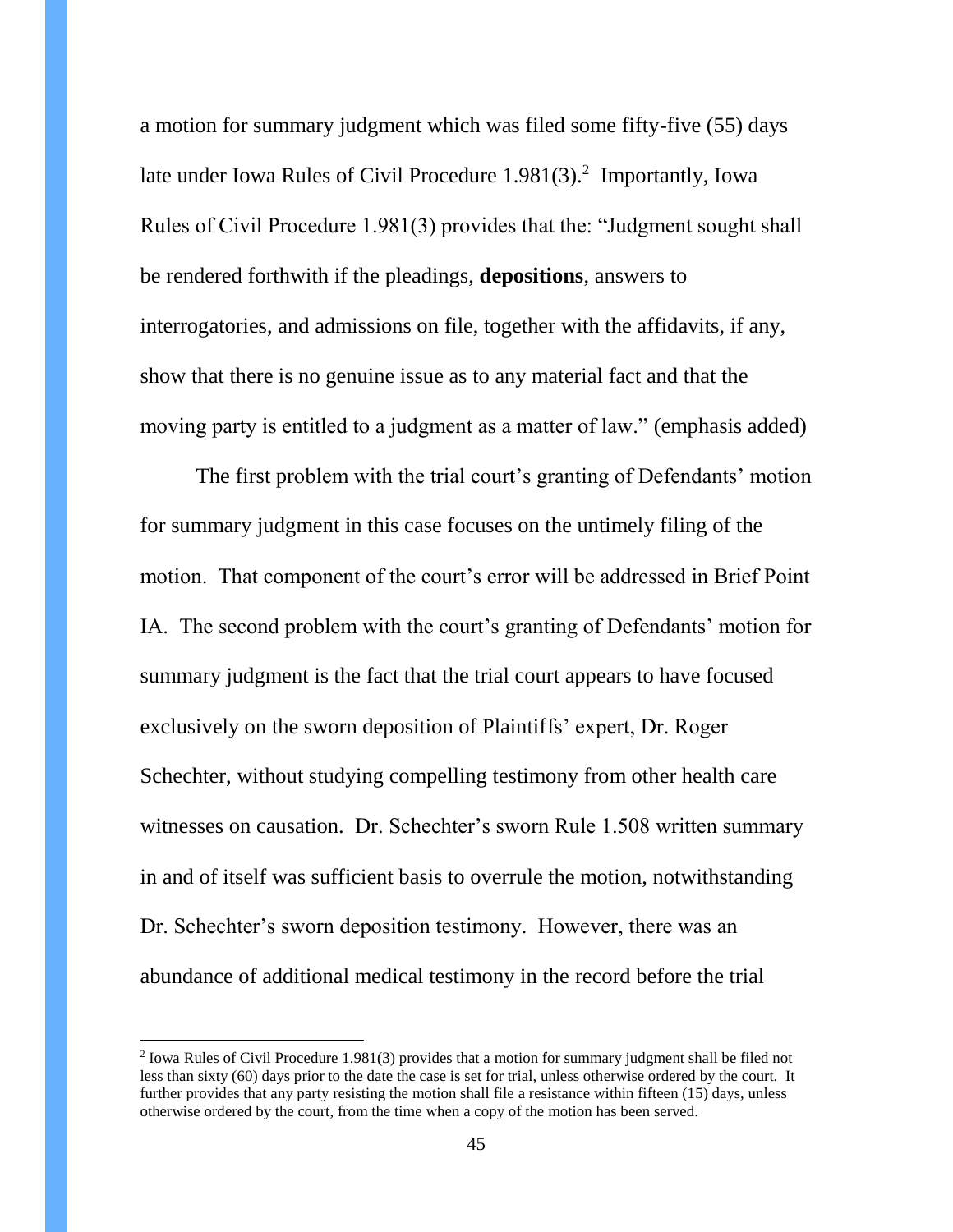a motion for summary judgment which was filed some fifty-five (55) days late under Iowa Rules of Civil Procedure  $1.981(3)$ .<sup>2</sup> Importantly, Iowa Rules of Civil Procedure 1.981(3) provides that the: "Judgment sought shall be rendered forthwith if the pleadings, **depositions**, answers to interrogatories, and admissions on file, together with the affidavits, if any, show that there is no genuine issue as to any material fact and that the moving party is entitled to a judgment as a matter of law." (emphasis added)

The first problem with the trial court's granting of Defendants' motion for summary judgment in this case focuses on the untimely filing of the motion. That component of the court's error will be addressed in Brief Point IA. The second problem with the court's granting of Defendants' motion for summary judgment is the fact that the trial court appears to have focused exclusively on the sworn deposition of Plaintiffs' expert, Dr. Roger Schechter, without studying compelling testimony from other health care witnesses on causation. Dr. Schechter's sworn Rule 1.508 written summary in and of itself was sufficient basis to overrule the motion, notwithstanding Dr. Schechter's sworn deposition testimony. However, there was an abundance of additional medical testimony in the record before the trial

 $\overline{a}$ 

<sup>&</sup>lt;sup>2</sup> Iowa Rules of Civil Procedure 1.981(3) provides that a motion for summary judgment shall be filed not less than sixty (60) days prior to the date the case is set for trial, unless otherwise ordered by the court. It further provides that any party resisting the motion shall file a resistance within fifteen (15) days, unless otherwise ordered by the court, from the time when a copy of the motion has been served.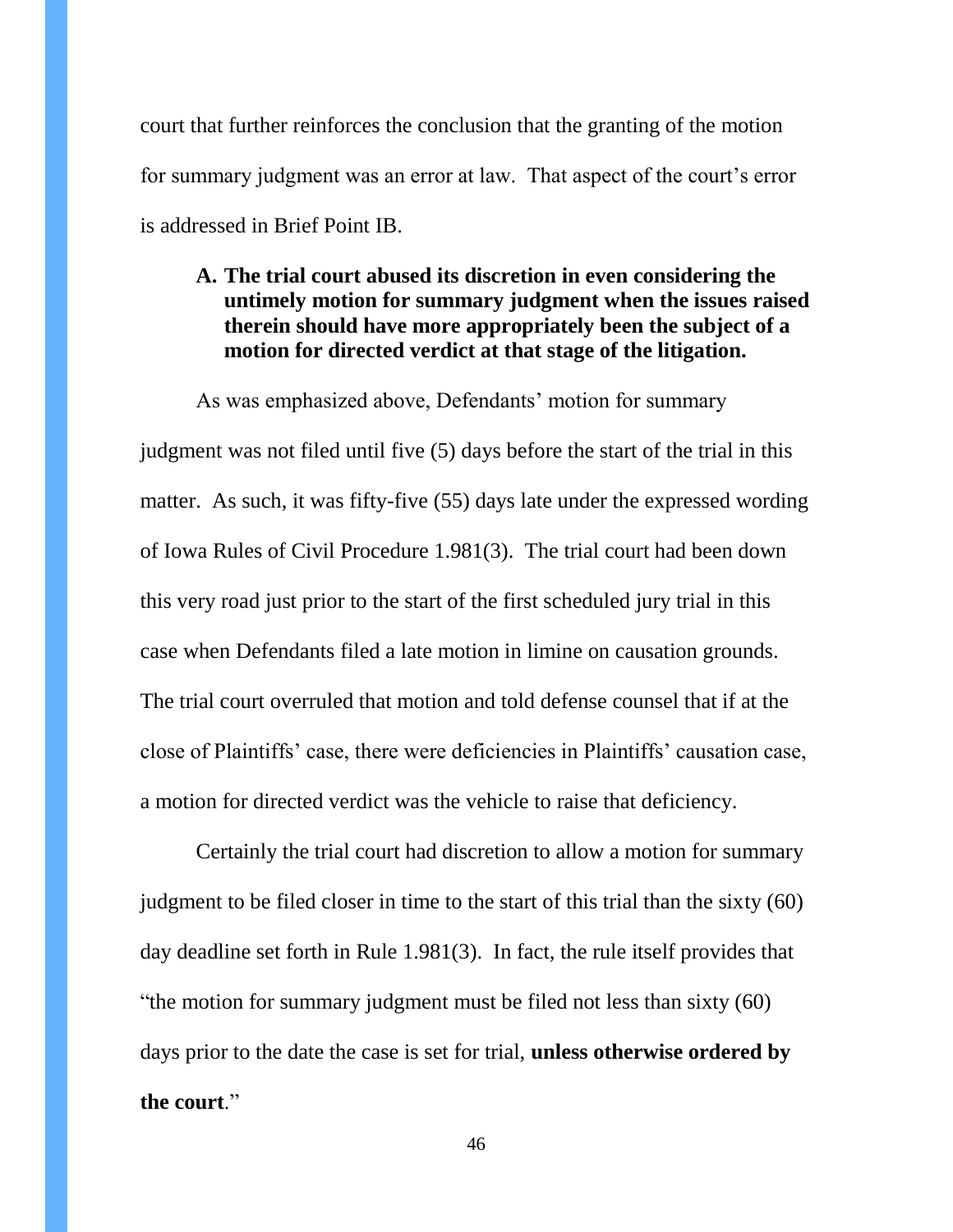court that further reinforces the conclusion that the granting of the motion for summary judgment was an error at law. That aspect of the court's error is addressed in Brief Point IB.

### **A. The trial court abused its discretion in even considering the untimely motion for summary judgment when the issues raised therein should have more appropriately been the subject of a motion for directed verdict at that stage of the litigation.**

As was emphasized above, Defendants' motion for summary judgment was not filed until five (5) days before the start of the trial in this matter. As such, it was fifty-five (55) days late under the expressed wording of Iowa Rules of Civil Procedure 1.981(3). The trial court had been down this very road just prior to the start of the first scheduled jury trial in this case when Defendants filed a late motion in limine on causation grounds. The trial court overruled that motion and told defense counsel that if at the close of Plaintiffs' case, there were deficiencies in Plaintiffs' causation case, a motion for directed verdict was the vehicle to raise that deficiency.

Certainly the trial court had discretion to allow a motion for summary judgment to be filed closer in time to the start of this trial than the sixty (60) day deadline set forth in Rule 1.981(3). In fact, the rule itself provides that "the motion for summary judgment must be filed not less than sixty (60) days prior to the date the case is set for trial, **unless otherwise ordered by the court**."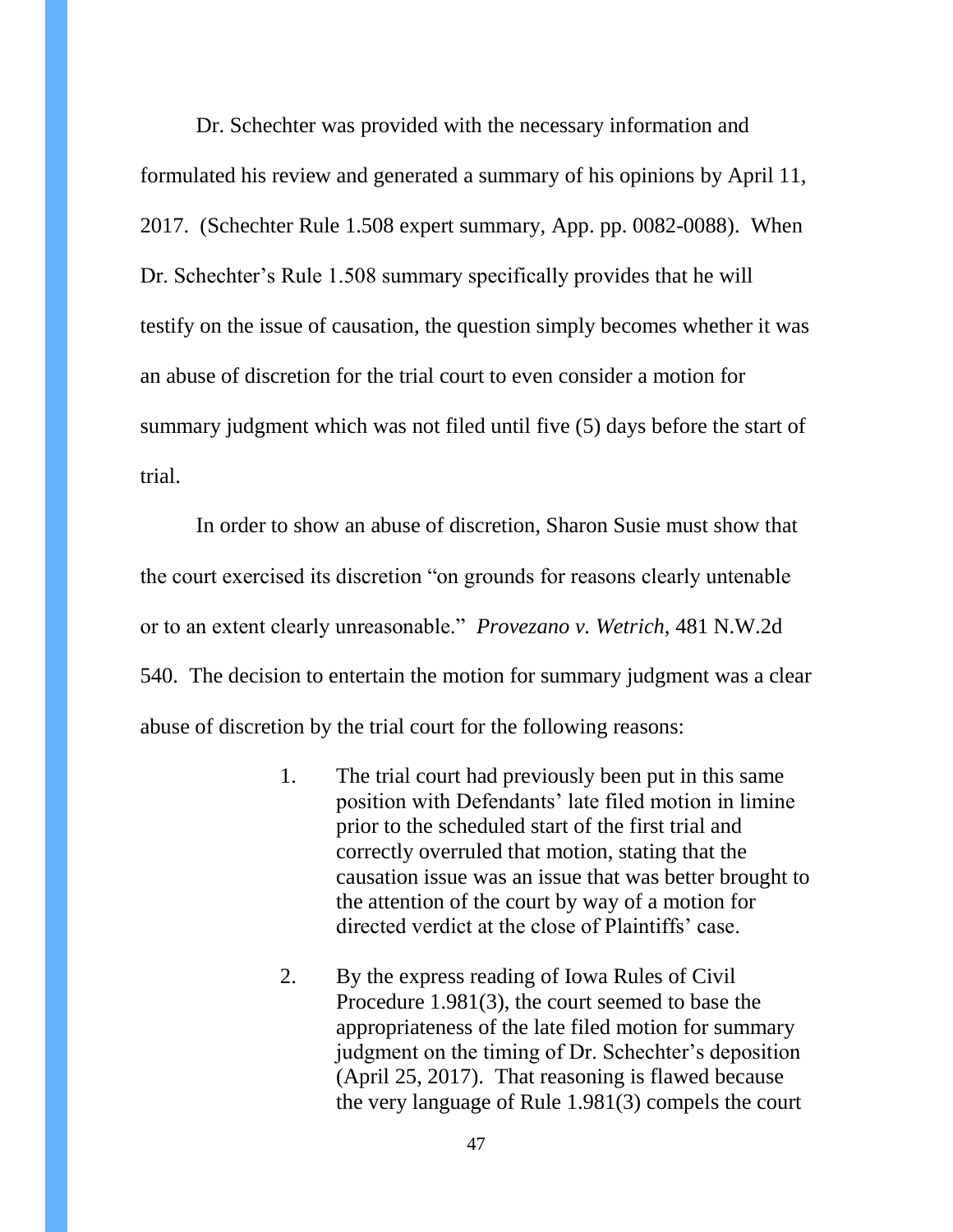Dr. Schechter was provided with the necessary information and formulated his review and generated a summary of his opinions by April 11, 2017. (Schechter Rule 1.508 expert summary, App. pp. 0082-0088). When Dr. Schechter's Rule 1.508 summary specifically provides that he will testify on the issue of causation, the question simply becomes whether it was an abuse of discretion for the trial court to even consider a motion for summary judgment which was not filed until five (5) days before the start of trial.

In order to show an abuse of discretion, Sharon Susie must show that the court exercised its discretion "on grounds for reasons clearly untenable or to an extent clearly unreasonable." *Provezano v. Wetrich,* 481 N.W.2d 540. The decision to entertain the motion for summary judgment was a clear abuse of discretion by the trial court for the following reasons:

- 1. The trial court had previously been put in this same position with Defendants' late filed motion in limine prior to the scheduled start of the first trial and correctly overruled that motion, stating that the causation issue was an issue that was better brought to the attention of the court by way of a motion for directed verdict at the close of Plaintiffs' case.
- 2. By the express reading of Iowa Rules of Civil Procedure 1.981(3), the court seemed to base the appropriateness of the late filed motion for summary judgment on the timing of Dr. Schechter's deposition (April 25, 2017). That reasoning is flawed because the very language of Rule 1.981(3) compels the court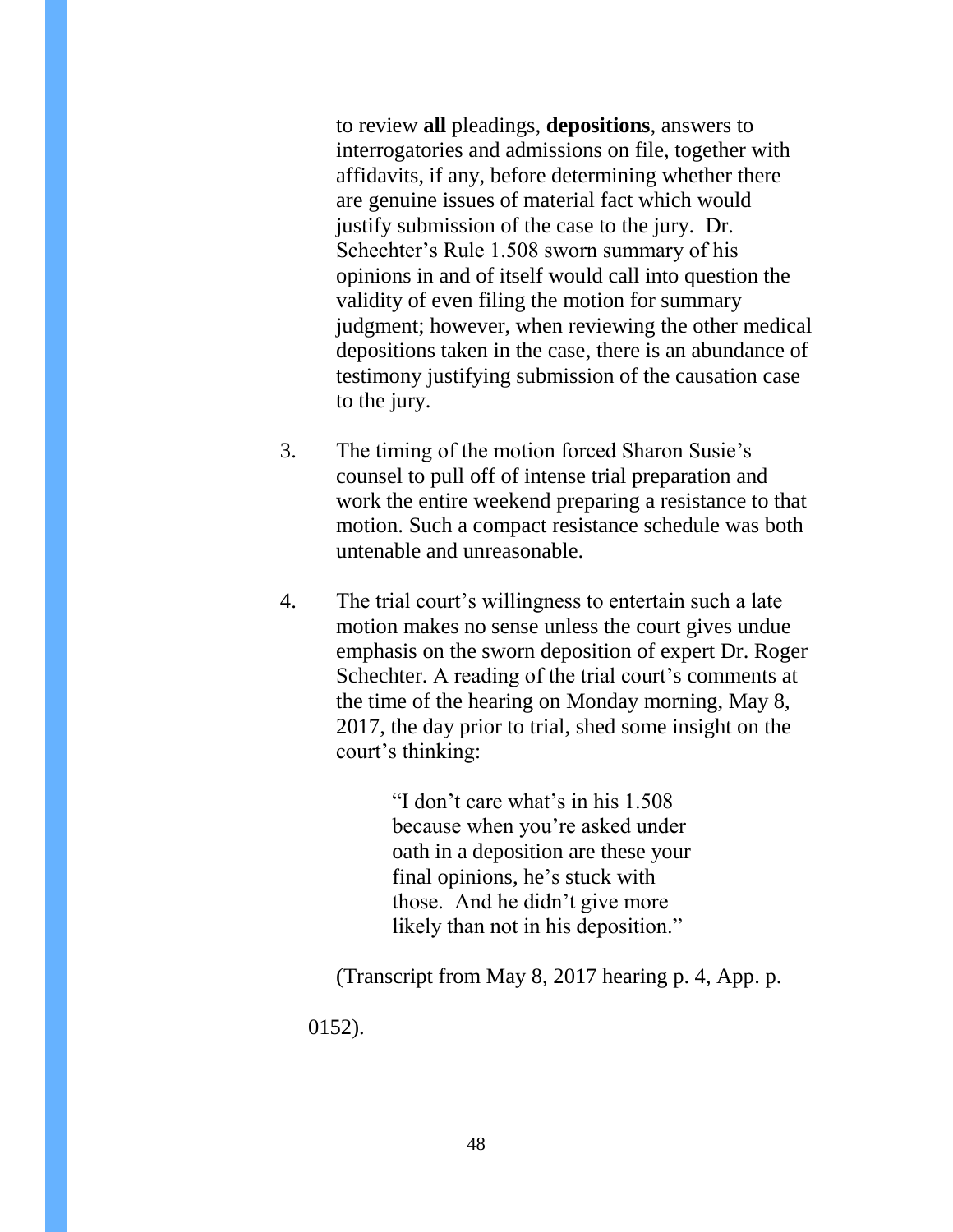to review **all** pleadings, **depositions**, answers to interrogatories and admissions on file, together with affidavits, if any, before determining whether there are genuine issues of material fact which would justify submission of the case to the jury. Dr. Schechter's Rule 1.508 sworn summary of his opinions in and of itself would call into question the validity of even filing the motion for summary judgment; however, when reviewing the other medical depositions taken in the case, there is an abundance of testimony justifying submission of the causation case to the jury.

- 3. The timing of the motion forced Sharon Susie's counsel to pull off of intense trial preparation and work the entire weekend preparing a resistance to that motion. Such a compact resistance schedule was both untenable and unreasonable.
- 4. The trial court's willingness to entertain such a late motion makes no sense unless the court gives undue emphasis on the sworn deposition of expert Dr. Roger Schechter. A reading of the trial court's comments at the time of the hearing on Monday morning, May 8, 2017, the day prior to trial, shed some insight on the court's thinking:

"I don't care what's in his 1.508 because when you're asked under oath in a deposition are these your final opinions, he's stuck with those. And he didn't give more likely than not in his deposition."

(Transcript from May 8, 2017 hearing p. 4, App. p. 0152).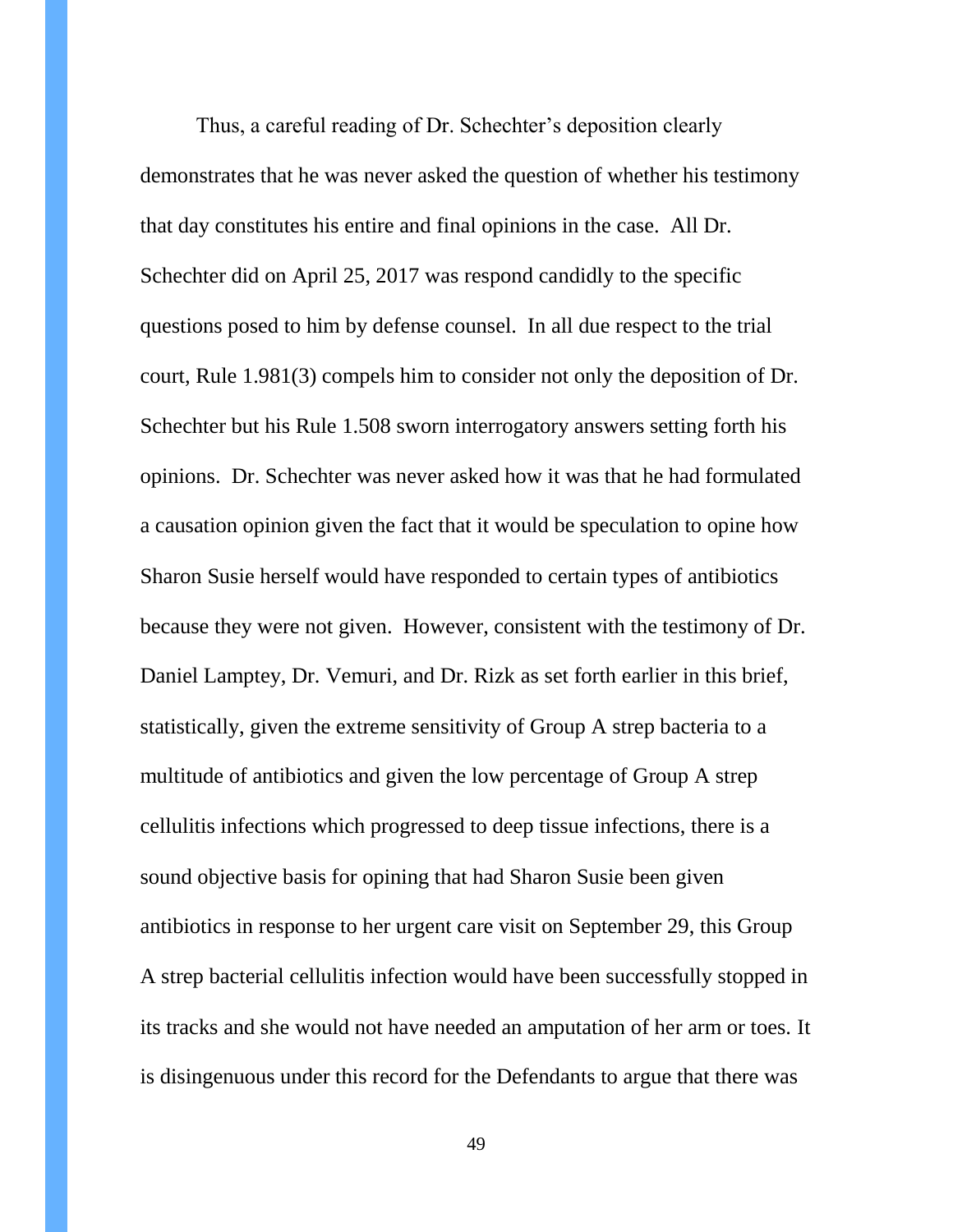Thus, a careful reading of Dr. Schechter's deposition clearly demonstrates that he was never asked the question of whether his testimony that day constitutes his entire and final opinions in the case. All Dr. Schechter did on April 25, 2017 was respond candidly to the specific questions posed to him by defense counsel. In all due respect to the trial court, Rule 1.981(3) compels him to consider not only the deposition of Dr. Schechter but his Rule 1.508 sworn interrogatory answers setting forth his opinions. Dr. Schechter was never asked how it was that he had formulated a causation opinion given the fact that it would be speculation to opine how Sharon Susie herself would have responded to certain types of antibiotics because they were not given. However, consistent with the testimony of Dr. Daniel Lamptey, Dr. Vemuri, and Dr. Rizk as set forth earlier in this brief, statistically, given the extreme sensitivity of Group A strep bacteria to a multitude of antibiotics and given the low percentage of Group A strep cellulitis infections which progressed to deep tissue infections, there is a sound objective basis for opining that had Sharon Susie been given antibiotics in response to her urgent care visit on September 29, this Group A strep bacterial cellulitis infection would have been successfully stopped in its tracks and she would not have needed an amputation of her arm or toes. It is disingenuous under this record for the Defendants to argue that there was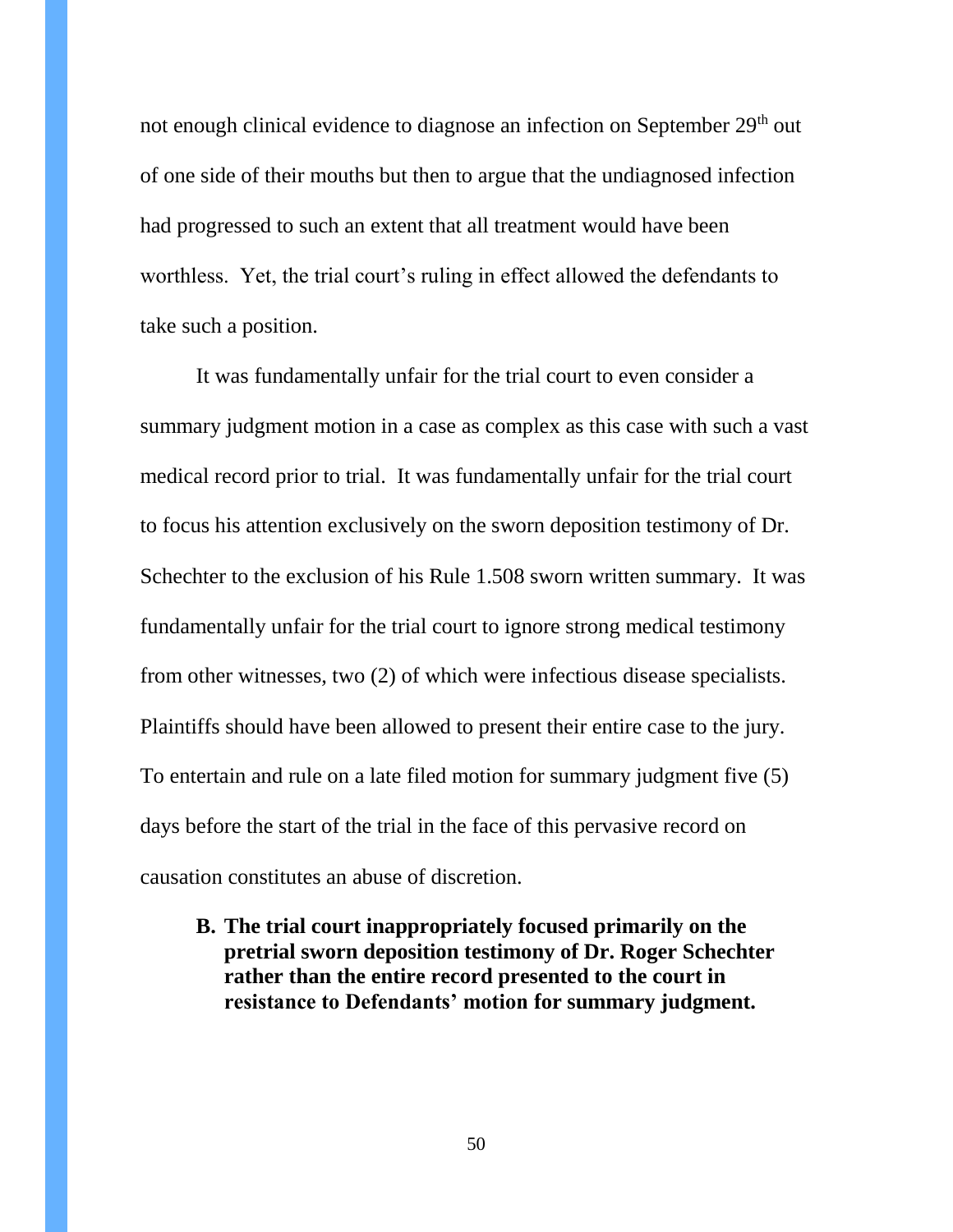not enough clinical evidence to diagnose an infection on September 29<sup>th</sup> out of one side of their mouths but then to argue that the undiagnosed infection had progressed to such an extent that all treatment would have been worthless. Yet, the trial court's ruling in effect allowed the defendants to take such a position.

It was fundamentally unfair for the trial court to even consider a summary judgment motion in a case as complex as this case with such a vast medical record prior to trial. It was fundamentally unfair for the trial court to focus his attention exclusively on the sworn deposition testimony of Dr. Schechter to the exclusion of his Rule 1.508 sworn written summary. It was fundamentally unfair for the trial court to ignore strong medical testimony from other witnesses, two (2) of which were infectious disease specialists. Plaintiffs should have been allowed to present their entire case to the jury. To entertain and rule on a late filed motion for summary judgment five (5) days before the start of the trial in the face of this pervasive record on causation constitutes an abuse of discretion.

**B. The trial court inappropriately focused primarily on the pretrial sworn deposition testimony of Dr. Roger Schechter rather than the entire record presented to the court in resistance to Defendants' motion for summary judgment.**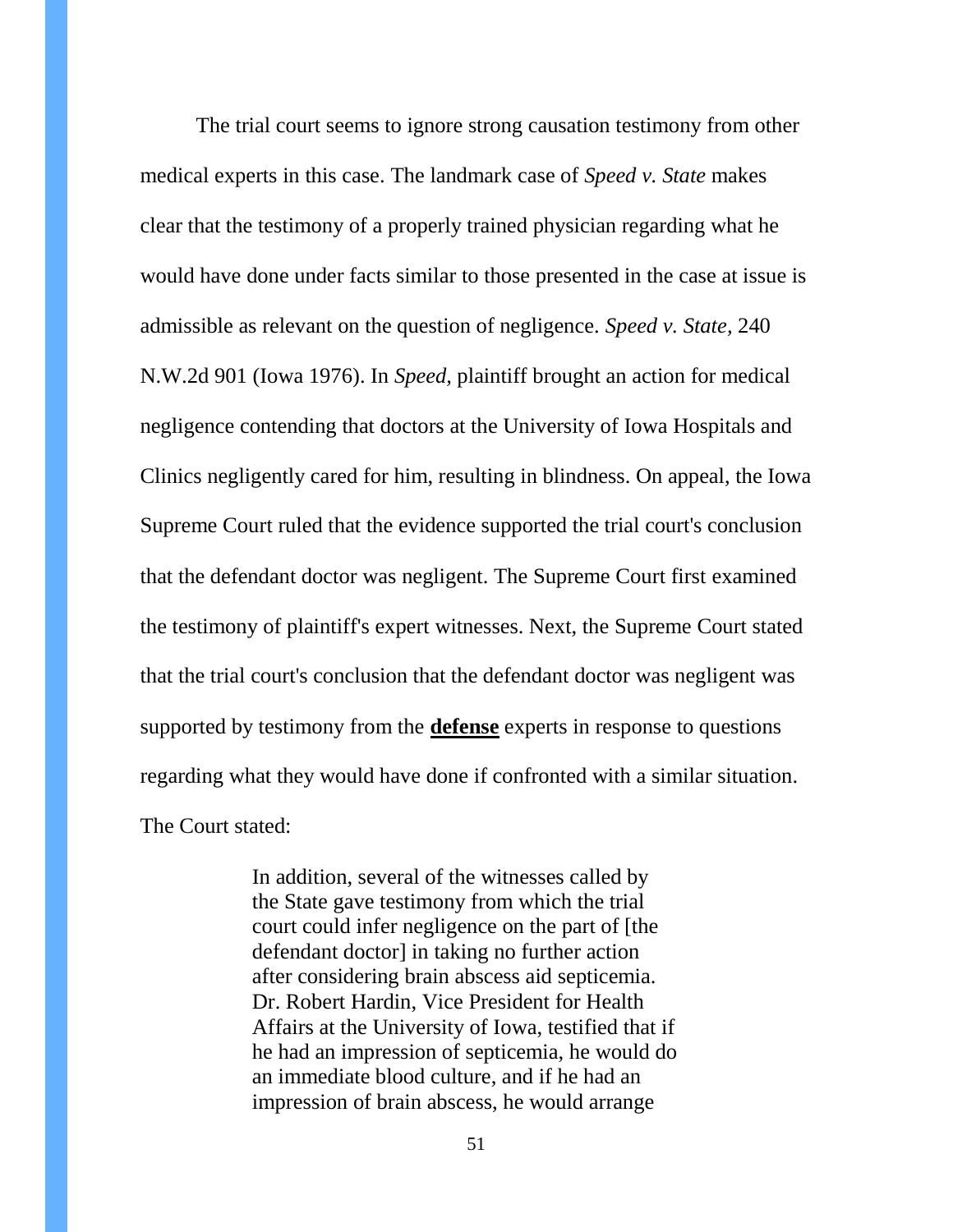The trial court seems to ignore strong causation testimony from other medical experts in this case. The landmark case of *Speed v. State* makes clear that the testimony of a properly trained physician regarding what he would have done under facts similar to those presented in the case at issue is admissible as relevant on the question of negligence. *Speed v. State,* 240 N.W.2d 901 (Iowa 1976). In *Speed,* plaintiff brought an action for medical negligence contending that doctors at the University of Iowa Hospitals and Clinics negligently cared for him, resulting in blindness. On appeal, the Iowa Supreme Court ruled that the evidence supported the trial court's conclusion that the defendant doctor was negligent. The Supreme Court first examined the testimony of plaintiff's expert witnesses. Next, the Supreme Court stated that the trial court's conclusion that the defendant doctor was negligent was supported by testimony from the **defense** experts in response to questions regarding what they would have done if confronted with a similar situation. The Court stated:

> In addition, several of the witnesses called by the State gave testimony from which the trial court could infer negligence on the part of [the defendant doctor] in taking no further action after considering brain abscess aid septicemia. Dr. Robert Hardin, Vice President for Health Affairs at the University of Iowa, testified that if he had an impression of septicemia, he would do an immediate blood culture, and if he had an impression of brain abscess, he would arrange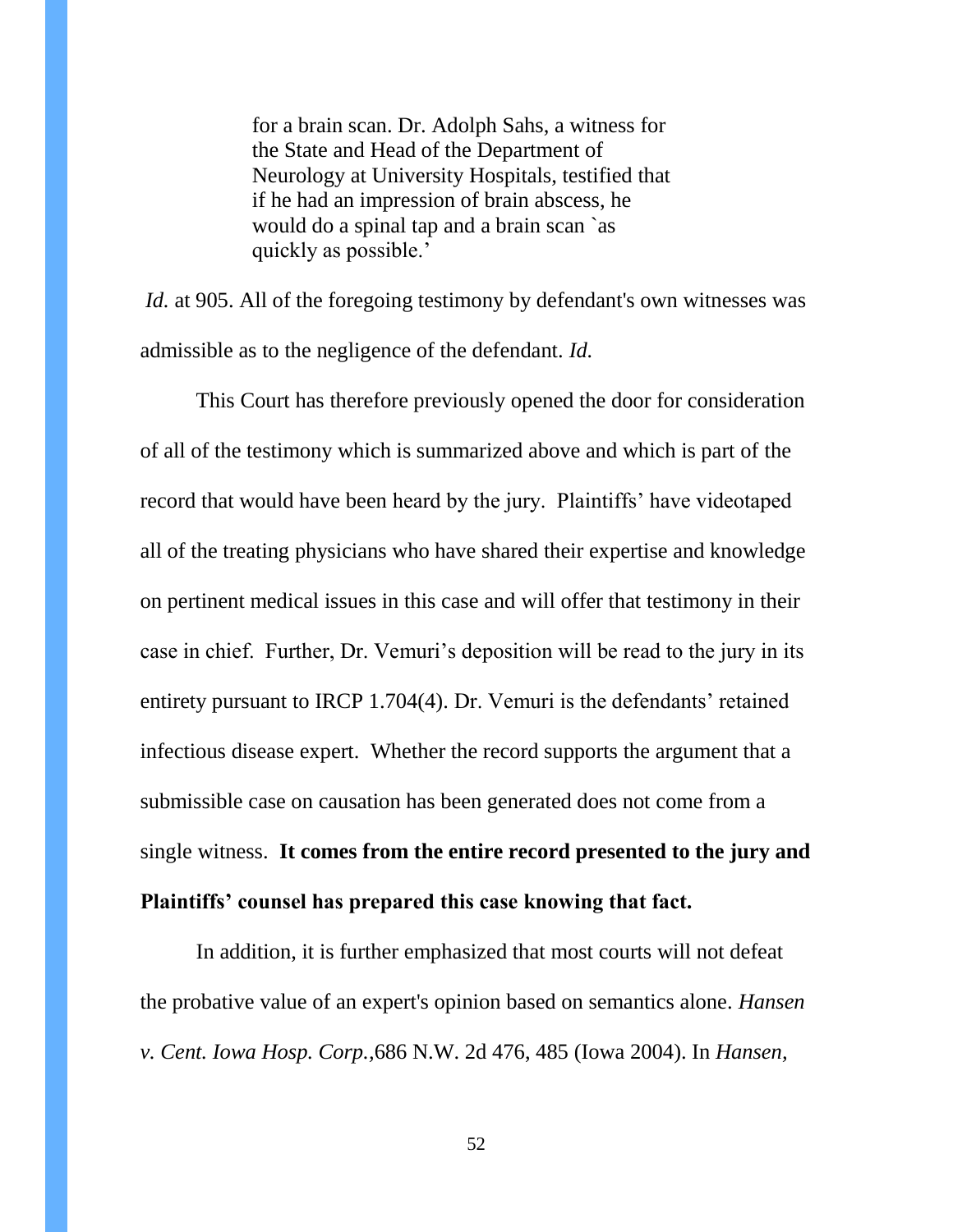for a brain scan. Dr. Adolph Sahs, a witness for the State and Head of the Department of Neurology at University Hospitals, testified that if he had an impression of brain abscess, he would do a spinal tap and a brain scan `as quickly as possible.'

*Id.* at 905. All of the foregoing testimony by defendant's own witnesses was admissible as to the negligence of the defendant. *Id.*

This Court has therefore previously opened the door for consideration of all of the testimony which is summarized above and which is part of the record that would have been heard by the jury. Plaintiffs' have videotaped all of the treating physicians who have shared their expertise and knowledge on pertinent medical issues in this case and will offer that testimony in their case in chief. Further, Dr. Vemuri's deposition will be read to the jury in its entirety pursuant to IRCP 1.704(4). Dr. Vemuri is the defendants' retained infectious disease expert. Whether the record supports the argument that a submissible case on causation has been generated does not come from a single witness. **It comes from the entire record presented to the jury and Plaintiffs' counsel has prepared this case knowing that fact.**

In addition, it is further emphasized that most courts will not defeat the probative value of an expert's opinion based on semantics alone. *Hansen v. Cent. Iowa Hosp. Corp.,*686 N.W. 2d 476, 485 (Iowa 2004). In *Hansen,*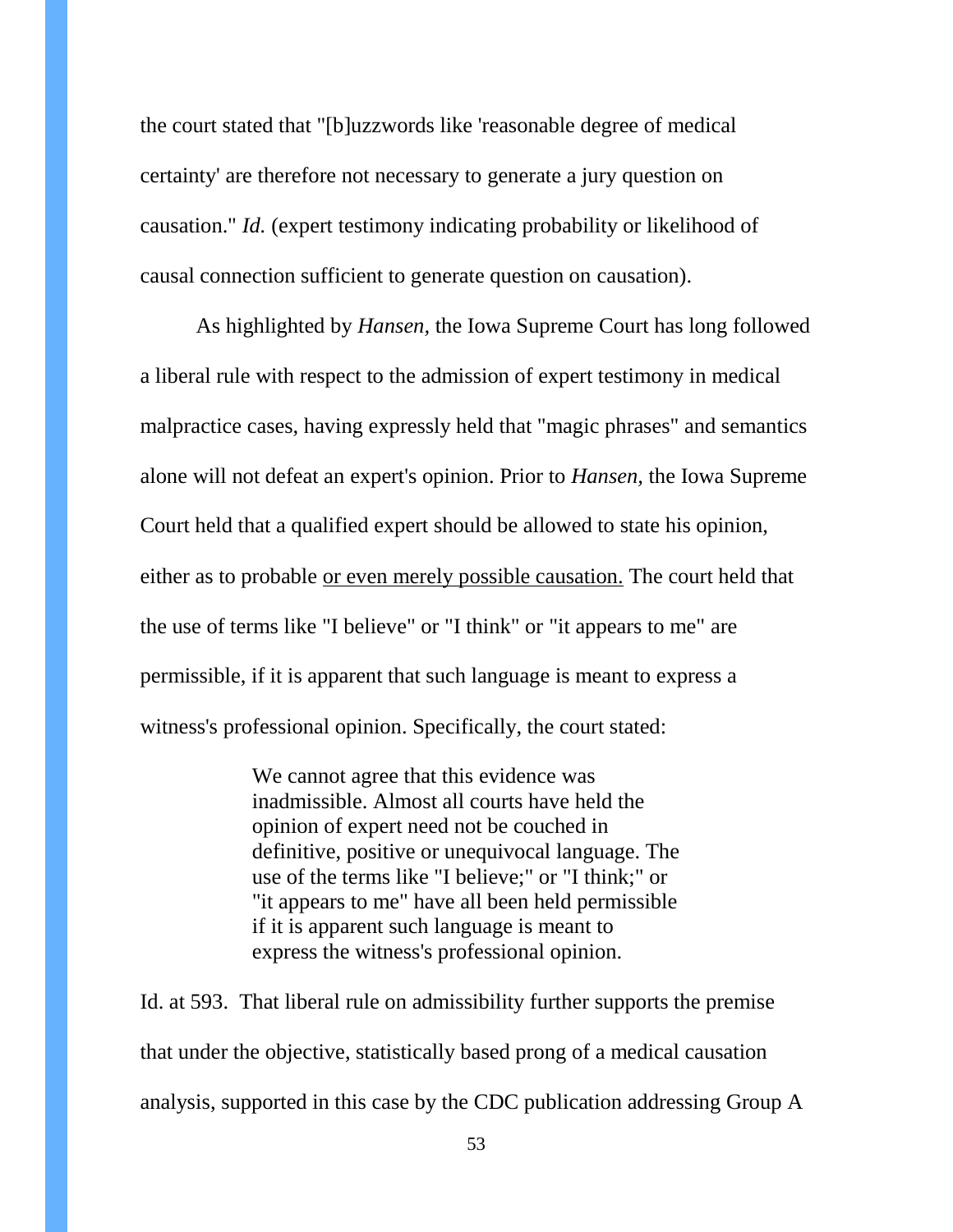the court stated that "[b]uzzwords like 'reasonable degree of medical certainty' are therefore not necessary to generate a jury question on causation." *Id.* (expert testimony indicating probability or likelihood of causal connection sufficient to generate question on causation).

As highlighted by *Hansen,* the Iowa Supreme Court has long followed a liberal rule with respect to the admission of expert testimony in medical malpractice cases, having expressly held that "magic phrases" and semantics alone will not defeat an expert's opinion. Prior to *Hansen,* the Iowa Supreme Court held that a qualified expert should be allowed to state his opinion, either as to probable or even merely possible causation. The court held that the use of terms like "I believe" or "I think" or "it appears to me" are permissible, if it is apparent that such language is meant to express a witness's professional opinion. Specifically, the court stated:

> We cannot agree that this evidence was inadmissible. Almost all courts have held the opinion of expert need not be couched in definitive, positive or unequivocal language. The use of the terms like "I believe;" or "I think;" or "it appears to me" have all been held permissible if it is apparent such language is meant to express the witness's professional opinion.

Id. at 593. That liberal rule on admissibility further supports the premise that under the objective, statistically based prong of a medical causation analysis, supported in this case by the CDC publication addressing Group A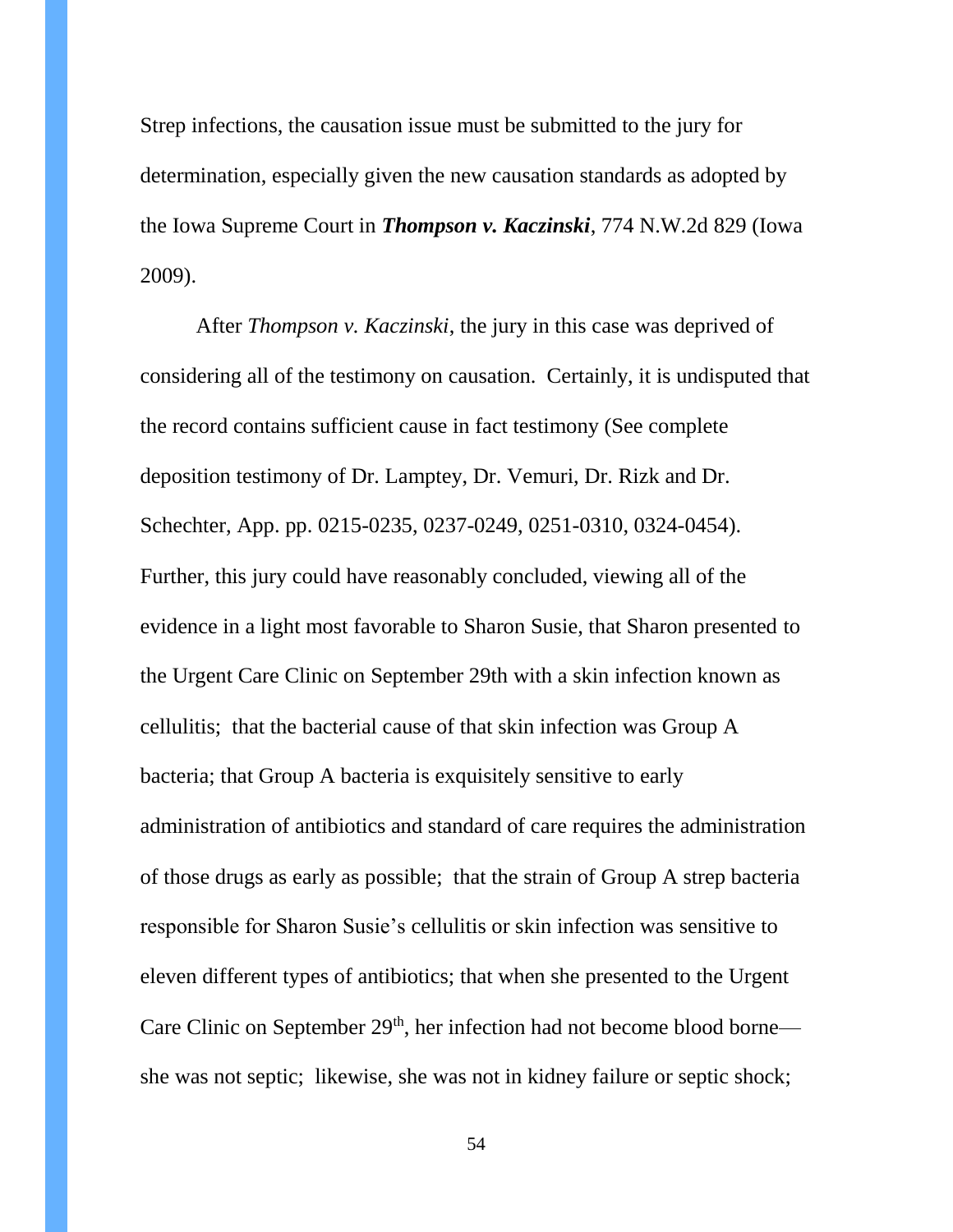Strep infections, the causation issue must be submitted to the jury for determination, especially given the new causation standards as adopted by the Iowa Supreme Court in *Thompson v. Kaczinski*, 774 N.W.2d 829 (Iowa 2009).

After *Thompson v. Kaczinski*, the jury in this case was deprived of considering all of the testimony on causation. Certainly, it is undisputed that the record contains sufficient cause in fact testimony (See complete deposition testimony of Dr. Lamptey, Dr. Vemuri, Dr. Rizk and Dr. Schechter, App. pp. 0215-0235, 0237-0249, 0251-0310, 0324-0454). Further, this jury could have reasonably concluded, viewing all of the evidence in a light most favorable to Sharon Susie, that Sharon presented to the Urgent Care Clinic on September 29th with a skin infection known as cellulitis; that the bacterial cause of that skin infection was Group A bacteria; that Group A bacteria is exquisitely sensitive to early administration of antibiotics and standard of care requires the administration of those drugs as early as possible; that the strain of Group A strep bacteria responsible for Sharon Susie's cellulitis or skin infection was sensitive to eleven different types of antibiotics; that when she presented to the Urgent Care Clinic on September  $29<sup>th</sup>$ , her infection had not become blood borne she was not septic; likewise, she was not in kidney failure or septic shock;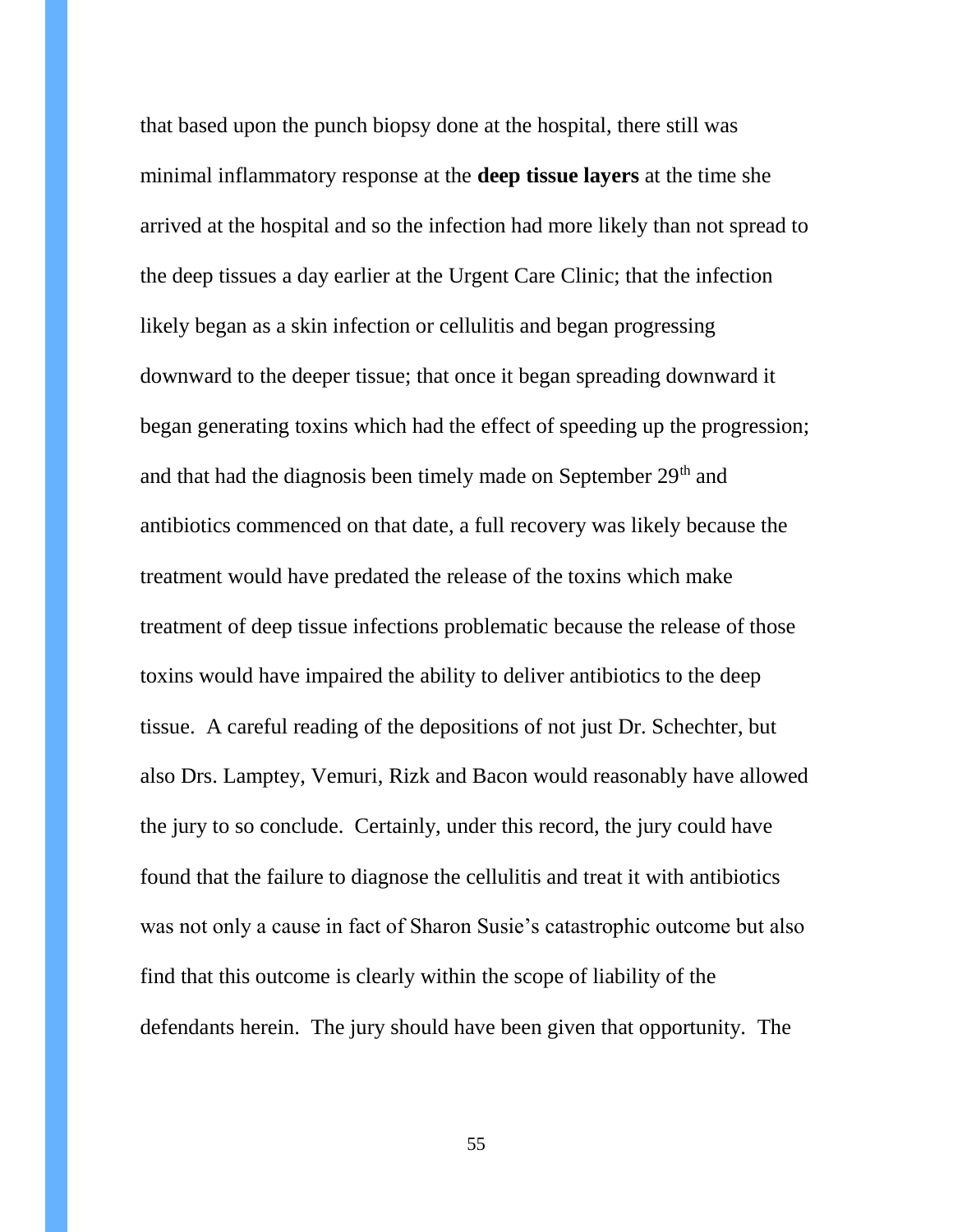that based upon the punch biopsy done at the hospital, there still was minimal inflammatory response at the **deep tissue layers** at the time she arrived at the hospital and so the infection had more likely than not spread to the deep tissues a day earlier at the Urgent Care Clinic; that the infection likely began as a skin infection or cellulitis and began progressing downward to the deeper tissue; that once it began spreading downward it began generating toxins which had the effect of speeding up the progression; and that had the diagnosis been timely made on September 29<sup>th</sup> and antibiotics commenced on that date, a full recovery was likely because the treatment would have predated the release of the toxins which make treatment of deep tissue infections problematic because the release of those toxins would have impaired the ability to deliver antibiotics to the deep tissue. A careful reading of the depositions of not just Dr. Schechter, but also Drs. Lamptey, Vemuri, Rizk and Bacon would reasonably have allowed the jury to so conclude. Certainly, under this record, the jury could have found that the failure to diagnose the cellulitis and treat it with antibiotics was not only a cause in fact of Sharon Susie's catastrophic outcome but also find that this outcome is clearly within the scope of liability of the defendants herein. The jury should have been given that opportunity. The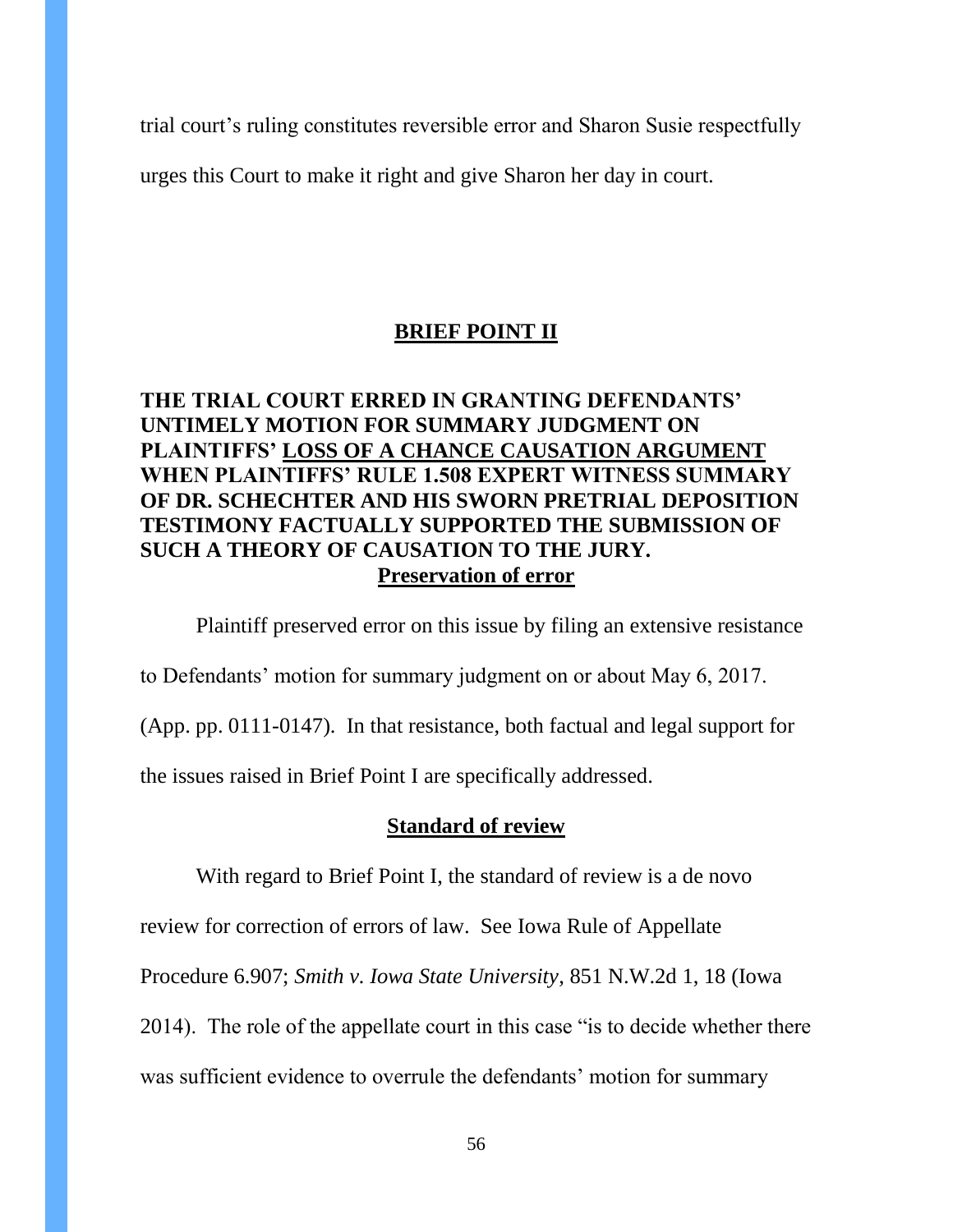trial court's ruling constitutes reversible error and Sharon Susie respectfully

urges this Court to make it right and give Sharon her day in court.

### **BRIEF POINT II**

### **THE TRIAL COURT ERRED IN GRANTING DEFENDANTS' UNTIMELY MOTION FOR SUMMARY JUDGMENT ON PLAINTIFFS' LOSS OF A CHANCE CAUSATION ARGUMENT WHEN PLAINTIFFS' RULE 1.508 EXPERT WITNESS SUMMARY OF DR. SCHECHTER AND HIS SWORN PRETRIAL DEPOSITION TESTIMONY FACTUALLY SUPPORTED THE SUBMISSION OF SUCH A THEORY OF CAUSATION TO THE JURY. Preservation of error**

Plaintiff preserved error on this issue by filing an extensive resistance to Defendants' motion for summary judgment on or about May 6, 2017. (App. pp. 0111-0147). In that resistance, both factual and legal support for the issues raised in Brief Point I are specifically addressed.

### **Standard of review**

With regard to Brief Point I, the standard of review is a de novo

review for correction of errors of law. See Iowa Rule of Appellate

Procedure 6.907; *Smith v. Iowa State University*, 851 N.W.2d 1, 18 (Iowa

2014). The role of the appellate court in this case "is to decide whether there

was sufficient evidence to overrule the defendants' motion for summary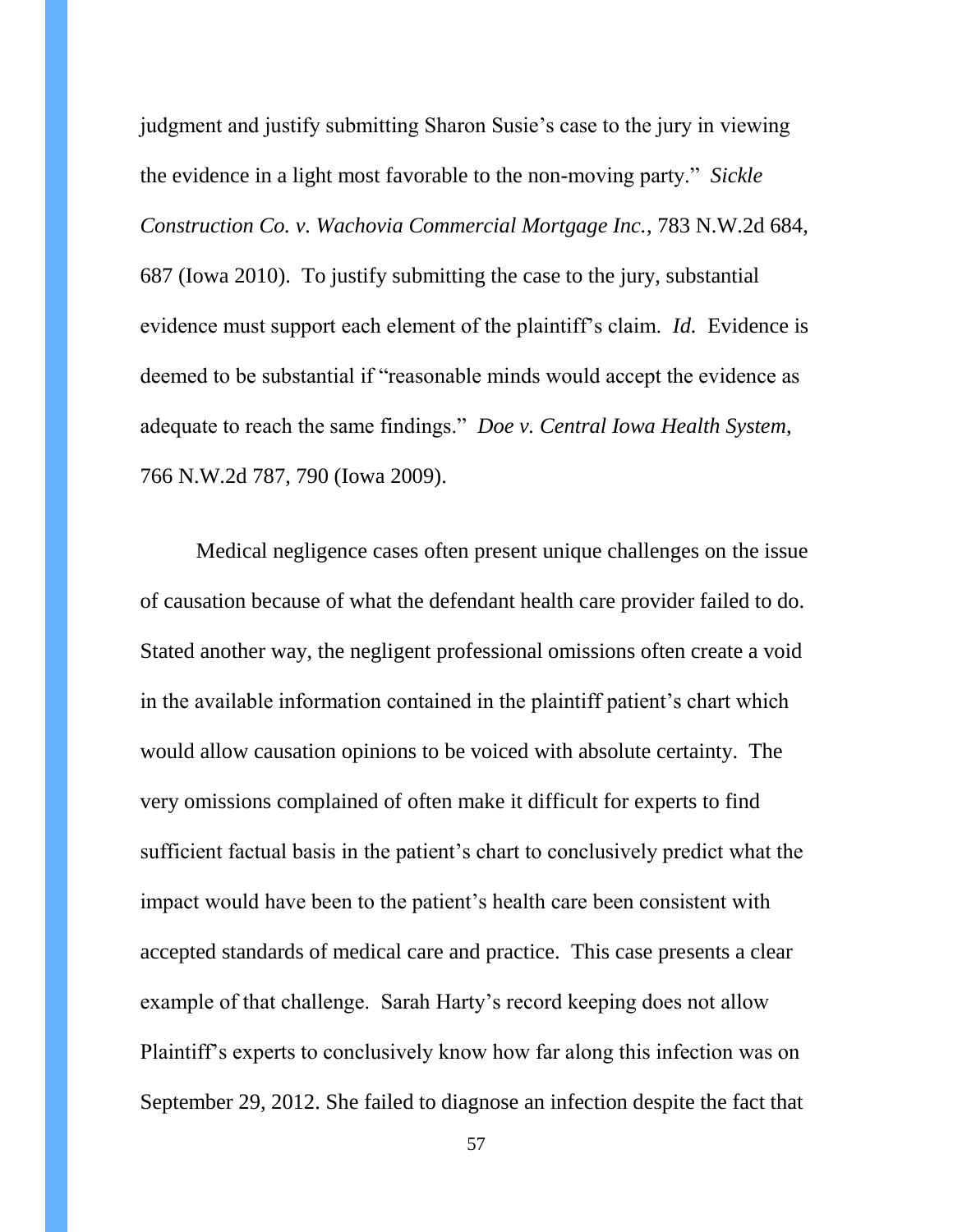judgment and justify submitting Sharon Susie's case to the jury in viewing the evidence in a light most favorable to the non-moving party." *Sickle Construction Co. v. Wachovia Commercial Mortgage Inc.*, 783 N.W.2d 684, 687 (Iowa 2010). To justify submitting the case to the jury, substantial evidence must support each element of the plaintiff's claim. *Id.* Evidence is deemed to be substantial if "reasonable minds would accept the evidence as adequate to reach the same findings." *Doe v. Central Iowa Health System*, 766 N.W.2d 787, 790 (Iowa 2009).

Medical negligence cases often present unique challenges on the issue of causation because of what the defendant health care provider failed to do. Stated another way, the negligent professional omissions often create a void in the available information contained in the plaintiff patient's chart which would allow causation opinions to be voiced with absolute certainty. The very omissions complained of often make it difficult for experts to find sufficient factual basis in the patient's chart to conclusively predict what the impact would have been to the patient's health care been consistent with accepted standards of medical care and practice. This case presents a clear example of that challenge. Sarah Harty's record keeping does not allow Plaintiff's experts to conclusively know how far along this infection was on September 29, 2012. She failed to diagnose an infection despite the fact that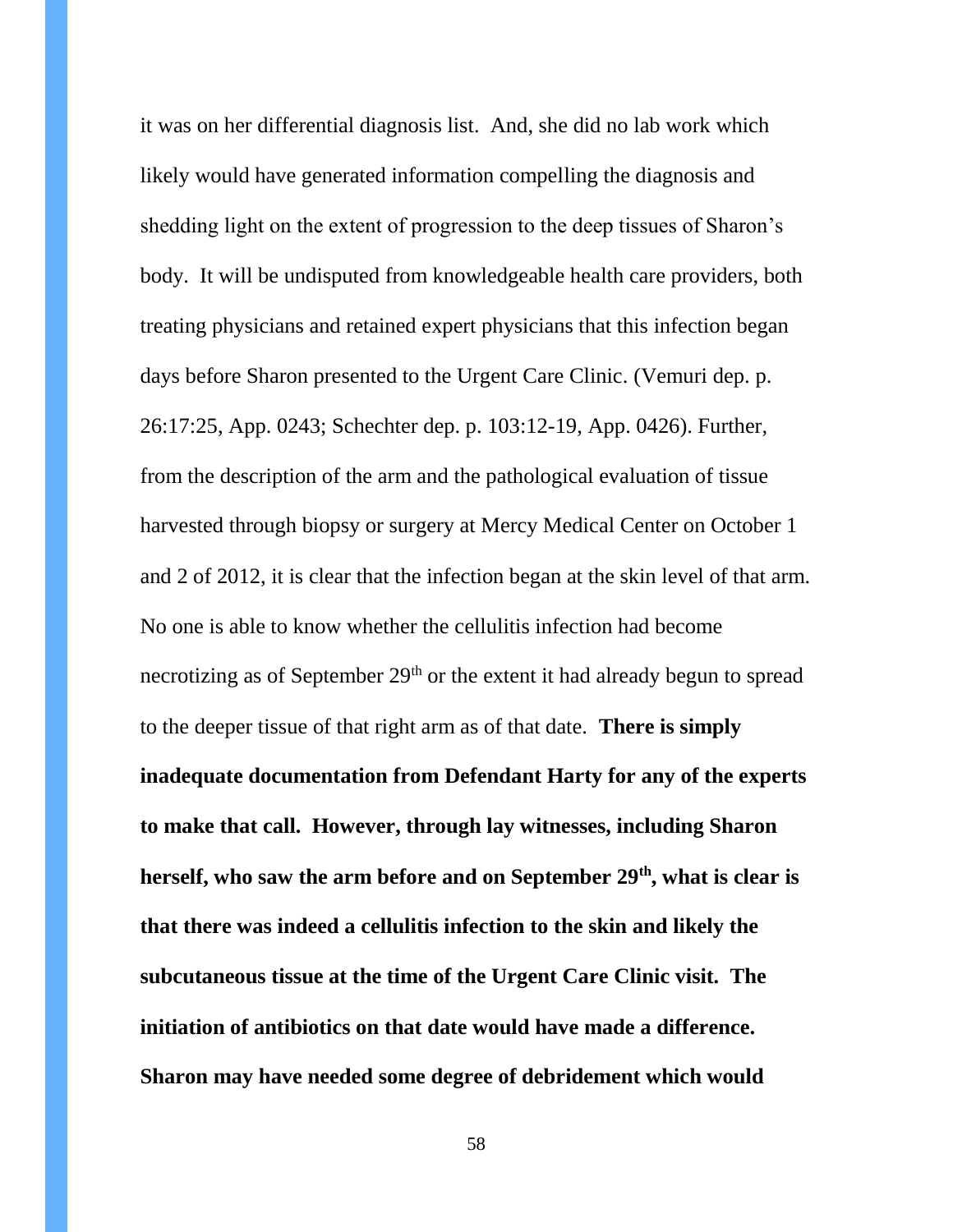it was on her differential diagnosis list. And, she did no lab work which likely would have generated information compelling the diagnosis and shedding light on the extent of progression to the deep tissues of Sharon's body. It will be undisputed from knowledgeable health care providers, both treating physicians and retained expert physicians that this infection began days before Sharon presented to the Urgent Care Clinic. (Vemuri dep. p. 26:17:25, App. 0243; Schechter dep. p. 103:12-19, App. 0426). Further, from the description of the arm and the pathological evaluation of tissue harvested through biopsy or surgery at Mercy Medical Center on October 1 and 2 of 2012, it is clear that the infection began at the skin level of that arm. No one is able to know whether the cellulitis infection had become necrotizing as of September 29<sup>th</sup> or the extent it had already begun to spread to the deeper tissue of that right arm as of that date. **There is simply inadequate documentation from Defendant Harty for any of the experts to make that call. However, through lay witnesses, including Sharon herself, who saw the arm before and on September 29th, what is clear is that there was indeed a cellulitis infection to the skin and likely the subcutaneous tissue at the time of the Urgent Care Clinic visit. The initiation of antibiotics on that date would have made a difference. Sharon may have needed some degree of debridement which would**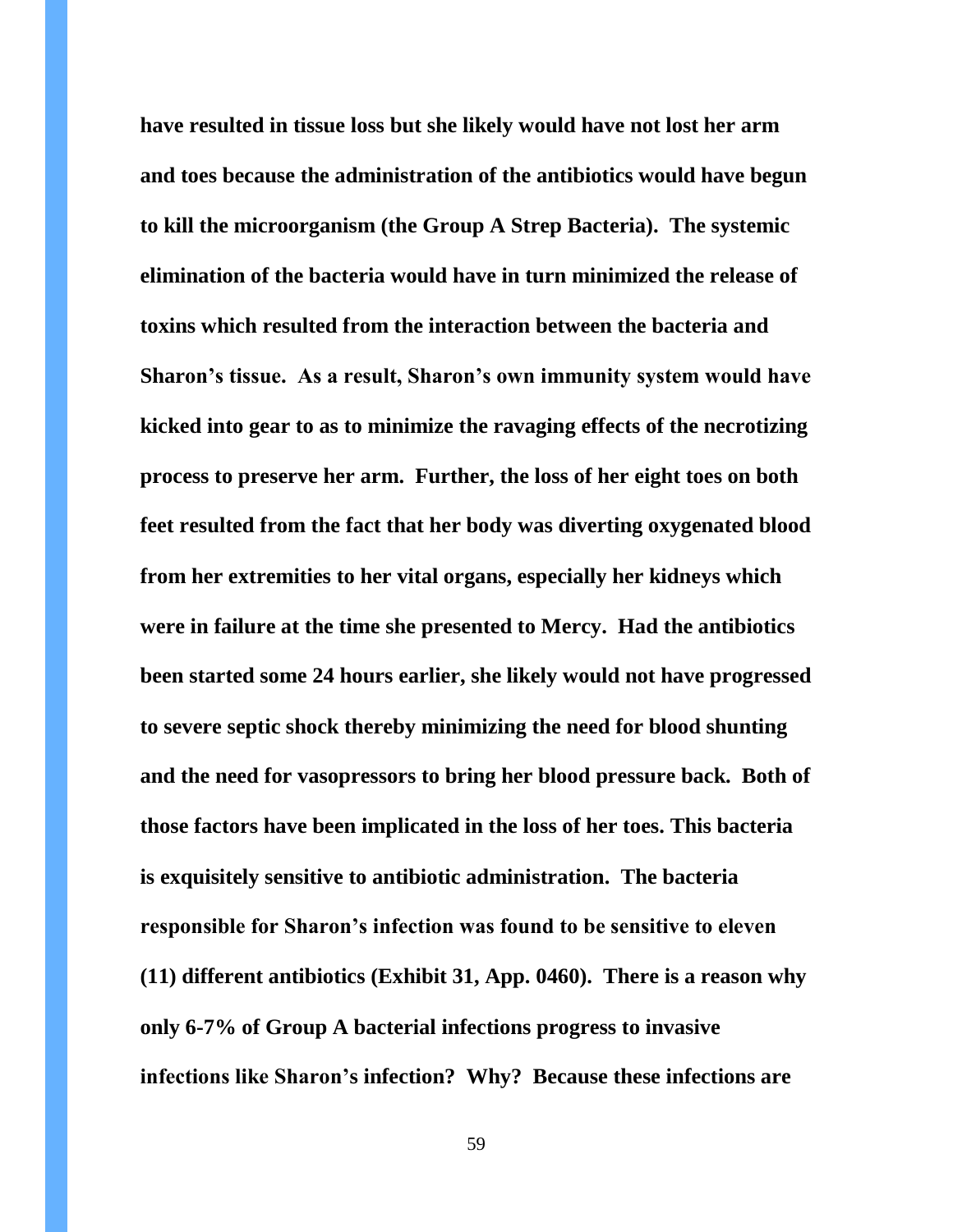**have resulted in tissue loss but she likely would have not lost her arm and toes because the administration of the antibiotics would have begun to kill the microorganism (the Group A Strep Bacteria). The systemic elimination of the bacteria would have in turn minimized the release of toxins which resulted from the interaction between the bacteria and Sharon's tissue. As a result, Sharon's own immunity system would have kicked into gear to as to minimize the ravaging effects of the necrotizing process to preserve her arm. Further, the loss of her eight toes on both feet resulted from the fact that her body was diverting oxygenated blood from her extremities to her vital organs, especially her kidneys which were in failure at the time she presented to Mercy. Had the antibiotics been started some 24 hours earlier, she likely would not have progressed to severe septic shock thereby minimizing the need for blood shunting and the need for vasopressors to bring her blood pressure back. Both of those factors have been implicated in the loss of her toes. This bacteria is exquisitely sensitive to antibiotic administration. The bacteria responsible for Sharon's infection was found to be sensitive to eleven (11) different antibiotics (Exhibit 31, App. 0460). There is a reason why only 6-7% of Group A bacterial infections progress to invasive infections like Sharon's infection? Why? Because these infections are**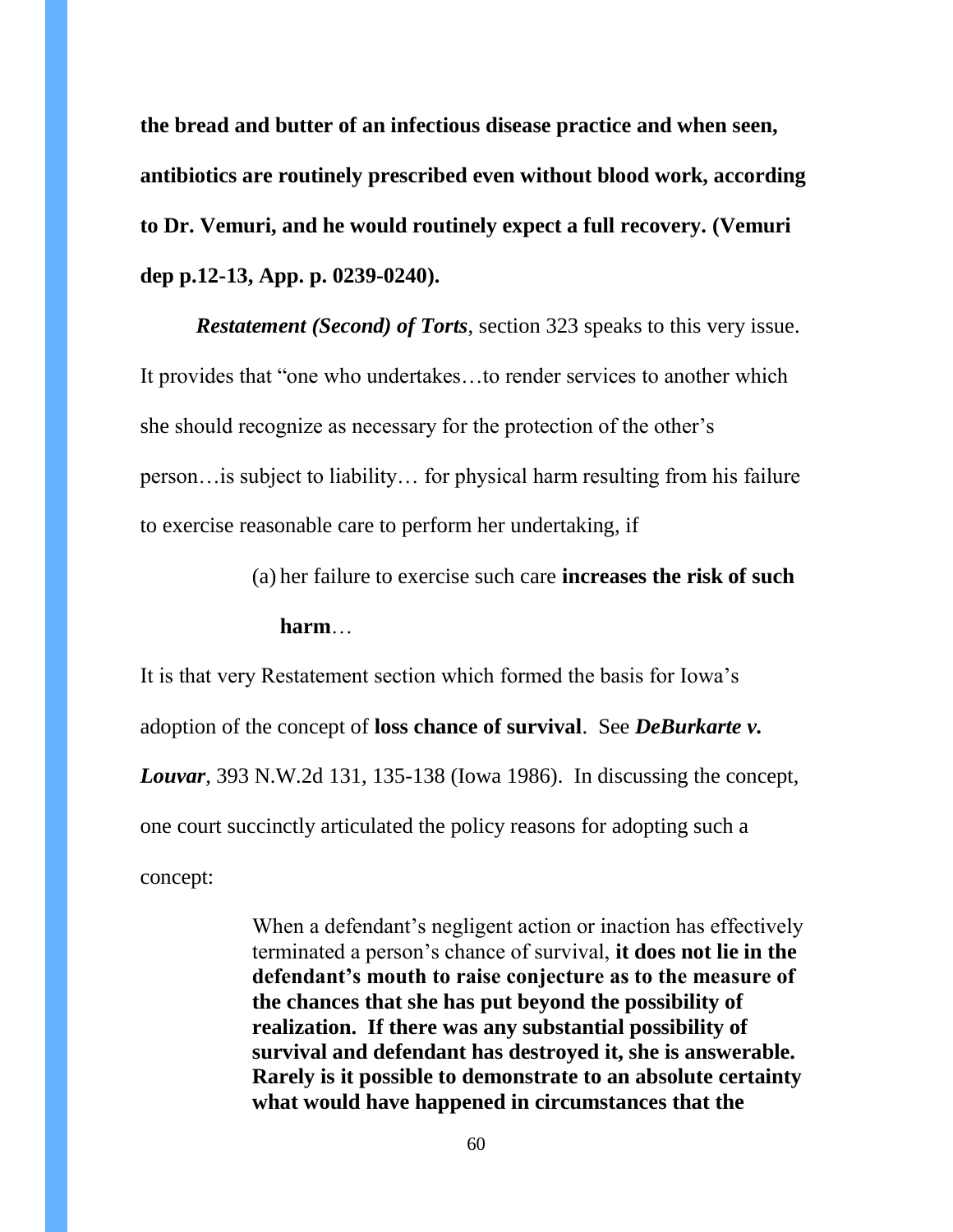**the bread and butter of an infectious disease practice and when seen, antibiotics are routinely prescribed even without blood work, according to Dr. Vemuri, and he would routinely expect a full recovery. (Vemuri dep p.12-13, App. p. 0239-0240).**

*Restatement (Second) of Torts*, section 323 speaks to this very issue. It provides that "one who undertakes…to render services to another which she should recognize as necessary for the protection of the other's person…is subject to liability… for physical harm resulting from his failure to exercise reasonable care to perform her undertaking, if

(a) her failure to exercise such care **increases the risk of such** 

**harm**…

It is that very Restatement section which formed the basis for Iowa's adoption of the concept of **loss chance of survival**. See *DeBurkarte v. Louvar,* 393 N.W.2d 131, 135-138 (Iowa 1986). In discussing the concept, one court succinctly articulated the policy reasons for adopting such a concept:

> When a defendant's negligent action or inaction has effectively terminated a person's chance of survival, **it does not lie in the defendant's mouth to raise conjecture as to the measure of the chances that she has put beyond the possibility of realization. If there was any substantial possibility of survival and defendant has destroyed it, she is answerable. Rarely is it possible to demonstrate to an absolute certainty what would have happened in circumstances that the**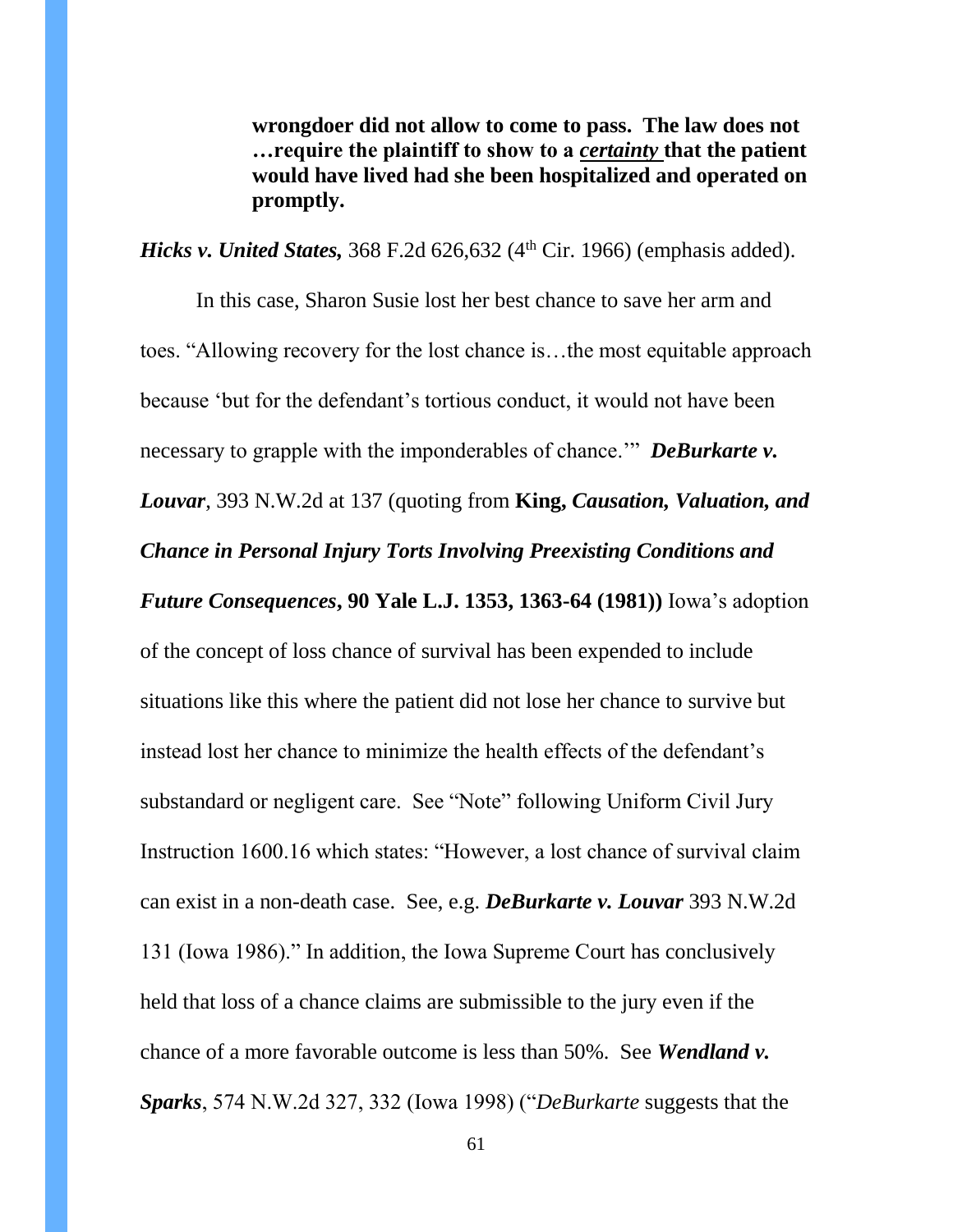**wrongdoer did not allow to come to pass. The law does not …require the plaintiff to show to a** *certainty* **that the patient would have lived had she been hospitalized and operated on promptly.**

*Hicks v. United States,* 368 F.2d 626,632 (4<sup>th</sup> Cir. 1966) (emphasis added).

In this case, Sharon Susie lost her best chance to save her arm and toes. "Allowing recovery for the lost chance is…the most equitable approach because 'but for the defendant's tortious conduct, it would not have been necessary to grapple with the imponderables of chance.'" *DeBurkarte v. Louvar*, 393 N.W.2d at 137 (quoting from **King,** *Causation, Valuation, and Chance in Personal Injury Torts Involving Preexisting Conditions and Future Consequences***, 90 Yale L.J. 1353, 1363-64 (1981))** Iowa's adoption of the concept of loss chance of survival has been expended to include situations like this where the patient did not lose her chance to survive but instead lost her chance to minimize the health effects of the defendant's substandard or negligent care. See "Note" following Uniform Civil Jury Instruction 1600.16 which states: "However, a lost chance of survival claim can exist in a non-death case. See, e.g. *DeBurkarte v. Louvar* 393 N.W.2d 131 (Iowa 1986)." In addition, the Iowa Supreme Court has conclusively held that loss of a chance claims are submissible to the jury even if the chance of a more favorable outcome is less than 50%. See *Wendland v. Sparks*, 574 N.W.2d 327, 332 (Iowa 1998) ("*DeBurkarte* suggests that the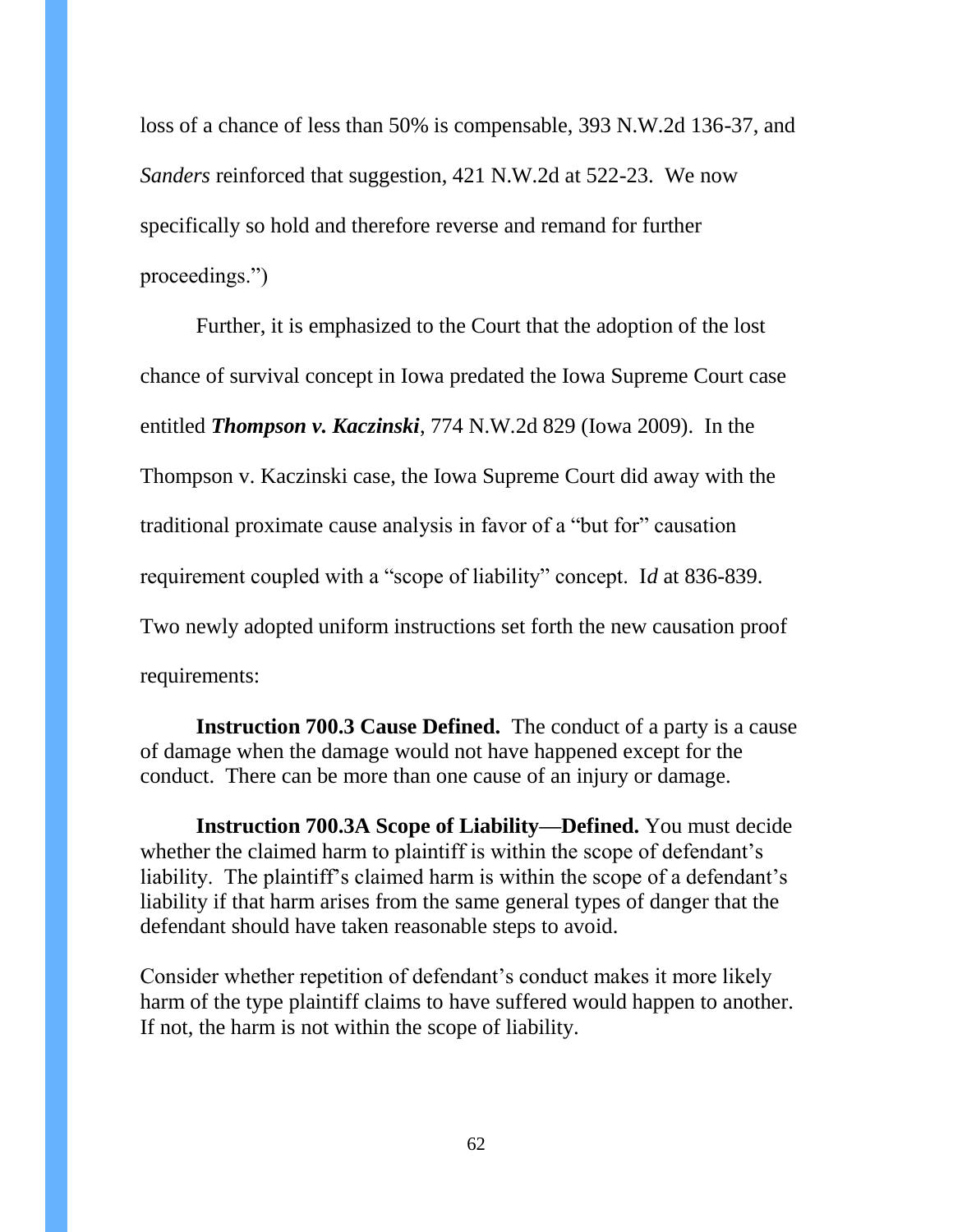loss of a chance of less than 50% is compensable, 393 N.W.2d 136-37, and *Sanders* reinforced that suggestion, 421 N.W.2d at 522-23. We now specifically so hold and therefore reverse and remand for further proceedings.")

Further, it is emphasized to the Court that the adoption of the lost chance of survival concept in Iowa predated the Iowa Supreme Court case entitled *Thompson v. Kaczinski*, 774 N.W.2d 829 (Iowa 2009). In the Thompson v. Kaczinski case, the Iowa Supreme Court did away with the traditional proximate cause analysis in favor of a "but for" causation requirement coupled with a "scope of liability" concept. I*d* at 836-839. Two newly adopted uniform instructions set forth the new causation proof requirements:

**Instruction 700.3 Cause Defined.** The conduct of a party is a cause of damage when the damage would not have happened except for the conduct. There can be more than one cause of an injury or damage.

**Instruction 700.3A Scope of Liability—Defined.** You must decide whether the claimed harm to plaintiff is within the scope of defendant's liability. The plaintiff's claimed harm is within the scope of a defendant's liability if that harm arises from the same general types of danger that the defendant should have taken reasonable steps to avoid.

Consider whether repetition of defendant's conduct makes it more likely harm of the type plaintiff claims to have suffered would happen to another. If not, the harm is not within the scope of liability.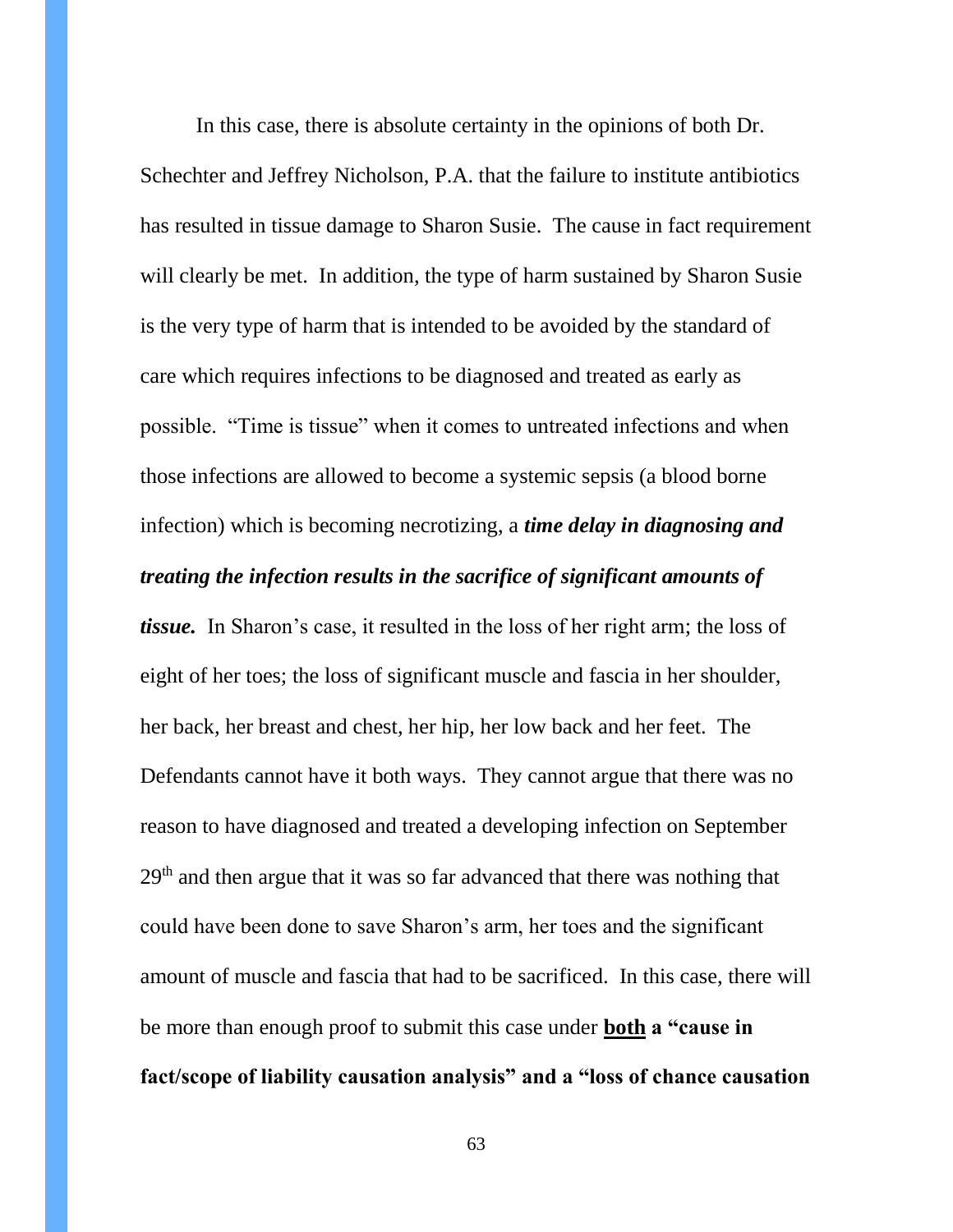In this case, there is absolute certainty in the opinions of both Dr.

Schechter and Jeffrey Nicholson, P.A. that the failure to institute antibiotics has resulted in tissue damage to Sharon Susie. The cause in fact requirement will clearly be met. In addition, the type of harm sustained by Sharon Susie is the very type of harm that is intended to be avoided by the standard of care which requires infections to be diagnosed and treated as early as possible. "Time is tissue" when it comes to untreated infections and when those infections are allowed to become a systemic sepsis (a blood borne infection) which is becoming necrotizing, a *time delay in diagnosing and* 

# *treating the infection results in the sacrifice of significant amounts of*

*tissue.* In Sharon's case, it resulted in the loss of her right arm; the loss of eight of her toes; the loss of significant muscle and fascia in her shoulder, her back, her breast and chest, her hip, her low back and her feet. The Defendants cannot have it both ways. They cannot argue that there was no reason to have diagnosed and treated a developing infection on September  $29<sup>th</sup>$  and then argue that it was so far advanced that there was nothing that could have been done to save Sharon's arm, her toes and the significant amount of muscle and fascia that had to be sacrificed. In this case, there will be more than enough proof to submit this case under **both a "cause in fact/scope of liability causation analysis" and a "loss of chance causation**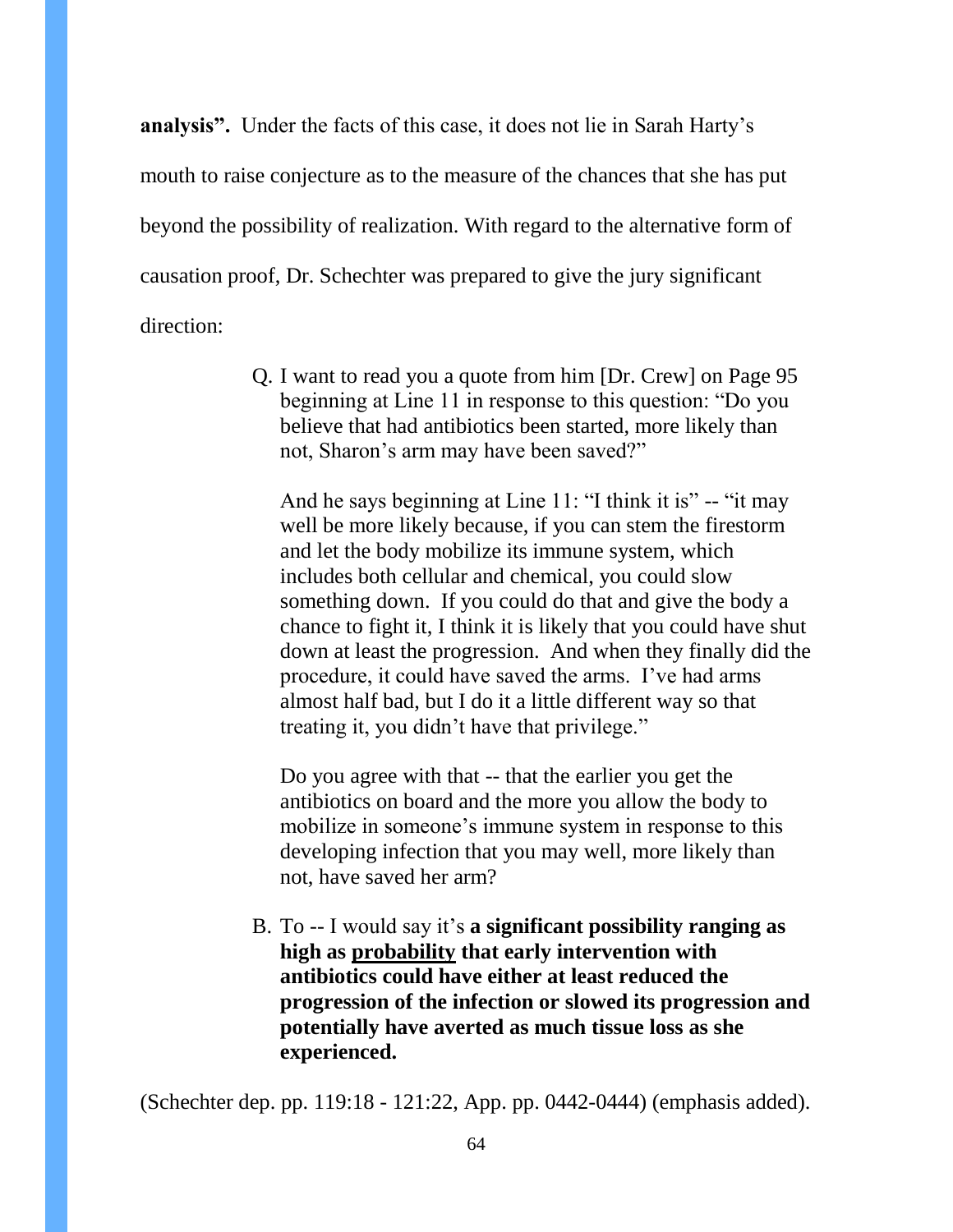**analysis".** Under the facts of this case, it does not lie in Sarah Harty's mouth to raise conjecture as to the measure of the chances that she has put beyond the possibility of realization. With regard to the alternative form of causation proof, Dr. Schechter was prepared to give the jury significant direction:

> Q. I want to read you a quote from him [Dr. Crew] on Page 95 beginning at Line 11 in response to this question: "Do you believe that had antibiotics been started, more likely than not, Sharon's arm may have been saved?"

And he says beginning at Line 11: "I think it is" -- "it may well be more likely because, if you can stem the firestorm and let the body mobilize its immune system, which includes both cellular and chemical, you could slow something down. If you could do that and give the body a chance to fight it, I think it is likely that you could have shut down at least the progression. And when they finally did the procedure, it could have saved the arms. I've had arms almost half bad, but I do it a little different way so that treating it, you didn't have that privilege."

Do you agree with that -- that the earlier you get the antibiotics on board and the more you allow the body to mobilize in someone's immune system in response to this developing infection that you may well, more likely than not, have saved her arm?

B. To -- I would say it's **a significant possibility ranging as high as probability that early intervention with antibiotics could have either at least reduced the progression of the infection or slowed its progression and potentially have averted as much tissue loss as she experienced.** 

(Schechter dep. pp. 119:18 - 121:22, App. pp. 0442-0444) (emphasis added).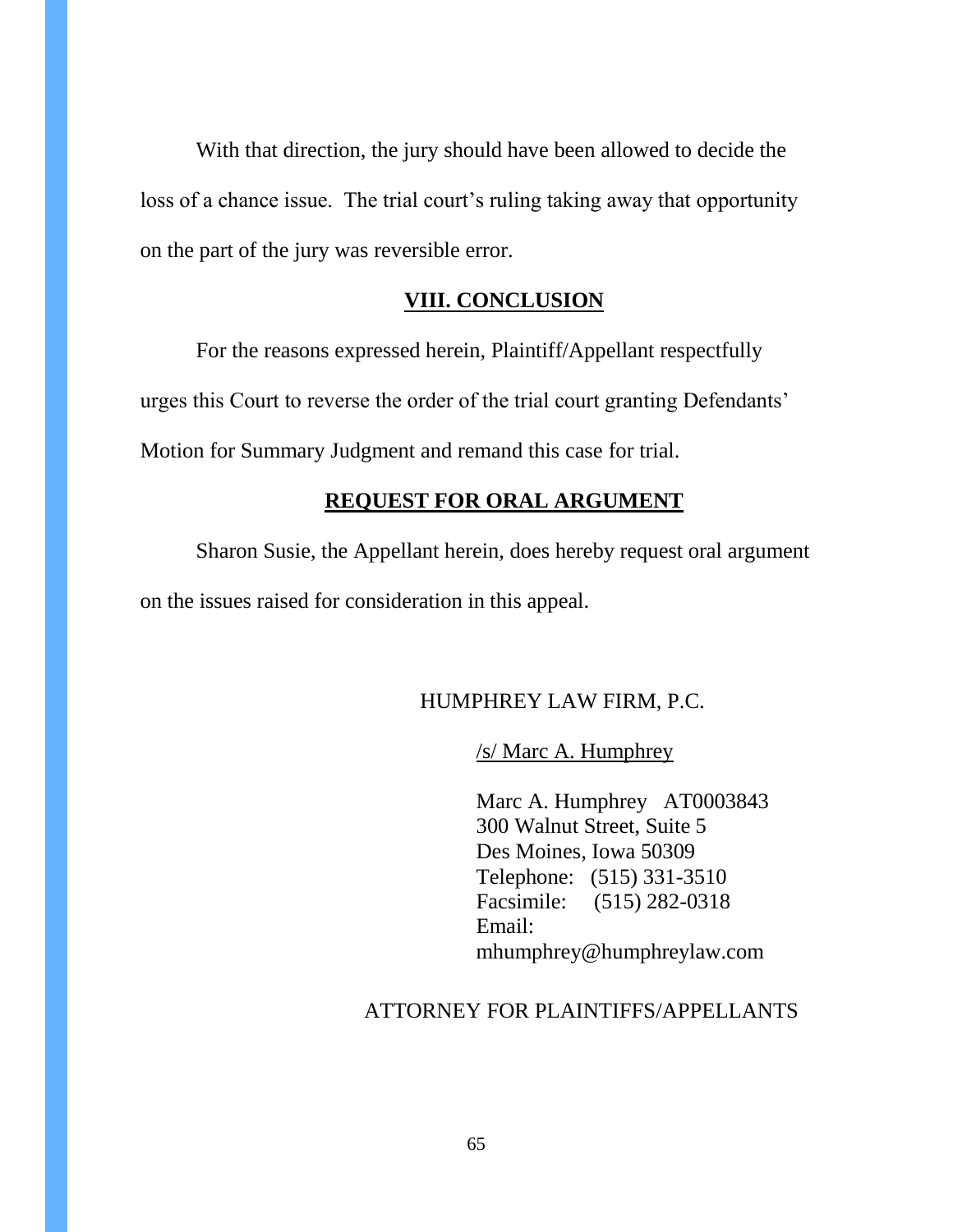With that direction, the jury should have been allowed to decide the loss of a chance issue. The trial court's ruling taking away that opportunity on the part of the jury was reversible error.

### **VIII. CONCLUSION**

For the reasons expressed herein, Plaintiff/Appellant respectfully urges this Court to reverse the order of the trial court granting Defendants' Motion for Summary Judgment and remand this case for trial.

#### **REQUEST FOR ORAL ARGUMENT**

Sharon Susie, the Appellant herein, does hereby request oral argument on the issues raised for consideration in this appeal.

### HUMPHREY LAW FIRM, P.C.

/s/ Marc A. Humphrey

Marc A. Humphrey AT0003843 300 Walnut Street, Suite 5 Des Moines, Iowa 50309 Telephone: (515) 331-3510 Facsimile: (515) 282-0318 Email: mhumphrey@humphreylaw.com

#### ATTORNEY FOR PLAINTIFFS/APPELLANTS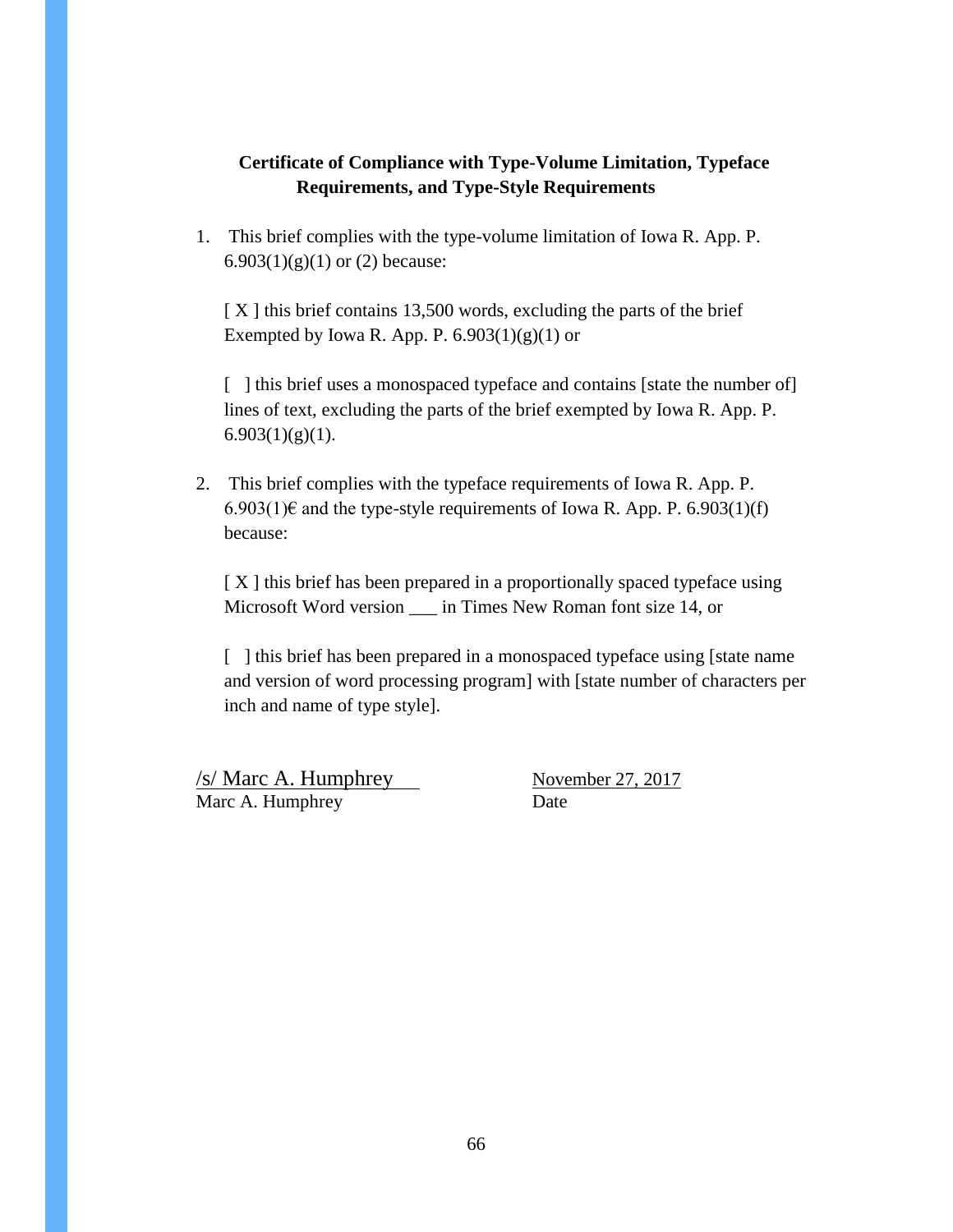### **Certificate of Compliance with Type-Volume Limitation, Typeface Requirements, and Type-Style Requirements**

1. This brief complies with the type-volume limitation of Iowa R. App. P. 6.903 $(1)(g)(1)$  or  $(2)$  because:

[X] this brief contains 13,500 words, excluding the parts of the brief Exempted by Iowa R. App. P.  $6.903(1)(g)(1)$  or

[ ] this brief uses a monospaced typeface and contains [state the number of] lines of text, excluding the parts of the brief exempted by Iowa R. App. P.  $6.903(1)(g)(1)$ .

2. This brief complies with the typeface requirements of Iowa R. App. P. 6.903(1)€ and the type-style requirements of Iowa R. App. P. 6.903(1)(f) because:

[ X ] this brief has been prepared in a proportionally spaced typeface using Microsoft Word version \_\_\_ in Times New Roman font size 14, or

[ ] this brief has been prepared in a monospaced typeface using [state name and version of word processing program] with [state number of characters per inch and name of type style].

/s/ Marc A. Humphrey November 27, 2017 Marc A. Humphrey Date